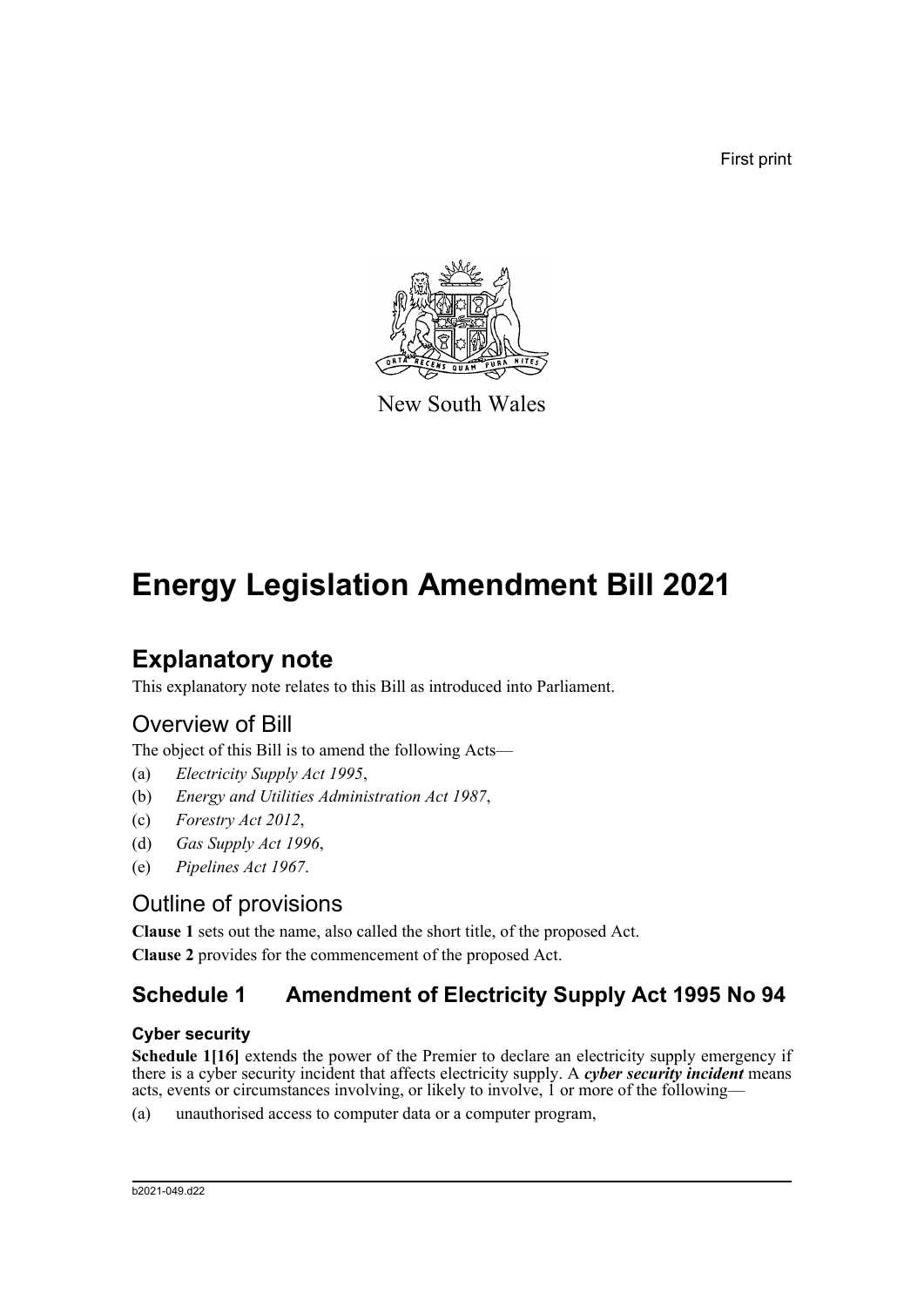First print



New South Wales

# **Energy Legislation Amendment Bill 2021**

## **Explanatory note**

This explanatory note relates to this Bill as introduced into Parliament.

## Overview of Bill

The object of this Bill is to amend the following Acts—

- (a) *Electricity Supply Act 1995*,
- (b) *Energy and Utilities Administration Act 1987*,
- (c) *Forestry Act 2012*,
- (d) *Gas Supply Act 1996*,
- (e) *Pipelines Act 1967*.

## Outline of provisions

**Clause 1** sets out the name, also called the short title, of the proposed Act. **Clause 2** provides for the commencement of the proposed Act.

## **Schedule 1 Amendment of Electricity Supply Act 1995 No 94**

#### **Cyber security**

**Schedule 1[16]** extends the power of the Premier to declare an electricity supply emergency if there is a cyber security incident that affects electricity supply. A *cyber security incident* means acts, events or circumstances involving, or likely to involve, 1 or more of the following—

(a) unauthorised access to computer data or a computer program,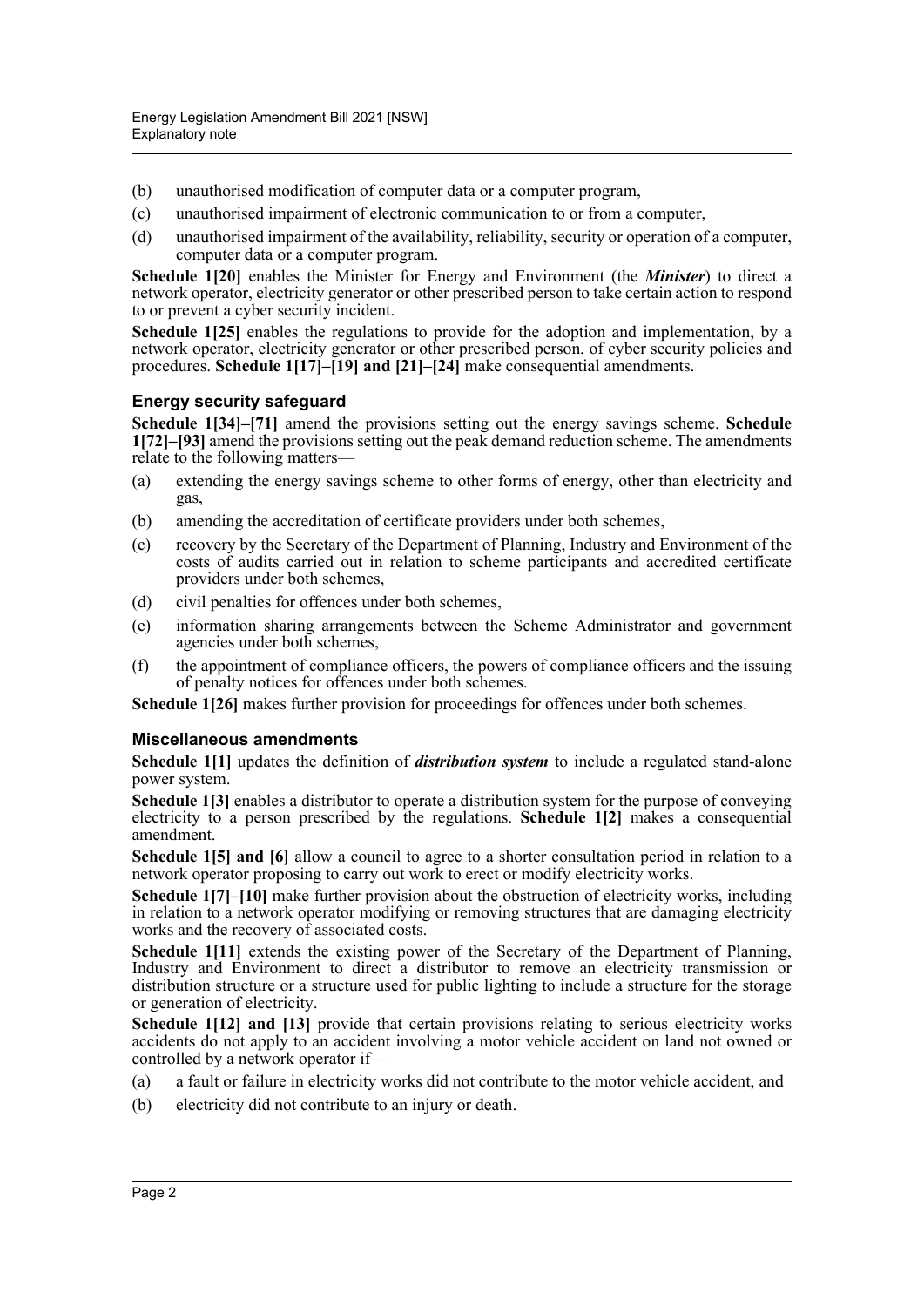- (b) unauthorised modification of computer data or a computer program,
- (c) unauthorised impairment of electronic communication to or from a computer,
- (d) unauthorised impairment of the availability, reliability, security or operation of a computer, computer data or a computer program.

**Schedule 1[20]** enables the Minister for Energy and Environment (the *Minister*) to direct a network operator, electricity generator or other prescribed person to take certain action to respond to or prevent a cyber security incident.

**Schedule 1[25]** enables the regulations to provide for the adoption and implementation, by a network operator, electricity generator or other prescribed person, of cyber security policies and procedures. **Schedule 1[17]–[19] and [21]–[24]** make consequential amendments.

#### **Energy security safeguard**

**Schedule 1[34]–[71]** amend the provisions setting out the energy savings scheme. **Schedule 1[72]–[93]** amend the provisions setting out the peak demand reduction scheme. The amendments relate to the following matters—

- (a) extending the energy savings scheme to other forms of energy, other than electricity and gas,
- (b) amending the accreditation of certificate providers under both schemes,
- (c) recovery by the Secretary of the Department of Planning, Industry and Environment of the costs of audits carried out in relation to scheme participants and accredited certificate providers under both schemes,
- (d) civil penalties for offences under both schemes,
- (e) information sharing arrangements between the Scheme Administrator and government agencies under both schemes,
- (f) the appointment of compliance officers, the powers of compliance officers and the issuing of penalty notices for offences under both schemes.

**Schedule 1[26]** makes further provision for proceedings for offences under both schemes.

#### **Miscellaneous amendments**

**Schedule 1[1]** updates the definition of *distribution system* to include a regulated stand-alone power system.

**Schedule 1[3]** enables a distributor to operate a distribution system for the purpose of conveying electricity to a person prescribed by the regulations. **Schedule 1[2]** makes a consequential amendment.

**Schedule 1[5] and [6]** allow a council to agree to a shorter consultation period in relation to a network operator proposing to carry out work to erect or modify electricity works.

**Schedule 1[7]–[10]** make further provision about the obstruction of electricity works, including in relation to a network operator modifying or removing structures that are damaging electricity works and the recovery of associated costs.

**Schedule 1[11]** extends the existing power of the Secretary of the Department of Planning, Industry and Environment to direct a distributor to remove an electricity transmission or distribution structure or a structure used for public lighting to include a structure for the storage or generation of electricity.

**Schedule 1[12] and [13]** provide that certain provisions relating to serious electricity works accidents do not apply to an accident involving a motor vehicle accident on land not owned or controlled by a network operator if—

- (a) a fault or failure in electricity works did not contribute to the motor vehicle accident, and
- (b) electricity did not contribute to an injury or death.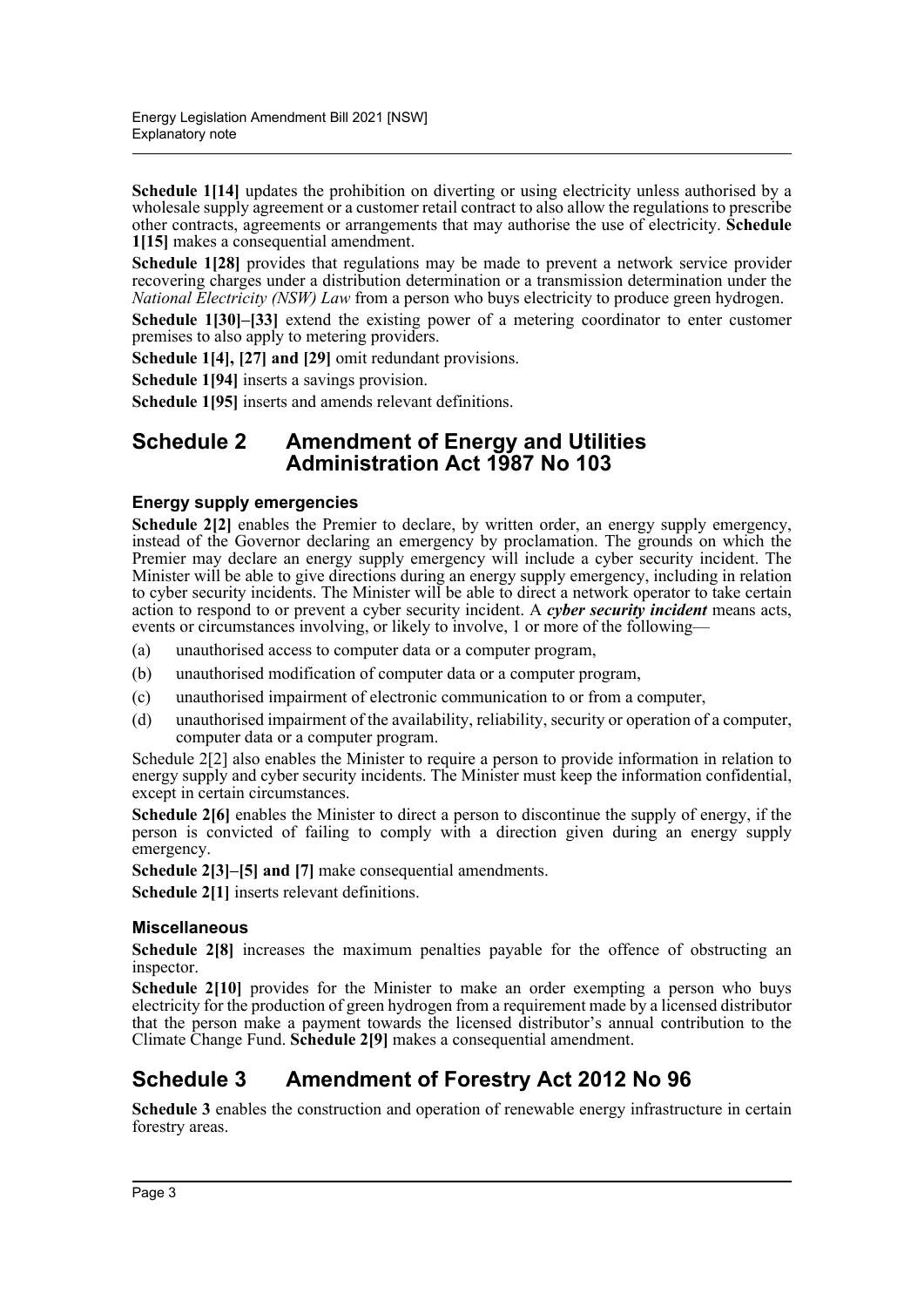**Schedule 1[14]** updates the prohibition on diverting or using electricity unless authorised by a wholesale supply agreement or a customer retail contract to also allow the regulations to prescribe other contracts, agreements or arrangements that may authorise the use of electricity. **Schedule 1[15]** makes a consequential amendment.

**Schedule 1[28]** provides that regulations may be made to prevent a network service provider recovering charges under a distribution determination or a transmission determination under the *National Electricity (NSW) Law* from a person who buys electricity to produce green hydrogen.

**Schedule 1[30]–[33]** extend the existing power of a metering coordinator to enter customer premises to also apply to metering providers.

**Schedule 1[4], [27] and [29]** omit redundant provisions.

**Schedule 1[94]** inserts a savings provision.

**Schedule 1[95]** inserts and amends relevant definitions.

#### **Schedule 2 Amendment of Energy and Utilities Administration Act 1987 No 103**

#### **Energy supply emergencies**

Schedule 2[2] enables the Premier to declare, by written order, an energy supply emergency, instead of the Governor declaring an emergency by proclamation. The grounds on which the Premier may declare an energy supply emergency will include a cyber security incident. The Minister will be able to give directions during an energy supply emergency, including in relation to cyber security incidents. The Minister will be able to direct a network operator to take certain action to respond to or prevent a cyber security incident. A *cyber security incident* means acts, events or circumstances involving, or likely to involve, 1 or more of the following—

- (a) unauthorised access to computer data or a computer program,
- (b) unauthorised modification of computer data or a computer program,
- (c) unauthorised impairment of electronic communication to or from a computer,
- (d) unauthorised impairment of the availability, reliability, security or operation of a computer, computer data or a computer program.

Schedule 2[2] also enables the Minister to require a person to provide information in relation to energy supply and cyber security incidents. The Minister must keep the information confidential, except in certain circumstances.

**Schedule 2[6]** enables the Minister to direct a person to discontinue the supply of energy, if the person is convicted of failing to comply with a direction given during an energy supply emergency.

**Schedule 2[3]–[5] and [7]** make consequential amendments.

**Schedule 2[1]** inserts relevant definitions.

#### **Miscellaneous**

**Schedule 2[8]** increases the maximum penalties payable for the offence of obstructing an inspector.

**Schedule 2[10]** provides for the Minister to make an order exempting a person who buys electricity for the production of green hydrogen from a requirement made by a licensed distributor that the person make a payment towards the licensed distributor's annual contribution to the Climate Change Fund. **Schedule 2[9]** makes a consequential amendment.

## **Schedule 3 Amendment of Forestry Act 2012 No 96**

**Schedule 3** enables the construction and operation of renewable energy infrastructure in certain forestry areas.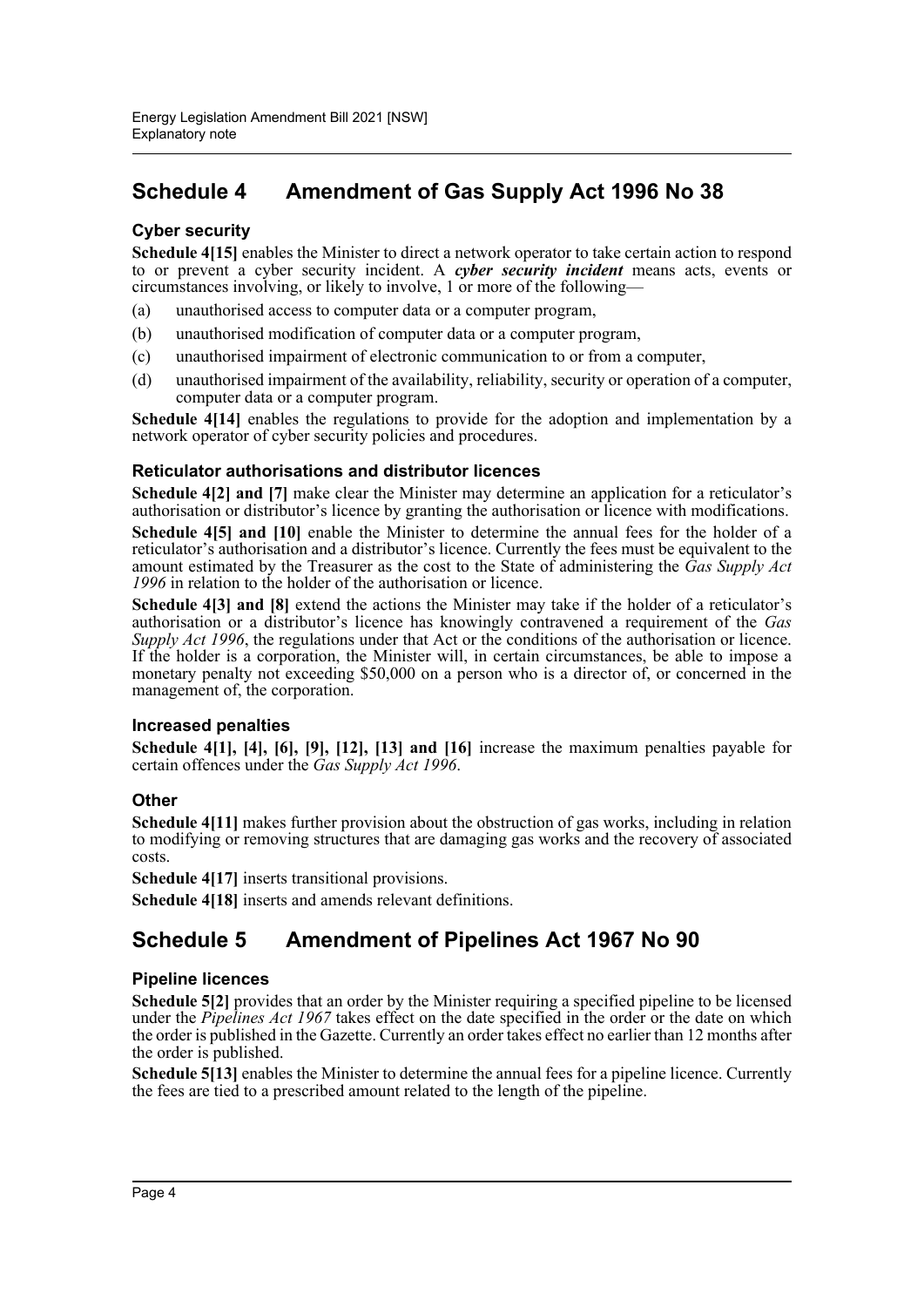## **Schedule 4 Amendment of Gas Supply Act 1996 No 38**

#### **Cyber security**

**Schedule 4[15]** enables the Minister to direct a network operator to take certain action to respond to or prevent a cyber security incident. A *cyber security incident* means acts, events or circumstances involving, or likely to involve, 1 or more of the following—

- (a) unauthorised access to computer data or a computer program,
- (b) unauthorised modification of computer data or a computer program,
- (c) unauthorised impairment of electronic communication to or from a computer,
- (d) unauthorised impairment of the availability, reliability, security or operation of a computer, computer data or a computer program.

**Schedule 4[14]** enables the regulations to provide for the adoption and implementation by a network operator of cyber security policies and procedures.

#### **Reticulator authorisations and distributor licences**

**Schedule 4[2] and [7]** make clear the Minister may determine an application for a reticulator's authorisation or distributor's licence by granting the authorisation or licence with modifications.

**Schedule 4[5] and [10]** enable the Minister to determine the annual fees for the holder of a reticulator's authorisation and a distributor's licence. Currently the fees must be equivalent to the amount estimated by the Treasurer as the cost to the State of administering the *Gas Supply Act 1996* in relation to the holder of the authorisation or licence.

**Schedule 4[3] and [8]** extend the actions the Minister may take if the holder of a reticulator's authorisation or a distributor's licence has knowingly contravened a requirement of the *Gas Supply Act 1996*, the regulations under that Act or the conditions of the authorisation or licence. If the holder is a corporation, the Minister will, in certain circumstances, be able to impose a monetary penalty not exceeding \$50,000 on a person who is a director of, or concerned in the management of, the corporation.

#### **Increased penalties**

**Schedule 4[1], [4], [6], [9], [12], [13] and [16]** increase the maximum penalties payable for certain offences under the *Gas Supply Act 1996*.

#### **Other**

**Schedule 4[11]** makes further provision about the obstruction of gas works, including in relation to modifying or removing structures that are damaging gas works and the recovery of associated costs.

**Schedule 4[17]** inserts transitional provisions.

**Schedule 4[18]** inserts and amends relevant definitions.

## **Schedule 5 Amendment of Pipelines Act 1967 No 90**

#### **Pipeline licences**

**Schedule 5[2]** provides that an order by the Minister requiring a specified pipeline to be licensed under the *Pipelines Act 1967* takes effect on the date specified in the order or the date on which the order is published in the Gazette. Currently an order takes effect no earlier than 12 months after the order is published.

**Schedule 5[13]** enables the Minister to determine the annual fees for a pipeline licence. Currently the fees are tied to a prescribed amount related to the length of the pipeline.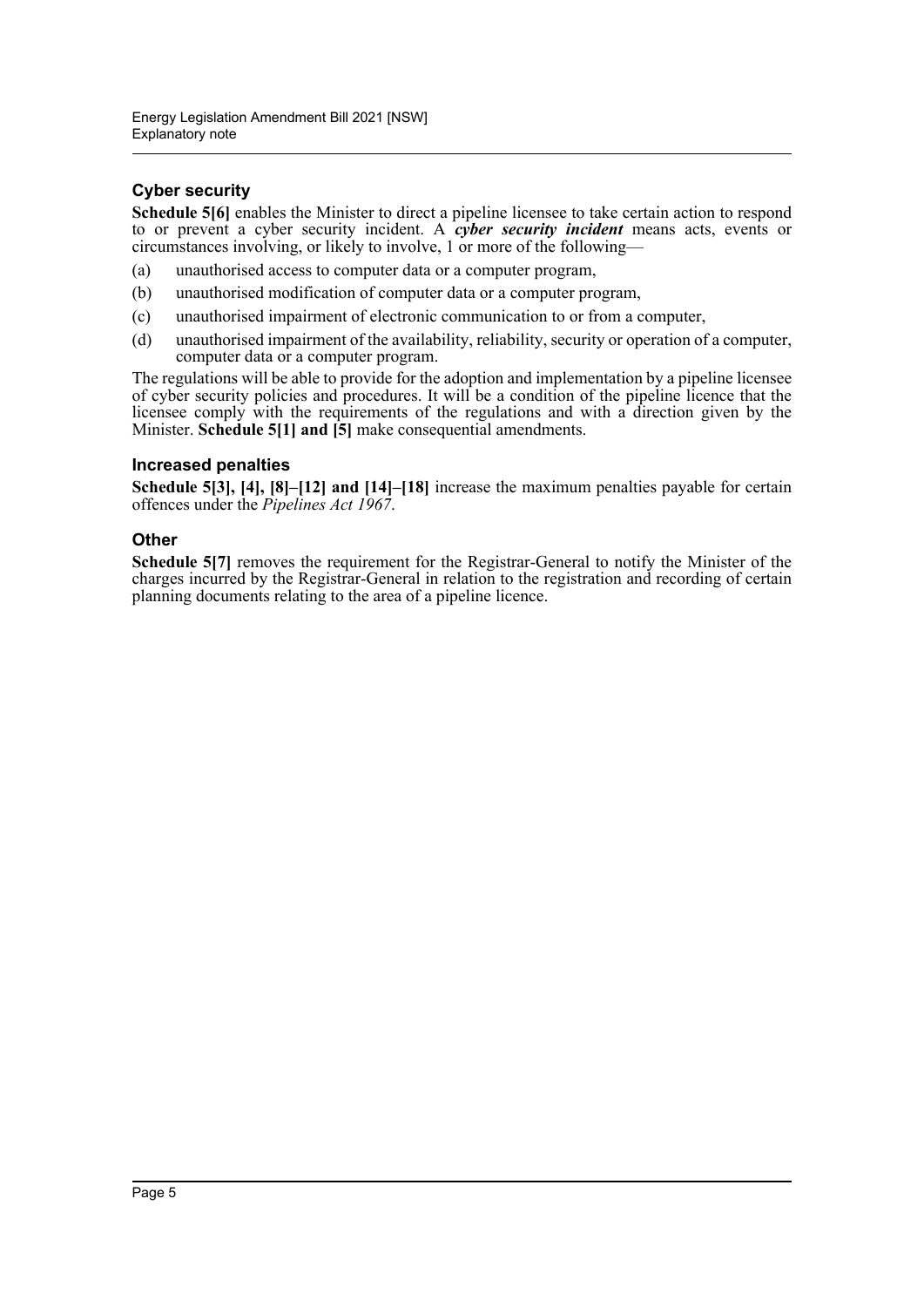#### **Cyber security**

**Schedule 5[6]** enables the Minister to direct a pipeline licensee to take certain action to respond to or prevent a cyber security incident. A *cyber security incident* means acts, events or circumstances involving, or likely to involve, 1 or more of the following—

- (a) unauthorised access to computer data or a computer program,
- (b) unauthorised modification of computer data or a computer program,
- (c) unauthorised impairment of electronic communication to or from a computer,
- (d) unauthorised impairment of the availability, reliability, security or operation of a computer, computer data or a computer program.

The regulations will be able to provide for the adoption and implementation by a pipeline licensee of cyber security policies and procedures. It will be a condition of the pipeline licence that the licensee comply with the requirements of the regulations and with a direction given by the Minister. **Schedule 5[1] and [5]** make consequential amendments.

#### **Increased penalties**

**Schedule 5[3], [4], [8]–[12] and [14]–[18]** increase the maximum penalties payable for certain offences under the *Pipelines Act 1967*.

#### **Other**

**Schedule 5[7]** removes the requirement for the Registrar-General to notify the Minister of the charges incurred by the Registrar-General in relation to the registration and recording of certain planning documents relating to the area of a pipeline licence.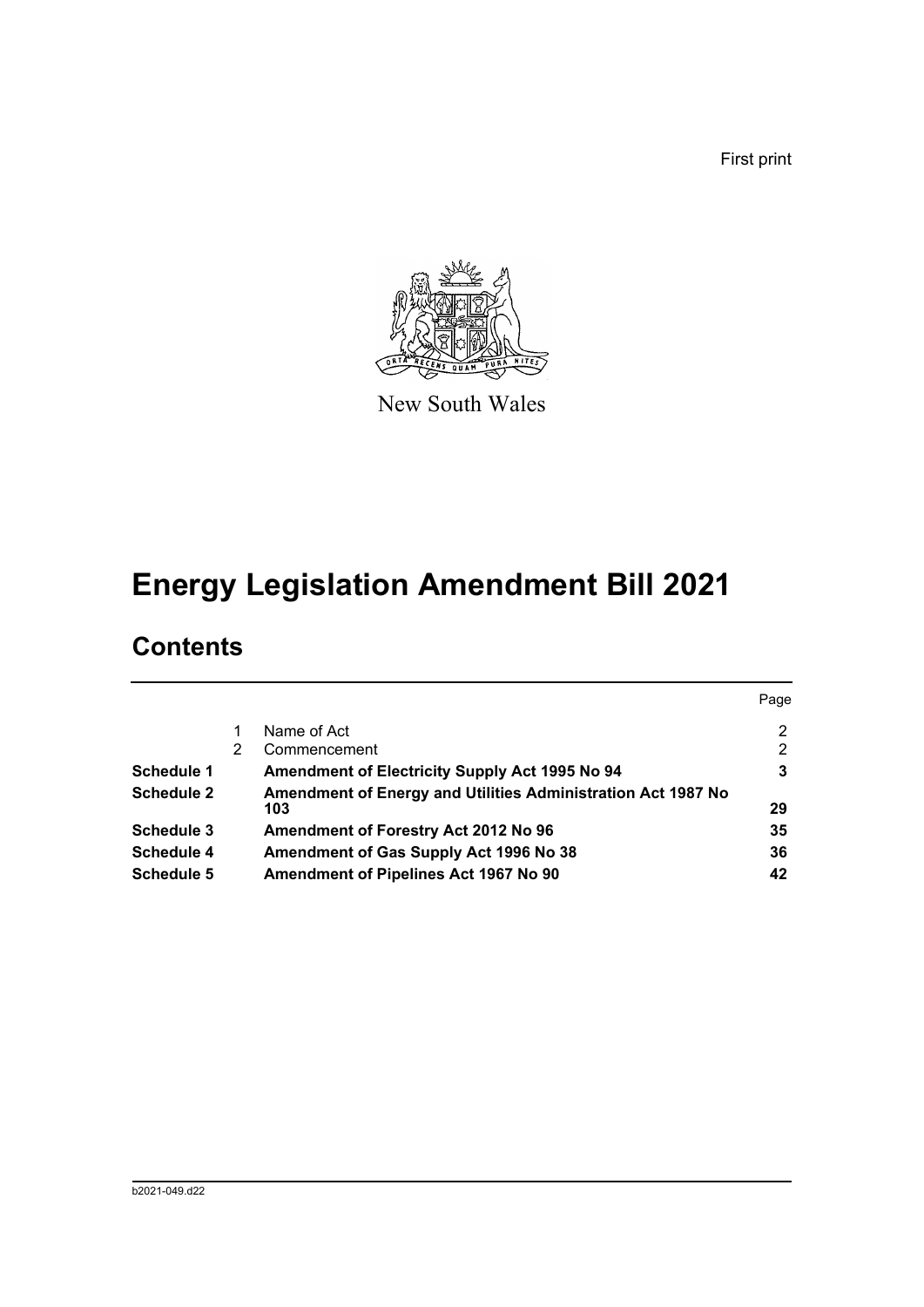First print



New South Wales

# **Energy Legislation Amendment Bill 2021**

## **Contents**

|                   |   |                                                                     | Page           |
|-------------------|---|---------------------------------------------------------------------|----------------|
|                   |   | Name of Act                                                         | $\overline{2}$ |
|                   | 2 | Commencement                                                        | $\overline{2}$ |
| <b>Schedule 1</b> |   | Amendment of Electricity Supply Act 1995 No 94                      | 3              |
| <b>Schedule 2</b> |   | Amendment of Energy and Utilities Administration Act 1987 No<br>103 | 29             |
| Schedule 3        |   | Amendment of Forestry Act 2012 No 96                                | 35             |
| <b>Schedule 4</b> |   | Amendment of Gas Supply Act 1996 No 38                              | 36             |
| <b>Schedule 5</b> |   | Amendment of Pipelines Act 1967 No 90                               | 42             |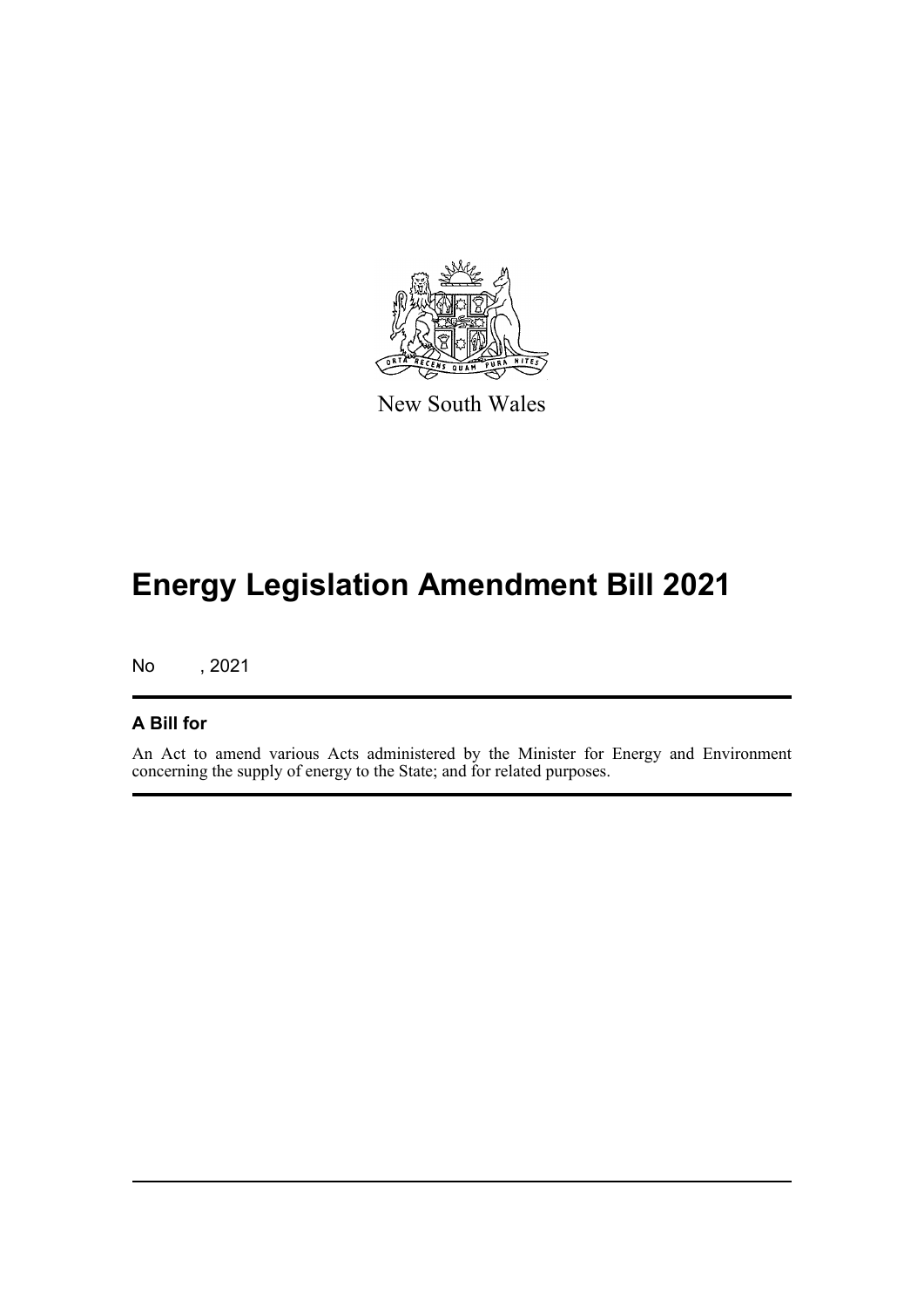

New South Wales

# **Energy Legislation Amendment Bill 2021**

No , 2021

#### **A Bill for**

An Act to amend various Acts administered by the Minister for Energy and Environment concerning the supply of energy to the State; and for related purposes.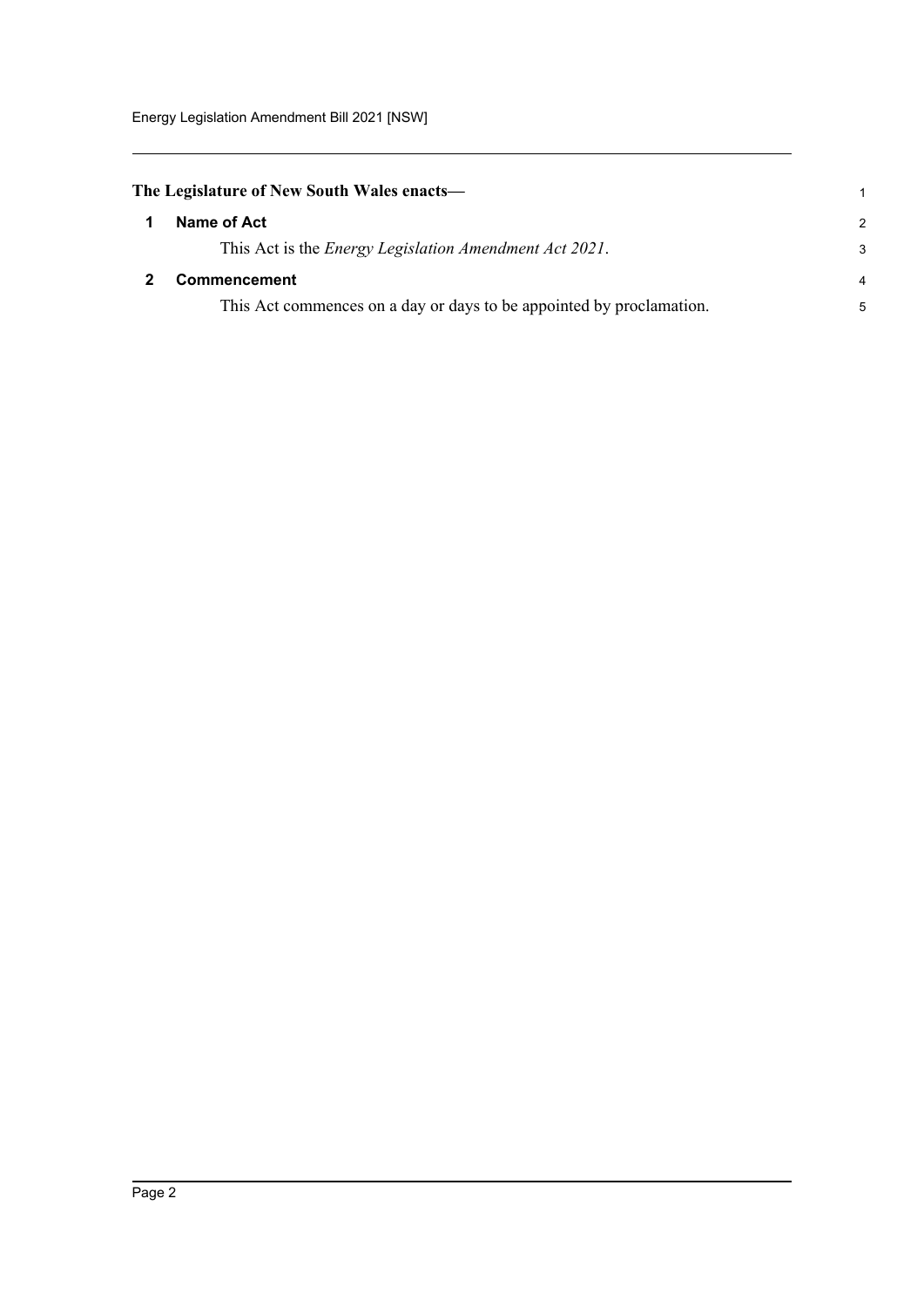<span id="page-7-1"></span><span id="page-7-0"></span>

| The Legislature of New South Wales enacts— |                                                                      |                |  |
|--------------------------------------------|----------------------------------------------------------------------|----------------|--|
|                                            | Name of Act                                                          | $\mathcal{P}$  |  |
|                                            | This Act is the <i>Energy Legislation Amendment Act 2021</i> .       | 3              |  |
|                                            | <b>Commencement</b>                                                  | $\overline{4}$ |  |
|                                            | This Act commences on a day or days to be appointed by proclamation. | 5              |  |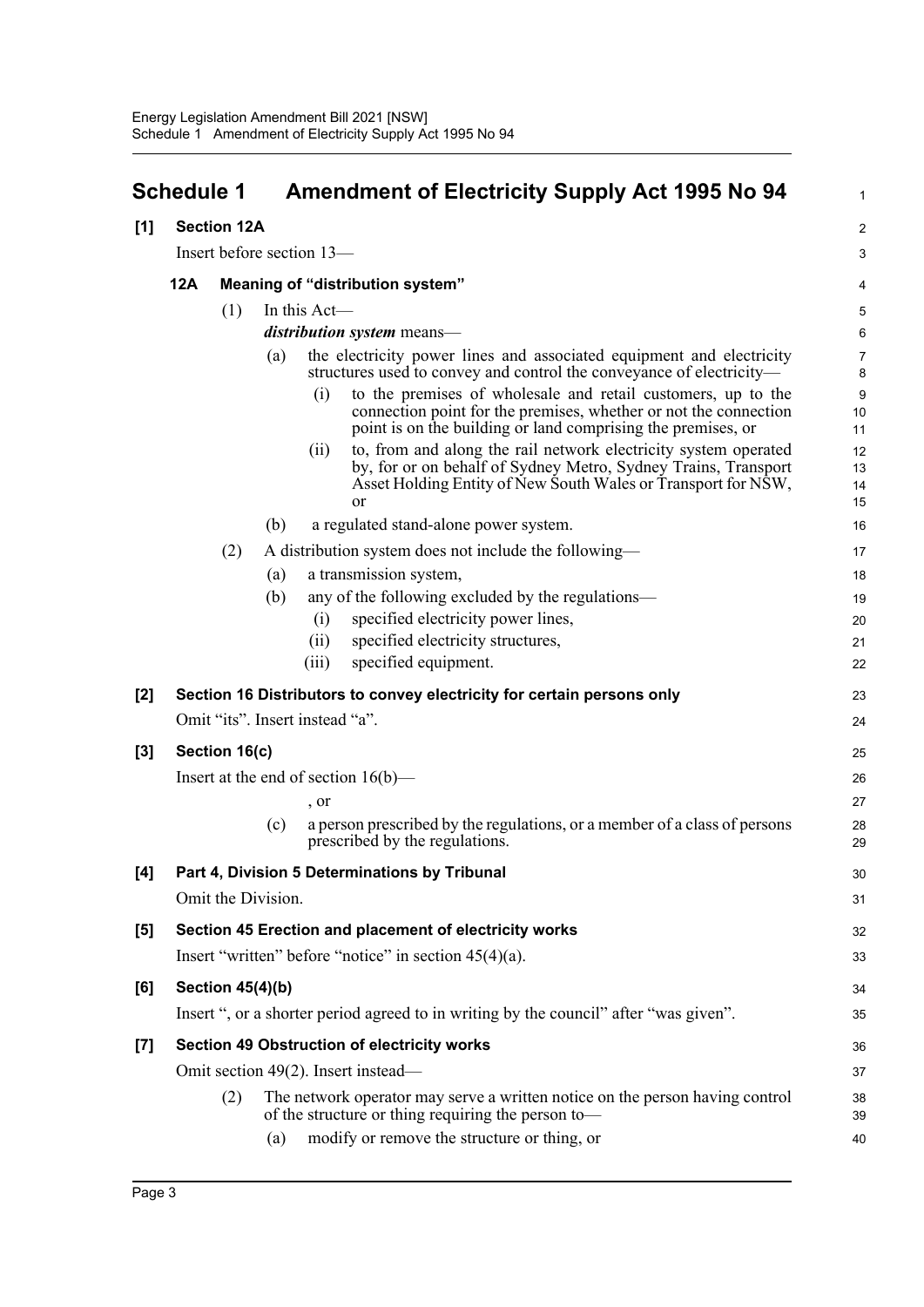<span id="page-8-0"></span>

| <b>Section 12A</b><br>[1]<br>Insert before section 13-<br>12A<br>Meaning of "distribution system"<br>In this Act-<br>(1)<br>distribution system means-<br>the electricity power lines and associated equipment and electricity<br>(a)<br>structures used to convey and control the conveyance of electricity—<br>to the premises of wholesale and retail customers, up to the<br>(i)<br>connection point for the premises, whether or not the connection<br>point is on the building or land comprising the premises, or<br>to, from and along the rail network electricity system operated<br>(ii)<br>by, for or on behalf of Sydney Metro, Sydney Trains, Transport<br>Asset Holding Entity of New South Wales or Transport for NSW,<br>or<br>a regulated stand-alone power system.<br>(b)<br>(2)<br>A distribution system does not include the following—<br>a transmission system,<br>(a)<br>any of the following excluded by the regulations—<br>(b) |                      |
|-----------------------------------------------------------------------------------------------------------------------------------------------------------------------------------------------------------------------------------------------------------------------------------------------------------------------------------------------------------------------------------------------------------------------------------------------------------------------------------------------------------------------------------------------------------------------------------------------------------------------------------------------------------------------------------------------------------------------------------------------------------------------------------------------------------------------------------------------------------------------------------------------------------------------------------------------------------|----------------------|
|                                                                                                                                                                                                                                                                                                                                                                                                                                                                                                                                                                                                                                                                                                                                                                                                                                                                                                                                                           | $\boldsymbol{2}$     |
|                                                                                                                                                                                                                                                                                                                                                                                                                                                                                                                                                                                                                                                                                                                                                                                                                                                                                                                                                           | 3                    |
|                                                                                                                                                                                                                                                                                                                                                                                                                                                                                                                                                                                                                                                                                                                                                                                                                                                                                                                                                           | 4                    |
|                                                                                                                                                                                                                                                                                                                                                                                                                                                                                                                                                                                                                                                                                                                                                                                                                                                                                                                                                           | 5                    |
|                                                                                                                                                                                                                                                                                                                                                                                                                                                                                                                                                                                                                                                                                                                                                                                                                                                                                                                                                           | 6                    |
|                                                                                                                                                                                                                                                                                                                                                                                                                                                                                                                                                                                                                                                                                                                                                                                                                                                                                                                                                           | $\overline{7}$<br>8  |
|                                                                                                                                                                                                                                                                                                                                                                                                                                                                                                                                                                                                                                                                                                                                                                                                                                                                                                                                                           | 9<br>10<br>11        |
|                                                                                                                                                                                                                                                                                                                                                                                                                                                                                                                                                                                                                                                                                                                                                                                                                                                                                                                                                           | 12<br>13<br>14<br>15 |
|                                                                                                                                                                                                                                                                                                                                                                                                                                                                                                                                                                                                                                                                                                                                                                                                                                                                                                                                                           | 16                   |
|                                                                                                                                                                                                                                                                                                                                                                                                                                                                                                                                                                                                                                                                                                                                                                                                                                                                                                                                                           | 17                   |
|                                                                                                                                                                                                                                                                                                                                                                                                                                                                                                                                                                                                                                                                                                                                                                                                                                                                                                                                                           | 18                   |
|                                                                                                                                                                                                                                                                                                                                                                                                                                                                                                                                                                                                                                                                                                                                                                                                                                                                                                                                                           | 19                   |
| specified electricity power lines,<br>(i)                                                                                                                                                                                                                                                                                                                                                                                                                                                                                                                                                                                                                                                                                                                                                                                                                                                                                                                 | 20                   |
| specified electricity structures,<br>(ii)                                                                                                                                                                                                                                                                                                                                                                                                                                                                                                                                                                                                                                                                                                                                                                                                                                                                                                                 | 21                   |
| specified equipment.<br>(iii)                                                                                                                                                                                                                                                                                                                                                                                                                                                                                                                                                                                                                                                                                                                                                                                                                                                                                                                             | 22                   |
| [2]<br>Section 16 Distributors to convey electricity for certain persons only                                                                                                                                                                                                                                                                                                                                                                                                                                                                                                                                                                                                                                                                                                                                                                                                                                                                             | 23                   |
| Omit "its". Insert instead "a".                                                                                                                                                                                                                                                                                                                                                                                                                                                                                                                                                                                                                                                                                                                                                                                                                                                                                                                           | 24                   |
| Section 16(c)<br>[3]                                                                                                                                                                                                                                                                                                                                                                                                                                                                                                                                                                                                                                                                                                                                                                                                                                                                                                                                      | 25                   |
| Insert at the end of section $16(b)$ —                                                                                                                                                                                                                                                                                                                                                                                                                                                                                                                                                                                                                                                                                                                                                                                                                                                                                                                    | 26                   |
| , or                                                                                                                                                                                                                                                                                                                                                                                                                                                                                                                                                                                                                                                                                                                                                                                                                                                                                                                                                      | 27                   |
| a person prescribed by the regulations, or a member of a class of persons<br>(c)<br>prescribed by the regulations.                                                                                                                                                                                                                                                                                                                                                                                                                                                                                                                                                                                                                                                                                                                                                                                                                                        | 28<br>29             |
| Part 4, Division 5 Determinations by Tribunal<br>[4]                                                                                                                                                                                                                                                                                                                                                                                                                                                                                                                                                                                                                                                                                                                                                                                                                                                                                                      | 30                   |
| Omit the Division.                                                                                                                                                                                                                                                                                                                                                                                                                                                                                                                                                                                                                                                                                                                                                                                                                                                                                                                                        | 31                   |
| Section 45 Erection and placement of electricity works<br>[5]                                                                                                                                                                                                                                                                                                                                                                                                                                                                                                                                                                                                                                                                                                                                                                                                                                                                                             | 32                   |
| Insert "written" before "notice" in section $45(4)(a)$ .                                                                                                                                                                                                                                                                                                                                                                                                                                                                                                                                                                                                                                                                                                                                                                                                                                                                                                  | 33                   |
| [6]<br><b>Section 45(4)(b)</b>                                                                                                                                                                                                                                                                                                                                                                                                                                                                                                                                                                                                                                                                                                                                                                                                                                                                                                                            | 34                   |
| Insert ", or a shorter period agreed to in writing by the council" after "was given".                                                                                                                                                                                                                                                                                                                                                                                                                                                                                                                                                                                                                                                                                                                                                                                                                                                                     | 35                   |
| <b>Section 49 Obstruction of electricity works</b><br>$[7]$                                                                                                                                                                                                                                                                                                                                                                                                                                                                                                                                                                                                                                                                                                                                                                                                                                                                                               | 36                   |
| Omit section 49(2). Insert instead—                                                                                                                                                                                                                                                                                                                                                                                                                                                                                                                                                                                                                                                                                                                                                                                                                                                                                                                       | 37                   |
| The network operator may serve a written notice on the person having control<br>(2)<br>of the structure or thing requiring the person to-                                                                                                                                                                                                                                                                                                                                                                                                                                                                                                                                                                                                                                                                                                                                                                                                                 | 38<br>39             |
| modify or remove the structure or thing, or<br>(a)                                                                                                                                                                                                                                                                                                                                                                                                                                                                                                                                                                                                                                                                                                                                                                                                                                                                                                        | 40                   |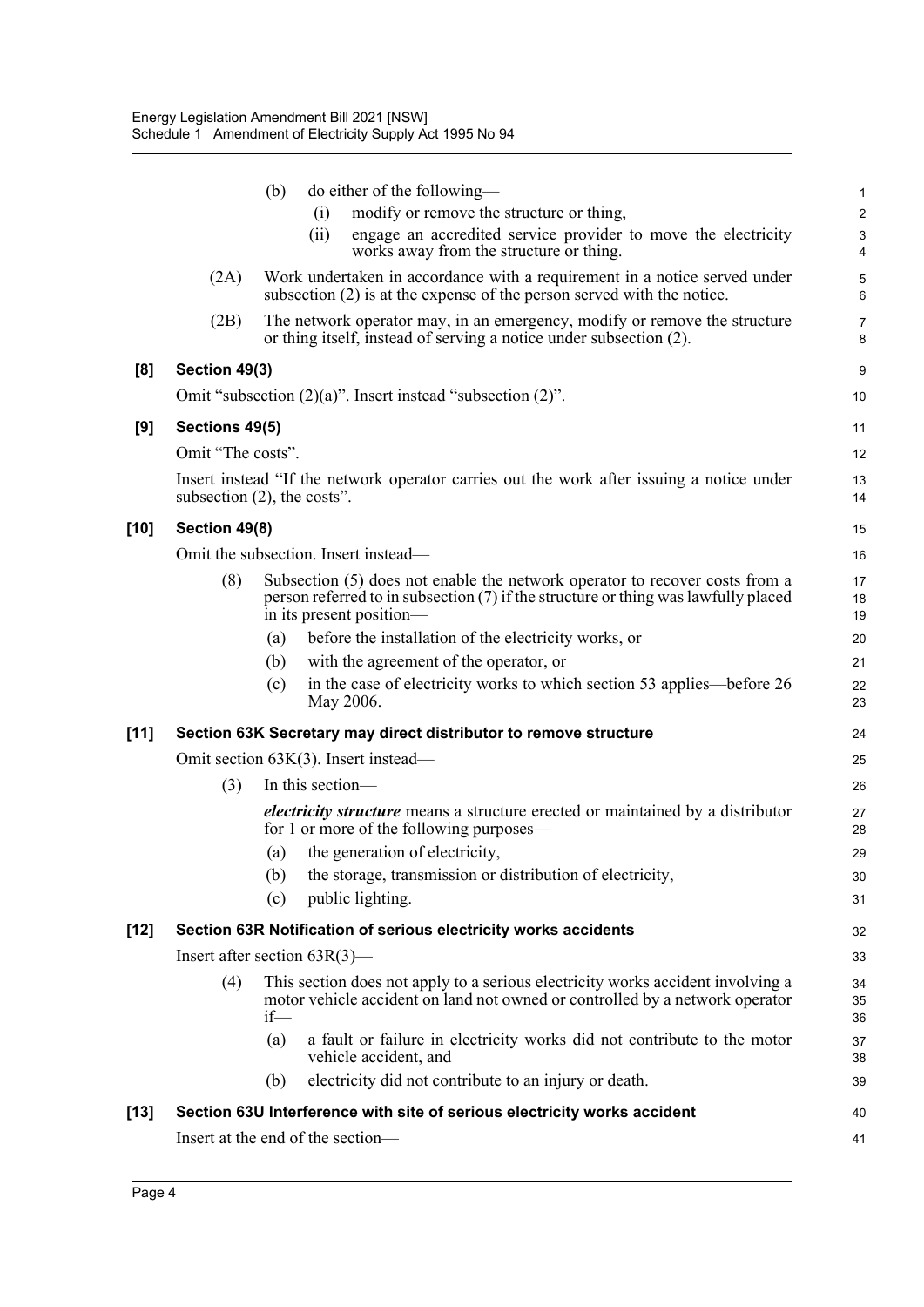|        |                                | (b)               | do either of the following—                                                                                                                                                                   | $\mathbf{1}$        |
|--------|--------------------------------|-------------------|-----------------------------------------------------------------------------------------------------------------------------------------------------------------------------------------------|---------------------|
|        |                                |                   | modify or remove the structure or thing,<br>(i)                                                                                                                                               | $\overline{c}$      |
|        |                                |                   | (ii)<br>engage an accredited service provider to move the electricity<br>works away from the structure or thing.                                                                              | 3<br>$\overline{4}$ |
|        | (2A)                           |                   | Work undertaken in accordance with a requirement in a notice served under<br>subsection $(2)$ is at the expense of the person served with the notice.                                         | 5<br>6              |
|        | (2B)                           |                   | The network operator may, in an emergency, modify or remove the structure<br>or thing itself, instead of serving a notice under subsection (2).                                               | $\overline{7}$<br>8 |
| [8]    | Section 49(3)                  |                   |                                                                                                                                                                                               | 9                   |
|        |                                |                   | Omit "subsection $(2)(a)$ ". Insert instead "subsection $(2)$ ".                                                                                                                              | 10                  |
| [9]    | Sections 49(5)                 |                   |                                                                                                                                                                                               | 11                  |
|        | Omit "The costs".              |                   |                                                                                                                                                                                               | 12                  |
|        | subsection $(2)$ , the costs". |                   | Insert instead "If the network operator carries out the work after issuing a notice under                                                                                                     | 13<br>14            |
| $[10]$ | Section 49(8)                  |                   |                                                                                                                                                                                               | 15                  |
|        |                                |                   | Omit the subsection. Insert instead—                                                                                                                                                          | 16                  |
|        | (8)                            |                   | Subsection (5) does not enable the network operator to recover costs from a<br>person referred to in subsection (7) if the structure or thing was lawfully placed<br>in its present position— | 17<br>18<br>19      |
|        |                                | $\left( a\right)$ | before the installation of the electricity works, or                                                                                                                                          | 20                  |
|        |                                | (b)               | with the agreement of the operator, or                                                                                                                                                        | 21                  |
|        |                                | (c)               | in the case of electricity works to which section 53 applies—before 26<br>May 2006.                                                                                                           | 22<br>23            |
| $[11]$ |                                |                   | Section 63K Secretary may direct distributor to remove structure                                                                                                                              | 24                  |
|        |                                |                   | Omit section $63K(3)$ . Insert instead—                                                                                                                                                       | 25                  |
|        | (3)                            |                   | In this section—                                                                                                                                                                              | 26                  |
|        |                                |                   | <i>electricity structure</i> means a structure erected or maintained by a distributor<br>for 1 or more of the following purposes—                                                             | 27<br>28            |
|        |                                | $\left( a\right)$ | the generation of electricity,                                                                                                                                                                | 29                  |
|        |                                |                   | (b) the storage, transmission or distribution of electricity,                                                                                                                                 | 30                  |
|        |                                | (c)               | public lighting.                                                                                                                                                                              | 31                  |
| $[12]$ |                                |                   | Section 63R Notification of serious electricity works accidents                                                                                                                               | 32                  |
|        |                                |                   | Insert after section $63R(3)$ —                                                                                                                                                               | 33                  |
|        | (4)                            | $if$ —            | This section does not apply to a serious electricity works accident involving a<br>motor vehicle accident on land not owned or controlled by a network operator                               | 34<br>35<br>36      |
|        |                                | (a)               | a fault or failure in electricity works did not contribute to the motor<br>vehicle accident, and                                                                                              | 37<br>38            |
|        |                                | (b)               | electricity did not contribute to an injury or death.                                                                                                                                         | 39                  |
| $[13]$ |                                |                   | Section 63U Interference with site of serious electricity works accident                                                                                                                      | 40                  |
|        |                                |                   | Insert at the end of the section-                                                                                                                                                             | 41                  |
|        |                                |                   |                                                                                                                                                                                               |                     |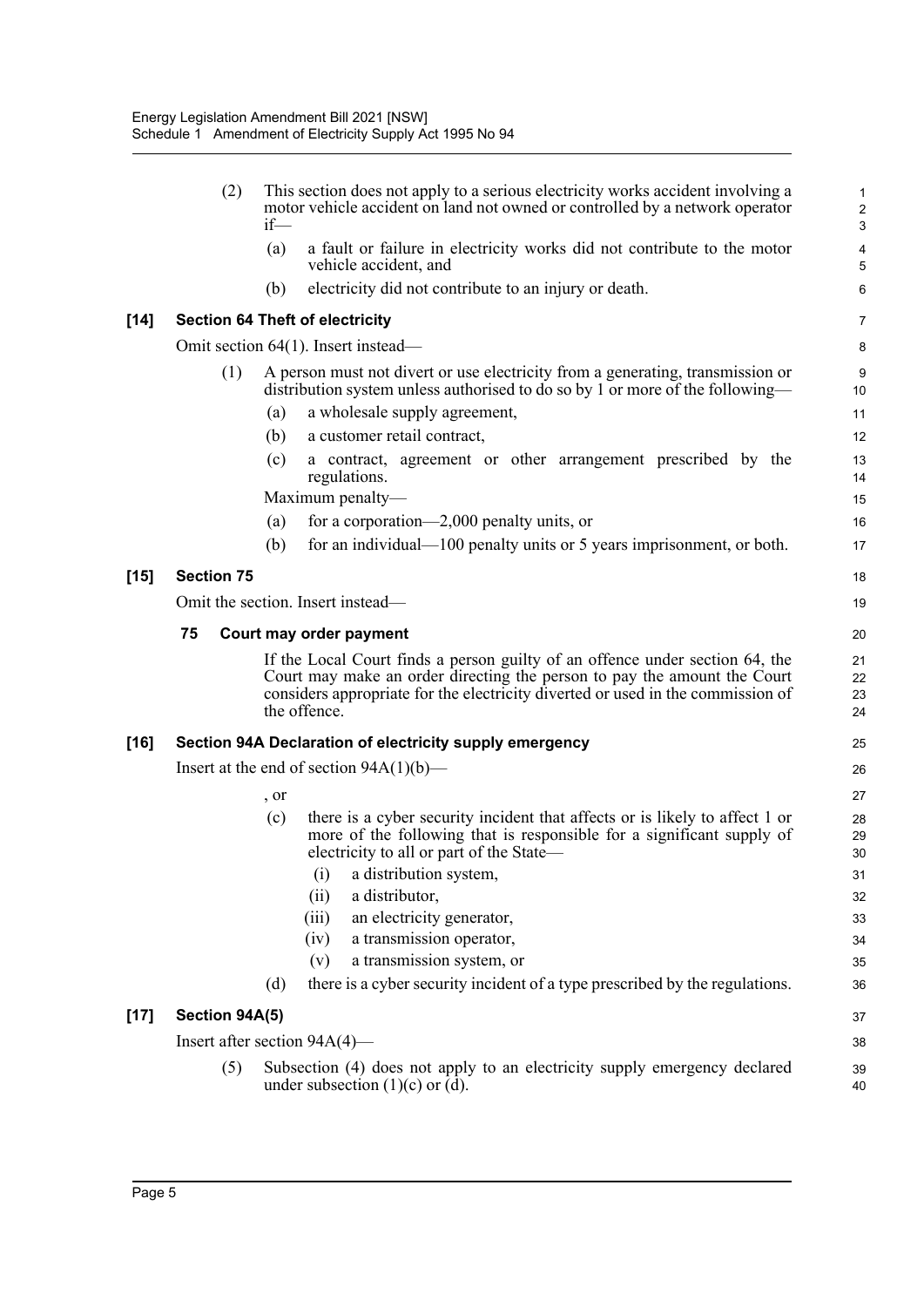|        | (2)               | This section does not apply to a serious electricity works accident involving a<br>motor vehicle accident on land not owned or controlled by a network operator<br>$if$ —                                                                                   | 1<br>$\overline{\mathbf{c}}$<br>3 |
|--------|-------------------|-------------------------------------------------------------------------------------------------------------------------------------------------------------------------------------------------------------------------------------------------------------|-----------------------------------|
|        |                   | (a)<br>a fault or failure in electricity works did not contribute to the motor<br>vehicle accident, and                                                                                                                                                     | 4<br>5                            |
|        |                   | electricity did not contribute to an injury or death.<br>(b)                                                                                                                                                                                                | 6                                 |
| $[14]$ |                   | <b>Section 64 Theft of electricity</b>                                                                                                                                                                                                                      | 7                                 |
|        |                   | Omit section $64(1)$ . Insert instead—                                                                                                                                                                                                                      | 8                                 |
|        | (1)               | A person must not divert or use electricity from a generating, transmission or<br>distribution system unless authorised to do so by 1 or more of the following—                                                                                             | 9<br>10                           |
|        |                   | a wholesale supply agreement,<br>(a)                                                                                                                                                                                                                        | 11                                |
|        |                   | (b)<br>a customer retail contract,                                                                                                                                                                                                                          | 12                                |
|        |                   | (c)<br>a contract, agreement or other arrangement prescribed by the<br>regulations.                                                                                                                                                                         | 13<br>14                          |
|        |                   | Maximum penalty-                                                                                                                                                                                                                                            | 15                                |
|        |                   | for a corporation—2,000 penalty units, or<br>(a)                                                                                                                                                                                                            | 16                                |
|        |                   | for an individual— $100$ penalty units or 5 years imprisonment, or both.<br>(b)                                                                                                                                                                             | 17                                |
| $[15]$ | <b>Section 75</b> |                                                                                                                                                                                                                                                             | 18                                |
|        |                   | Omit the section. Insert instead—                                                                                                                                                                                                                           | 19                                |
|        | 75                | Court may order payment                                                                                                                                                                                                                                     | 20                                |
|        |                   | If the Local Court finds a person guilty of an offence under section 64, the<br>Court may make an order directing the person to pay the amount the Court<br>considers appropriate for the electricity diverted or used in the commission of<br>the offence. | 21<br>22<br>23<br>24              |
| [16]   |                   | Section 94A Declaration of electricity supply emergency                                                                                                                                                                                                     | 25                                |
|        |                   | Insert at the end of section $94A(1)(b)$ —                                                                                                                                                                                                                  | 26                                |
|        |                   | , or                                                                                                                                                                                                                                                        | 27                                |
|        |                   | there is a cyber security incident that affects or is likely to affect 1 or<br>(c)<br>more of the following that is responsible for a significant supply of<br>electricity to all or part of the State—                                                     | 28<br>29<br>30                    |
|        |                   | (i) a distribution system,                                                                                                                                                                                                                                  | 31                                |
|        |                   | a distributor,<br>(ii)                                                                                                                                                                                                                                      | 32                                |
|        |                   | an electricity generator,<br>(iii)                                                                                                                                                                                                                          | 33                                |
|        |                   | a transmission operator,<br>(iv)<br>a transmission system, or<br>(v)                                                                                                                                                                                        | 34                                |
|        |                   | there is a cyber security incident of a type prescribed by the regulations.<br>(d)                                                                                                                                                                          | 35<br>36                          |
|        |                   |                                                                                                                                                                                                                                                             |                                   |
| $[17]$ | Section 94A(5)    |                                                                                                                                                                                                                                                             | 37                                |
|        |                   | Insert after section $94A(4)$ —                                                                                                                                                                                                                             | 38                                |
|        | (5)               | Subsection (4) does not apply to an electricity supply emergency declared<br>under subsection $(1)(c)$ or $(d)$ .                                                                                                                                           | 39<br>40                          |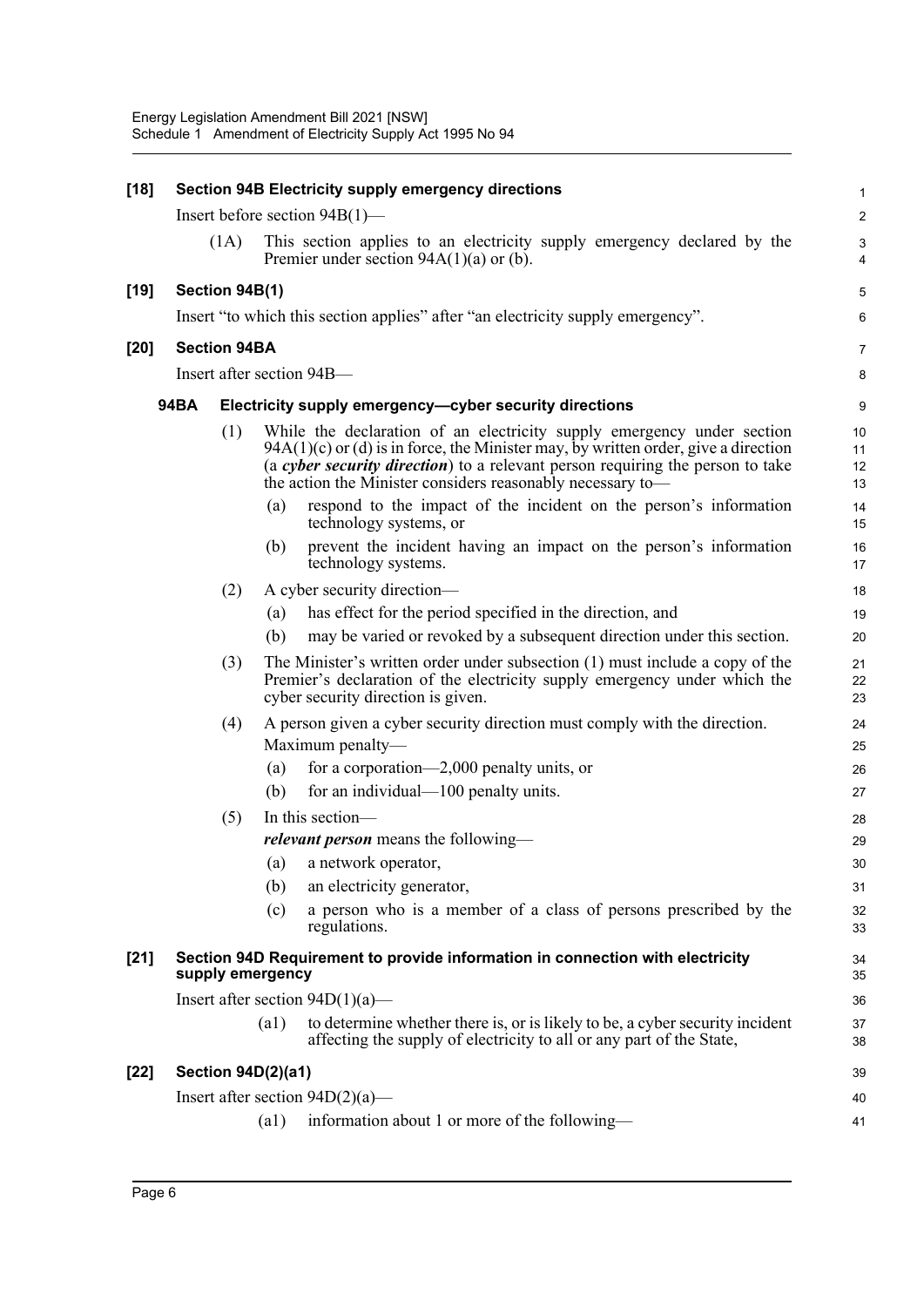| $[18]$ | <b>Section 94B Electricity supply emergency directions</b> |                     |                           |                                                                                                                                                                                                                                                                                                                |                         |  |  |
|--------|------------------------------------------------------------|---------------------|---------------------------|----------------------------------------------------------------------------------------------------------------------------------------------------------------------------------------------------------------------------------------------------------------------------------------------------------------|-------------------------|--|--|
|        |                                                            |                     |                           | Insert before section $94B(1)$ —                                                                                                                                                                                                                                                                               | $\overline{\mathbf{c}}$ |  |  |
|        |                                                            | (1A)                |                           | This section applies to an electricity supply emergency declared by the<br>Premier under section $94A(1)(a)$ or (b).                                                                                                                                                                                           | 3<br>4                  |  |  |
| $[19]$ |                                                            | Section 94B(1)      |                           |                                                                                                                                                                                                                                                                                                                | 5                       |  |  |
|        |                                                            |                     |                           | Insert "to which this section applies" after "an electricity supply emergency".                                                                                                                                                                                                                                | 6                       |  |  |
| $[20]$ |                                                            | <b>Section 94BA</b> |                           |                                                                                                                                                                                                                                                                                                                | 7                       |  |  |
|        |                                                            |                     |                           | Insert after section 94B-                                                                                                                                                                                                                                                                                      | 8                       |  |  |
|        |                                                            |                     |                           |                                                                                                                                                                                                                                                                                                                |                         |  |  |
|        | <b>94BA</b>                                                |                     |                           | Electricity supply emergency-cyber security directions                                                                                                                                                                                                                                                         | 9                       |  |  |
|        |                                                            | (1)                 |                           | While the declaration of an electricity supply emergency under section<br>$94A(1)(c)$ or (d) is in force, the Minister may, by written order, give a direction<br>(a cyber security direction) to a relevant person requiring the person to take<br>the action the Minister considers reasonably necessary to- | 10<br>11<br>12<br>13    |  |  |
|        |                                                            |                     | (a)                       | respond to the impact of the incident on the person's information<br>technology systems, or                                                                                                                                                                                                                    | 14<br>15                |  |  |
|        |                                                            |                     | (b)                       | prevent the incident having an impact on the person's information<br>technology systems.                                                                                                                                                                                                                       | 16<br>17                |  |  |
|        |                                                            | (2)                 |                           | A cyber security direction—                                                                                                                                                                                                                                                                                    | 18                      |  |  |
|        |                                                            |                     | (a)                       | has effect for the period specified in the direction, and                                                                                                                                                                                                                                                      | 19                      |  |  |
|        |                                                            |                     | (b)                       | may be varied or revoked by a subsequent direction under this section.                                                                                                                                                                                                                                         | 20                      |  |  |
|        |                                                            | (3)                 |                           | The Minister's written order under subsection (1) must include a copy of the<br>Premier's declaration of the electricity supply emergency under which the<br>cyber security direction is given.                                                                                                                | 21<br>22<br>23          |  |  |
|        |                                                            | (4)                 |                           | A person given a cyber security direction must comply with the direction.                                                                                                                                                                                                                                      | 24                      |  |  |
|        |                                                            |                     |                           | Maximum penalty-                                                                                                                                                                                                                                                                                               | 25                      |  |  |
|        |                                                            |                     | (a)                       | for a corporation—2,000 penalty units, or                                                                                                                                                                                                                                                                      | 26                      |  |  |
|        |                                                            |                     | (b)                       | for an individual—100 penalty units.                                                                                                                                                                                                                                                                           | 27                      |  |  |
|        |                                                            | (5)                 |                           | In this section-                                                                                                                                                                                                                                                                                               | 28                      |  |  |
|        |                                                            |                     | (a)                       | <i>relevant person</i> means the following—<br>a network operator,                                                                                                                                                                                                                                             | 29                      |  |  |
|        |                                                            |                     | (b)                       | an electricity generator,                                                                                                                                                                                                                                                                                      | 30<br>31                |  |  |
|        |                                                            |                     | (c)                       | a person who is a member of a class of persons prescribed by the<br>regulations.                                                                                                                                                                                                                               | 32<br>33                |  |  |
| $[21]$ |                                                            |                     | supply emergency          | Section 94D Requirement to provide information in connection with electricity                                                                                                                                                                                                                                  | 34<br>35                |  |  |
|        |                                                            |                     |                           | Insert after section $94D(1)(a)$ —                                                                                                                                                                                                                                                                             | 36                      |  |  |
|        |                                                            |                     | (a1)                      | to determine whether there is, or is likely to be, a cyber security incident<br>affecting the supply of electricity to all or any part of the State,                                                                                                                                                           | 37<br>38                |  |  |
| $[22]$ |                                                            |                     | <b>Section 94D(2)(a1)</b> |                                                                                                                                                                                                                                                                                                                | 39                      |  |  |
|        |                                                            |                     |                           | Insert after section $94D(2)(a)$ —                                                                                                                                                                                                                                                                             | 40                      |  |  |
|        |                                                            |                     | (a1)                      | information about 1 or more of the following-                                                                                                                                                                                                                                                                  | 41                      |  |  |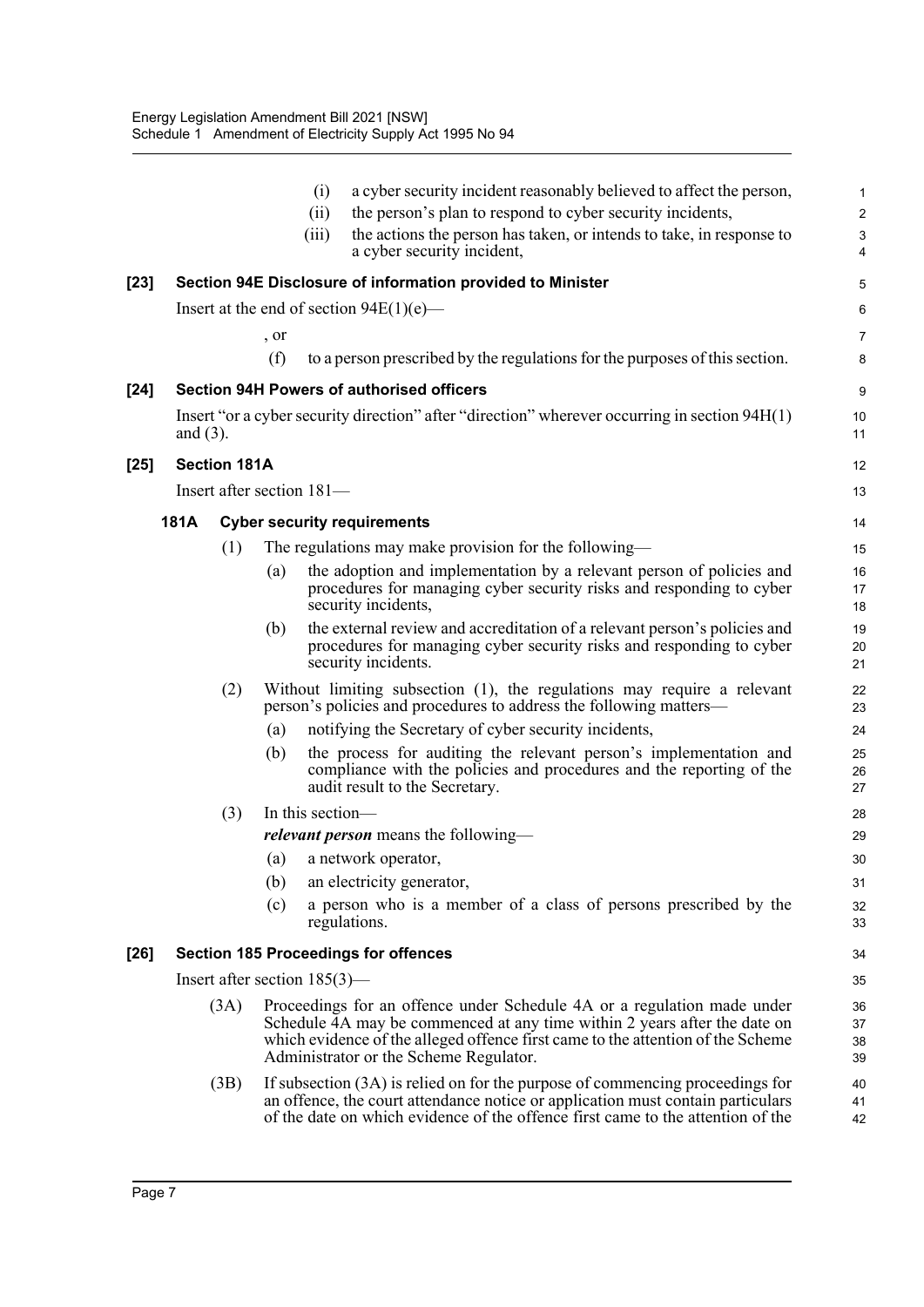|        |             |                     |      | (i)<br>(ii)<br>(iii)            | a cyber security incident reasonably believed to affect the person,<br>the person's plan to respond to cyber security incidents,<br>the actions the person has taken, or intends to take, in response to<br>a cyber security incident,                                            | 1<br>$\overline{c}$<br>$\mathsf 3$<br>4 |
|--------|-------------|---------------------|------|---------------------------------|-----------------------------------------------------------------------------------------------------------------------------------------------------------------------------------------------------------------------------------------------------------------------------------|-----------------------------------------|
| $[23]$ |             |                     |      |                                 | Section 94E Disclosure of information provided to Minister                                                                                                                                                                                                                        | 5                                       |
|        |             |                     |      |                                 | Insert at the end of section $94E(1)(e)$ —                                                                                                                                                                                                                                        | 6                                       |
|        |             |                     | , or |                                 |                                                                                                                                                                                                                                                                                   | 7                                       |
|        |             |                     | (f)  |                                 | to a person prescribed by the regulations for the purposes of this section.                                                                                                                                                                                                       | 8                                       |
| $[24]$ |             |                     |      |                                 | <b>Section 94H Powers of authorised officers</b>                                                                                                                                                                                                                                  | 9                                       |
|        | and $(3)$ . |                     |      |                                 | Insert "or a cyber security direction" after "direction" wherever occurring in section 94H(1)                                                                                                                                                                                     | 10<br>11                                |
| $[25]$ |             | <b>Section 181A</b> |      |                                 |                                                                                                                                                                                                                                                                                   | 12                                      |
|        |             |                     |      | Insert after section 181-       |                                                                                                                                                                                                                                                                                   | 13                                      |
|        | <b>181A</b> |                     |      |                                 | <b>Cyber security requirements</b>                                                                                                                                                                                                                                                | 14                                      |
|        |             | (1)                 |      |                                 | The regulations may make provision for the following—                                                                                                                                                                                                                             | 15                                      |
|        |             |                     | (a)  |                                 | the adoption and implementation by a relevant person of policies and<br>procedures for managing cyber security risks and responding to cyber<br>security incidents,                                                                                                               | 16<br>17<br>18                          |
|        |             |                     | (b)  |                                 | the external review and accreditation of a relevant person's policies and<br>procedures for managing cyber security risks and responding to cyber<br>security incidents.                                                                                                          | 19<br>20<br>21                          |
|        |             | (2)                 |      |                                 | Without limiting subsection (1), the regulations may require a relevant<br>person's policies and procedures to address the following matters—                                                                                                                                     | 22<br>23                                |
|        |             |                     | (a)  |                                 | notifying the Secretary of cyber security incidents,                                                                                                                                                                                                                              | 24                                      |
|        |             |                     | (b)  |                                 | the process for auditing the relevant person's implementation and<br>compliance with the policies and procedures and the reporting of the<br>audit result to the Secretary.                                                                                                       | 25<br>26<br>27                          |
|        |             | (3)                 |      | In this section-                |                                                                                                                                                                                                                                                                                   | 28                                      |
|        |             |                     |      |                                 | <i>relevant person</i> means the following—                                                                                                                                                                                                                                       | 29                                      |
|        |             |                     | (a)  |                                 | a network operator,                                                                                                                                                                                                                                                               | 30                                      |
|        |             |                     | (b)  |                                 | an electricity generator,                                                                                                                                                                                                                                                         | 31                                      |
|        |             |                     | (c)  |                                 | a person who is a member of a class of persons prescribed by the<br>regulations.                                                                                                                                                                                                  | 32<br>33                                |
| $[26]$ |             |                     |      |                                 | <b>Section 185 Proceedings for offences</b>                                                                                                                                                                                                                                       | 34                                      |
|        |             |                     |      | Insert after section $185(3)$ — |                                                                                                                                                                                                                                                                                   | 35                                      |
|        |             | (3A)                |      |                                 | Proceedings for an offence under Schedule 4A or a regulation made under<br>Schedule 4A may be commenced at any time within 2 years after the date on<br>which evidence of the alleged offence first came to the attention of the Scheme<br>Administrator or the Scheme Regulator. | 36<br>37<br>38<br>39                    |
|        |             | (3B)                |      |                                 | If subsection (3A) is relied on for the purpose of commencing proceedings for<br>an offence, the court attendance notice or application must contain particulars<br>of the date on which evidence of the offence first came to the attention of the                               | 40<br>41<br>42                          |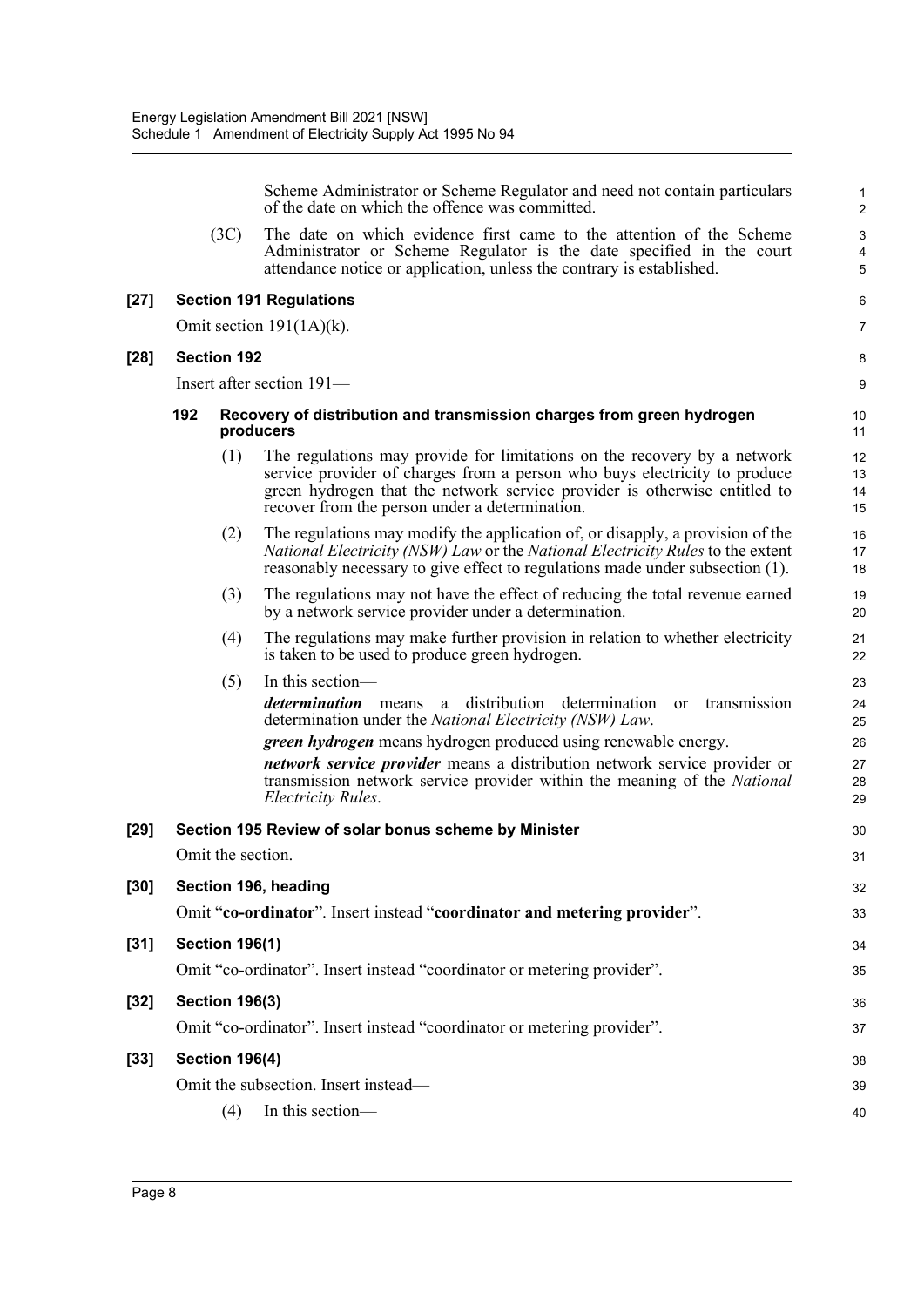|        |     |                       | Scheme Administrator or Scheme Regulator and need not contain particulars<br>of the date on which the offence was committed.                                                                                                                                                         | 1<br>$\overline{2}$                        |
|--------|-----|-----------------------|--------------------------------------------------------------------------------------------------------------------------------------------------------------------------------------------------------------------------------------------------------------------------------------|--------------------------------------------|
|        |     | (3C)                  | The date on which evidence first came to the attention of the Scheme<br>Administrator or Scheme Regulator is the date specified in the court<br>attendance notice or application, unless the contrary is established.                                                                | $\sqrt{3}$<br>$\overline{\mathbf{4}}$<br>5 |
| $[27]$ |     |                       | <b>Section 191 Regulations</b>                                                                                                                                                                                                                                                       | 6                                          |
|        |     |                       | Omit section $191(1A)(k)$ .                                                                                                                                                                                                                                                          | 7                                          |
| $[28]$ |     | <b>Section 192</b>    |                                                                                                                                                                                                                                                                                      | 8                                          |
|        |     |                       | Insert after section 191-                                                                                                                                                                                                                                                            | 9                                          |
|        | 192 |                       | Recovery of distribution and transmission charges from green hydrogen<br>producers                                                                                                                                                                                                   | 10<br>11                                   |
|        |     | (1)                   | The regulations may provide for limitations on the recovery by a network<br>service provider of charges from a person who buys electricity to produce<br>green hydrogen that the network service provider is otherwise entitled to<br>recover from the person under a determination. | 12<br>13<br>14<br>15                       |
|        |     | (2)                   | The regulations may modify the application of, or disapply, a provision of the<br>National Electricity (NSW) Law or the National Electricity Rules to the extent<br>reasonably necessary to give effect to regulations made under subsection (1).                                    | 16<br>17<br>18                             |
|        |     | (3)                   | The regulations may not have the effect of reducing the total revenue earned<br>by a network service provider under a determination.                                                                                                                                                 | 19<br>20                                   |
|        |     | (4)                   | The regulations may make further provision in relation to whether electricity<br>is taken to be used to produce green hydrogen.                                                                                                                                                      | 21<br>22                                   |
|        |     | (5)                   | In this section—                                                                                                                                                                                                                                                                     | 23                                         |
|        |     |                       | determination<br>distribution determination<br>transmission<br>means<br>a<br>or<br>determination under the National Electricity (NSW) Law.                                                                                                                                           | 24<br>25                                   |
|        |     |                       | green hydrogen means hydrogen produced using renewable energy.                                                                                                                                                                                                                       | 26                                         |
|        |     |                       | <i>network service provider</i> means a distribution network service provider or<br>transmission network service provider within the meaning of the National<br><i>Electricity Rules.</i>                                                                                            | 27<br>28<br>29                             |
| $[29]$ |     |                       | Section 195 Review of solar bonus scheme by Minister                                                                                                                                                                                                                                 | 30                                         |
|        |     | Omit the section.     |                                                                                                                                                                                                                                                                                      | 31                                         |
| $[30]$ |     |                       | Section 196, heading                                                                                                                                                                                                                                                                 | 32                                         |
|        |     |                       | Omit "co-ordinator". Insert instead "coordinator and metering provider".                                                                                                                                                                                                             | 33                                         |
| $[31]$ |     | <b>Section 196(1)</b> |                                                                                                                                                                                                                                                                                      | 34                                         |
|        |     |                       | Omit "co-ordinator". Insert instead "coordinator or metering provider".                                                                                                                                                                                                              | 35                                         |
| $[32]$ |     | <b>Section 196(3)</b> |                                                                                                                                                                                                                                                                                      | 36                                         |
|        |     |                       | Omit "co-ordinator". Insert instead "coordinator or metering provider".                                                                                                                                                                                                              | 37                                         |
| $[33]$ |     | <b>Section 196(4)</b> |                                                                                                                                                                                                                                                                                      | 38                                         |
|        |     |                       | Omit the subsection. Insert instead—                                                                                                                                                                                                                                                 | 39                                         |
|        |     | (4)                   | In this section-                                                                                                                                                                                                                                                                     | 40                                         |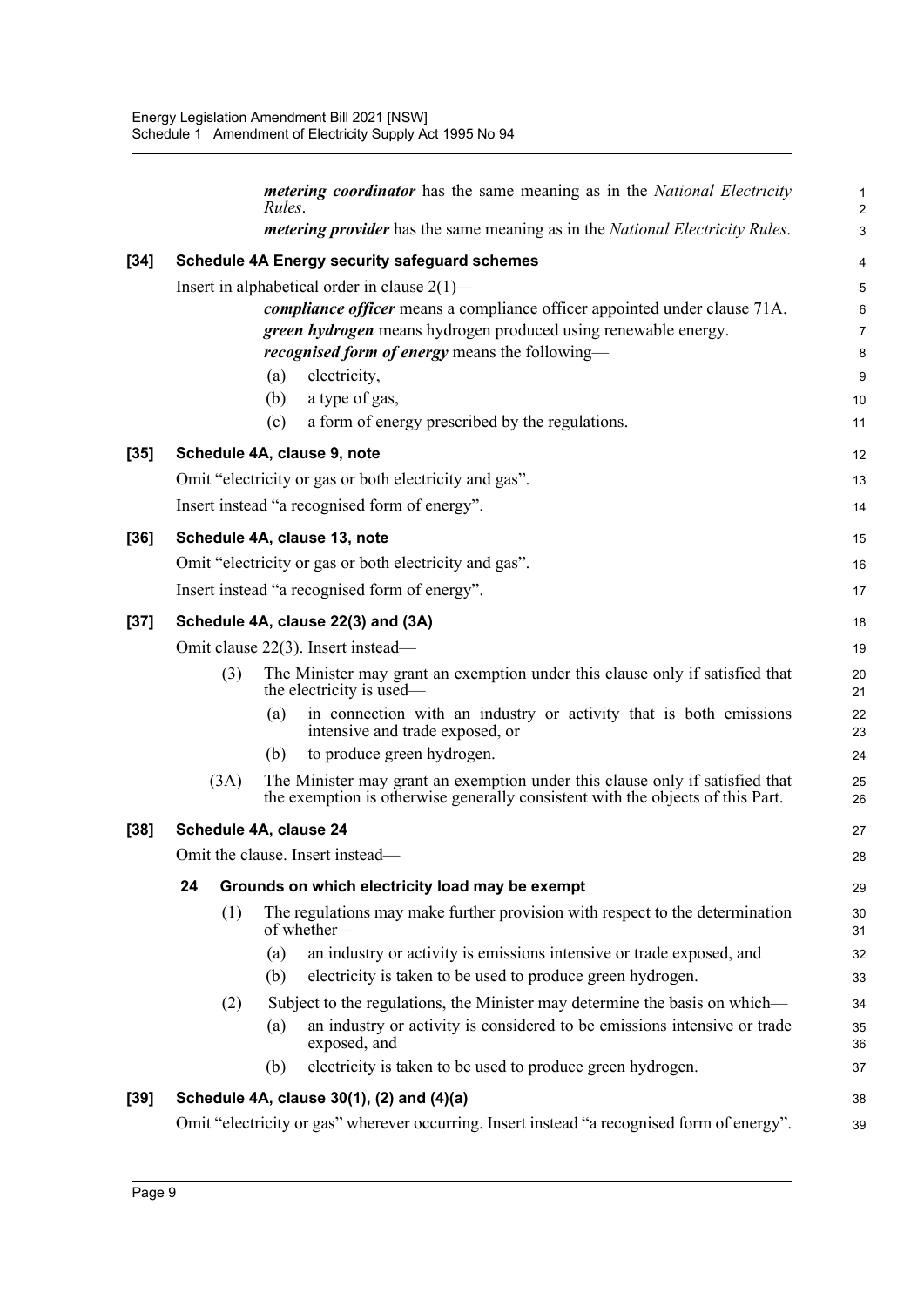|        |                                    | <i>metering coordinator</i> has the same meaning as in the <i>National Electricity</i><br>Rules.                                                                                                                                                                                                                                                                         | $\mathbf 1$<br>$\overline{c}$                            |  |  |  |  |
|--------|------------------------------------|--------------------------------------------------------------------------------------------------------------------------------------------------------------------------------------------------------------------------------------------------------------------------------------------------------------------------------------------------------------------------|----------------------------------------------------------|--|--|--|--|
|        |                                    | <i>metering provider</i> has the same meaning as in the <i>National Electricity Rules</i> .                                                                                                                                                                                                                                                                              | 3                                                        |  |  |  |  |
| $[34]$ |                                    | <b>Schedule 4A Energy security safeguard schemes</b>                                                                                                                                                                                                                                                                                                                     | 4                                                        |  |  |  |  |
|        |                                    | Insert in alphabetical order in clause $2(1)$ —<br><i>compliance officer</i> means a compliance officer appointed under clause 71A.<br>green hydrogen means hydrogen produced using renewable energy.<br><i>recognised form of energy</i> means the following—<br>electricity,<br>(a)<br>(b)<br>a type of gas,<br>a form of energy prescribed by the regulations.<br>(c) | $\mathbf 5$<br>6<br>$\overline{7}$<br>8<br>9<br>10<br>11 |  |  |  |  |
| $[35]$ |                                    | Schedule 4A, clause 9, note                                                                                                                                                                                                                                                                                                                                              | 12                                                       |  |  |  |  |
|        |                                    | Omit "electricity or gas or both electricity and gas".<br>Insert instead "a recognised form of energy".                                                                                                                                                                                                                                                                  | 13<br>14                                                 |  |  |  |  |
| $[36]$ |                                    | Schedule 4A, clause 13, note                                                                                                                                                                                                                                                                                                                                             | 15                                                       |  |  |  |  |
|        |                                    | Omit "electricity or gas or both electricity and gas".                                                                                                                                                                                                                                                                                                                   | 16                                                       |  |  |  |  |
|        |                                    | Insert instead "a recognised form of energy".                                                                                                                                                                                                                                                                                                                            | 17                                                       |  |  |  |  |
| $[37]$ |                                    | Schedule 4A, clause 22(3) and (3A)                                                                                                                                                                                                                                                                                                                                       | 18                                                       |  |  |  |  |
|        | Omit clause 22(3). Insert instead— |                                                                                                                                                                                                                                                                                                                                                                          |                                                          |  |  |  |  |
|        | (3)                                | The Minister may grant an exemption under this clause only if satisfied that<br>the electricity is used—                                                                                                                                                                                                                                                                 | 20<br>21                                                 |  |  |  |  |
|        |                                    | in connection with an industry or activity that is both emissions<br>(a)<br>intensive and trade exposed, or                                                                                                                                                                                                                                                              | 22<br>23                                                 |  |  |  |  |
|        |                                    | to produce green hydrogen.<br>(b)                                                                                                                                                                                                                                                                                                                                        | 24                                                       |  |  |  |  |
|        | (3A)                               | The Minister may grant an exemption under this clause only if satisfied that<br>the exemption is otherwise generally consistent with the objects of this Part.                                                                                                                                                                                                           | 25<br>26                                                 |  |  |  |  |
| $[38]$ | Schedule 4A, clause 24             |                                                                                                                                                                                                                                                                                                                                                                          |                                                          |  |  |  |  |
|        |                                    | Omit the clause. Insert instead-                                                                                                                                                                                                                                                                                                                                         | 28                                                       |  |  |  |  |
|        | 24                                 | Grounds on which electricity load may be exempt                                                                                                                                                                                                                                                                                                                          | 29                                                       |  |  |  |  |
|        | (1)                                | The regulations may make further provision with respect to the determination<br>of whether-                                                                                                                                                                                                                                                                              | 30<br>31                                                 |  |  |  |  |
|        |                                    | an industry or activity is emissions intensive or trade exposed, and<br>(a)                                                                                                                                                                                                                                                                                              | 32                                                       |  |  |  |  |
|        |                                    | electricity is taken to be used to produce green hydrogen.<br>(b)                                                                                                                                                                                                                                                                                                        | 33                                                       |  |  |  |  |
|        | (2)                                | Subject to the regulations, the Minister may determine the basis on which—                                                                                                                                                                                                                                                                                               | 34                                                       |  |  |  |  |
|        |                                    | an industry or activity is considered to be emissions intensive or trade<br>(a)<br>exposed, and                                                                                                                                                                                                                                                                          | 35<br>36                                                 |  |  |  |  |
|        |                                    | electricity is taken to be used to produce green hydrogen.<br>(b)                                                                                                                                                                                                                                                                                                        | 37                                                       |  |  |  |  |
| $[39]$ |                                    | Schedule 4A, clause 30(1), (2) and (4)(a)                                                                                                                                                                                                                                                                                                                                | 38                                                       |  |  |  |  |
|        |                                    | Omit "electricity or gas" wherever occurring. Insert instead "a recognised form of energy".                                                                                                                                                                                                                                                                              | 39                                                       |  |  |  |  |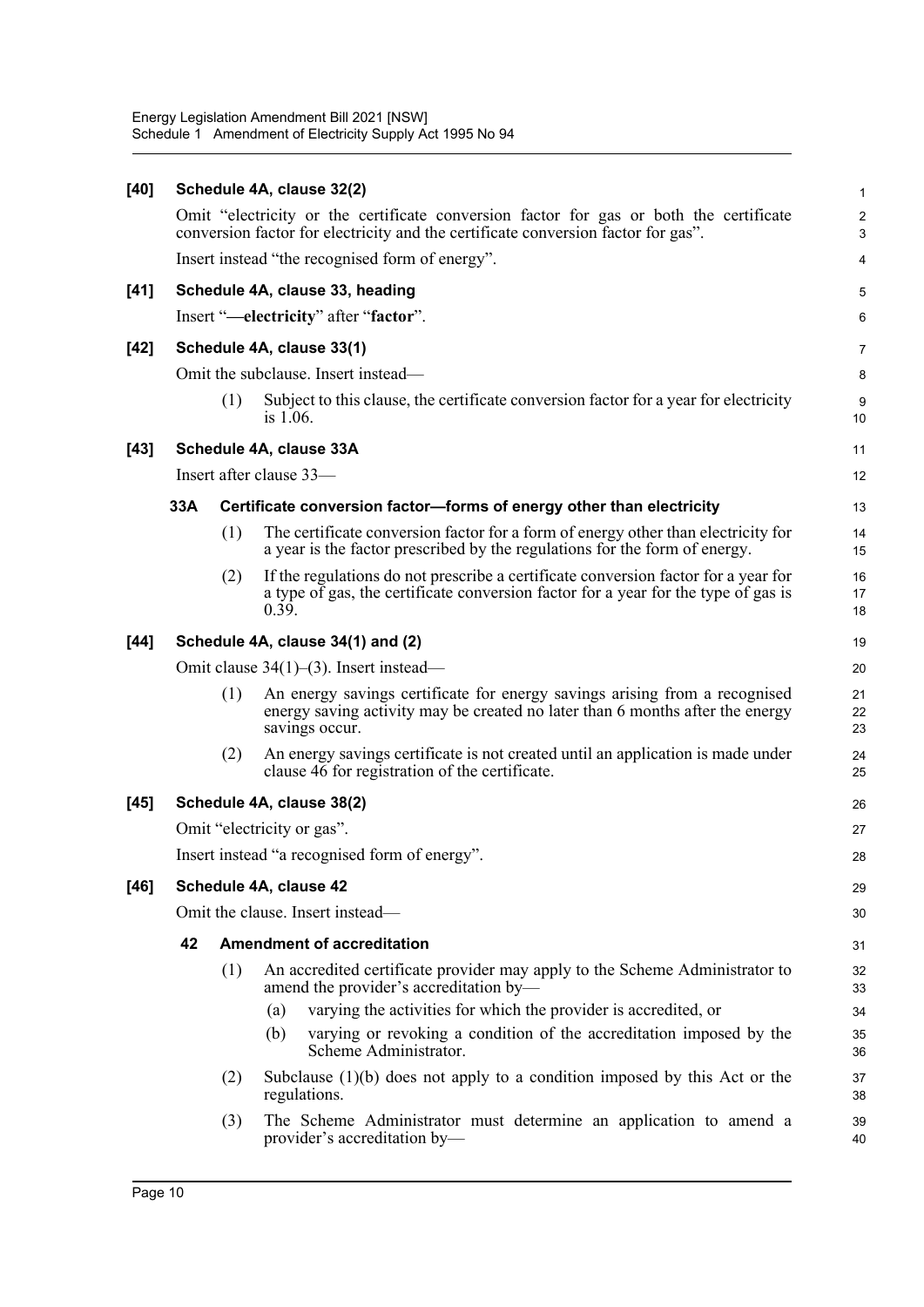| [40]   |                                        |     | Schedule 4A, clause 32(2)                                                                                                                                                         | 1                            |  |  |  |
|--------|----------------------------------------|-----|-----------------------------------------------------------------------------------------------------------------------------------------------------------------------------------|------------------------------|--|--|--|
|        |                                        |     | Omit "electricity or the certificate conversion factor for gas or both the certificate<br>conversion factor for electricity and the certificate conversion factor for gas".       | $\overline{\mathbf{c}}$<br>3 |  |  |  |
|        |                                        |     | Insert instead "the recognised form of energy".                                                                                                                                   | 4                            |  |  |  |
| $[41]$ |                                        |     | Schedule 4A, clause 33, heading                                                                                                                                                   | 5                            |  |  |  |
|        |                                        |     | Insert "-electricity" after "factor".                                                                                                                                             | 6                            |  |  |  |
| [42]   |                                        |     | Schedule 4A, clause 33(1)                                                                                                                                                         | 7                            |  |  |  |
|        |                                        |     | Omit the subclause. Insert instead—                                                                                                                                               | 8                            |  |  |  |
|        |                                        | (1) | Subject to this clause, the certificate conversion factor for a year for electricity<br>is $1.06$ .                                                                               | 9<br>10                      |  |  |  |
| $[43]$ |                                        |     | Schedule 4A, clause 33A                                                                                                                                                           | 11                           |  |  |  |
|        |                                        |     | Insert after clause 33-                                                                                                                                                           | 12                           |  |  |  |
|        | 33A                                    |     | Certificate conversion factor-forms of energy other than electricity                                                                                                              | 13                           |  |  |  |
|        |                                        | (1) | The certificate conversion factor for a form of energy other than electricity for<br>a year is the factor prescribed by the regulations for the form of energy.                   | 14<br>15                     |  |  |  |
|        |                                        | (2) | If the regulations do not prescribe a certificate conversion factor for a year for<br>a type of gas, the certificate conversion factor for a year for the type of gas is<br>0.39. | 16<br>17<br>18               |  |  |  |
| [44]   |                                        |     | Schedule 4A, clause 34(1) and (2)                                                                                                                                                 | 19                           |  |  |  |
|        |                                        |     | Omit clause $34(1)$ – $(3)$ . Insert instead—                                                                                                                                     | 20                           |  |  |  |
|        |                                        | (1) | An energy savings certificate for energy savings arising from a recognised<br>energy saving activity may be created no later than 6 months after the energy<br>savings occur.     | 21<br>22<br>23               |  |  |  |
|        |                                        | (2) | An energy savings certificate is not created until an application is made under<br>clause 46 for registration of the certificate.                                                 | 24<br>25                     |  |  |  |
| [45]   |                                        |     | Schedule 4A, clause 38(2)                                                                                                                                                         | 26                           |  |  |  |
|        |                                        |     | Omit "electricity or gas".                                                                                                                                                        | 27                           |  |  |  |
|        |                                        |     | Insert instead "a recognised form of energy".                                                                                                                                     | 28                           |  |  |  |
| $[46]$ |                                        |     | Schedule 4A, clause 42                                                                                                                                                            | 29                           |  |  |  |
|        | Omit the clause. Insert instead-<br>30 |     |                                                                                                                                                                                   |                              |  |  |  |
|        | 42                                     |     | <b>Amendment of accreditation</b>                                                                                                                                                 | 31                           |  |  |  |
|        |                                        | (1) | An accredited certificate provider may apply to the Scheme Administrator to<br>amend the provider's accreditation by—                                                             | 32<br>33                     |  |  |  |
|        |                                        |     | varying the activities for which the provider is accredited, or<br>(a)                                                                                                            | 34                           |  |  |  |
|        |                                        |     | varying or revoking a condition of the accreditation imposed by the<br>(b)<br>Scheme Administrator.                                                                               | 35<br>36                     |  |  |  |
|        |                                        | (2) | Subclause $(1)(b)$ does not apply to a condition imposed by this Act or the<br>regulations.                                                                                       | 37<br>38                     |  |  |  |
|        |                                        | (3) | The Scheme Administrator must determine an application to amend a<br>provider's accreditation by-                                                                                 | 39<br>40                     |  |  |  |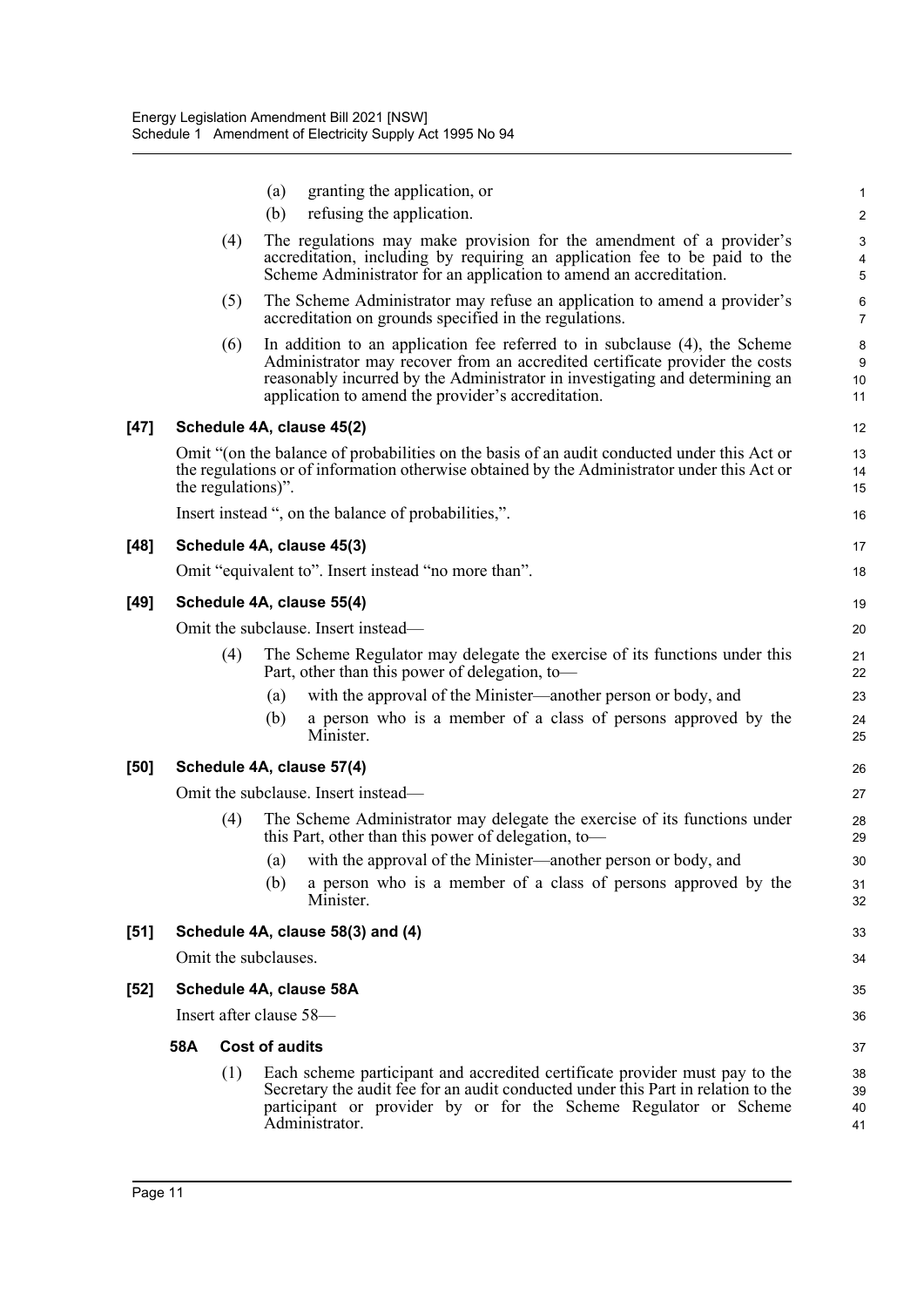| $[51]$ |                    |            | Schedule 4A, clause 58(3) and (4)                                                                                                                                                                                                                                                               | 33                             |
|--------|--------------------|------------|-------------------------------------------------------------------------------------------------------------------------------------------------------------------------------------------------------------------------------------------------------------------------------------------------|--------------------------------|
|        |                    | (a)<br>(b) | with the approval of the Minister—another person or body, and<br>a person who is a member of a class of persons approved by the<br>Minister.                                                                                                                                                    | 30<br>31<br>32                 |
|        | (4)                |            | The Scheme Administrator may delegate the exercise of its functions under<br>this Part, other than this power of delegation, to-                                                                                                                                                                | 28<br>29                       |
|        |                    |            | Omit the subclause. Insert instead—                                                                                                                                                                                                                                                             | 27                             |
| [50]   |                    |            | Schedule 4A, clause 57(4)                                                                                                                                                                                                                                                                       | 26                             |
|        |                    | (a)<br>(b) | with the approval of the Minister—another person or body, and<br>a person who is a member of a class of persons approved by the<br>Minister.                                                                                                                                                    | 23<br>24<br>25                 |
|        | (4)                |            | The Scheme Regulator may delegate the exercise of its functions under this<br>Part, other than this power of delegation, to-                                                                                                                                                                    | 21<br>22                       |
|        |                    |            | Omit the subclause. Insert instead-                                                                                                                                                                                                                                                             | 20                             |
| $[49]$ |                    |            | Schedule 4A, clause 55(4)                                                                                                                                                                                                                                                                       | 19                             |
|        |                    |            | Omit "equivalent to". Insert instead "no more than".                                                                                                                                                                                                                                            | 18                             |
| $[48]$ |                    |            | Schedule 4A, clause 45(3)                                                                                                                                                                                                                                                                       | 17                             |
|        | the regulations)". |            | the regulations or of information otherwise obtained by the Administrator under this Act or<br>Insert instead ", on the balance of probabilities,".                                                                                                                                             | 14<br>15<br>16                 |
|        |                    |            | Omit "(on the balance of probabilities on the basis of an audit conducted under this Act or                                                                                                                                                                                                     | 13                             |
| $[47]$ |                    |            | Schedule 4A, clause 45(2)                                                                                                                                                                                                                                                                       | 12                             |
|        | (6)                |            | In addition to an application fee referred to in subclause (4), the Scheme<br>Administrator may recover from an accredited certificate provider the costs<br>reasonably incurred by the Administrator in investigating and determining an<br>application to amend the provider's accreditation. | 8<br>9<br>10<br>11             |
|        | (5)                |            | The Scheme Administrator may refuse an application to amend a provider's<br>accreditation on grounds specified in the regulations.                                                                                                                                                              | 6<br>$\overline{7}$            |
|        | (4)                |            | The regulations may make provision for the amendment of a provider's<br>accreditation, including by requiring an application fee to be paid to the<br>Scheme Administrator for an application to amend an accreditation.                                                                        | $\mathbf{3}$<br>4<br>5         |
|        |                    | (a)<br>(b) | granting the application, or<br>refusing the application.                                                                                                                                                                                                                                       | $\mathbf{1}$<br>$\overline{c}$ |
|        |                    |            |                                                                                                                                                                                                                                                                                                 |                                |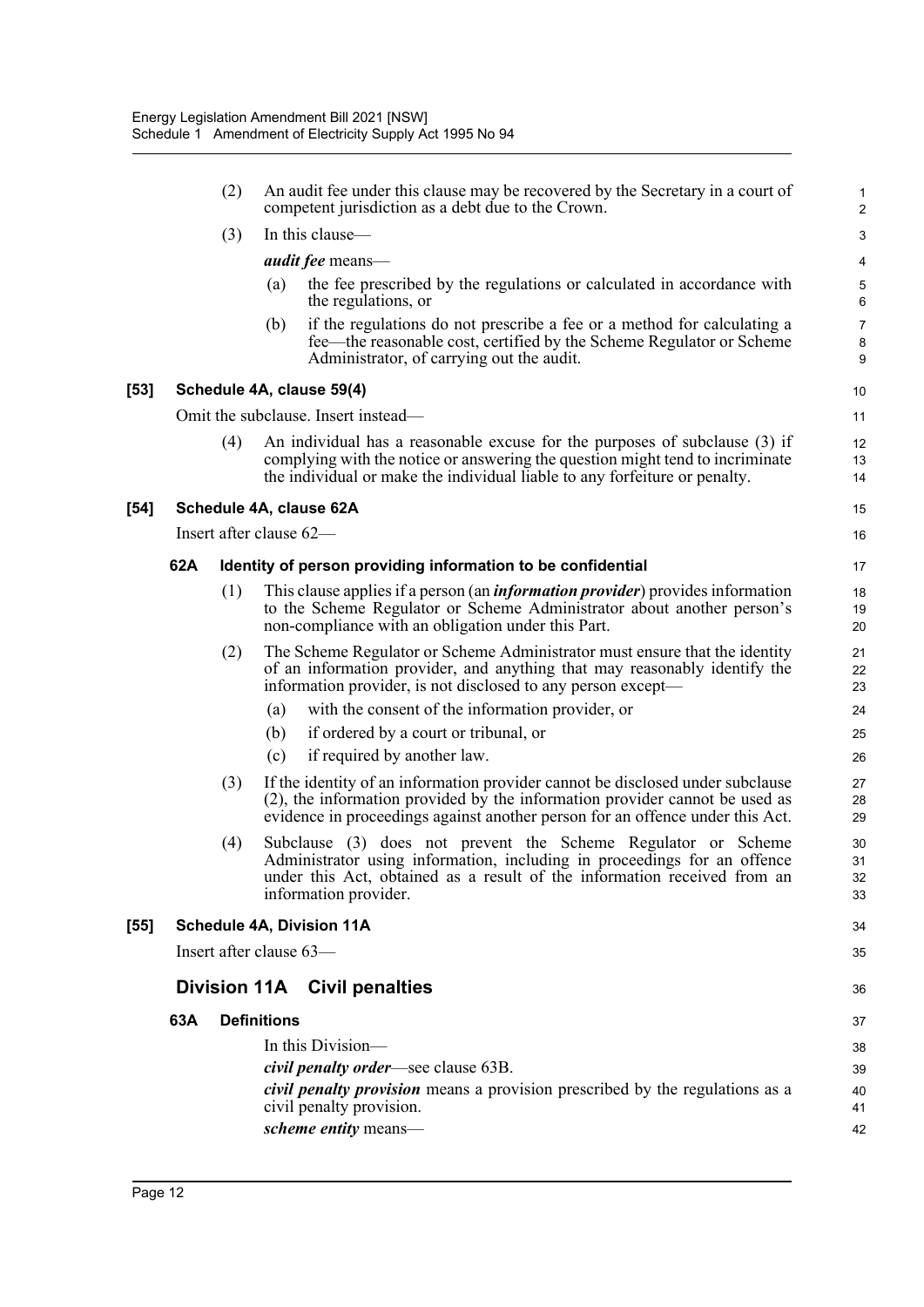|      |                         | (2) |                    | An audit fee under this clause may be recovered by the Secretary in a court of<br>competent jurisdiction as a debt due to the Crown.                                                                                                              | 1<br>$\overline{\mathbf{c}}$ |
|------|-------------------------|-----|--------------------|---------------------------------------------------------------------------------------------------------------------------------------------------------------------------------------------------------------------------------------------------|------------------------------|
|      |                         | (3) |                    | In this clause—                                                                                                                                                                                                                                   | 3                            |
|      |                         |     |                    | <i>audit fee</i> means—                                                                                                                                                                                                                           | 4                            |
|      |                         |     | (a)                | the fee prescribed by the regulations or calculated in accordance with<br>the regulations, or                                                                                                                                                     | 5<br>6                       |
|      |                         |     | (b)                | if the regulations do not prescribe a fee or a method for calculating a<br>fee—the reasonable cost, certified by the Scheme Regulator or Scheme<br>Administrator, of carrying out the audit.                                                      | 7<br>8<br>9                  |
| [53] |                         |     |                    | Schedule 4A, clause 59(4)                                                                                                                                                                                                                         | 10                           |
|      |                         |     |                    | Omit the subclause. Insert instead—                                                                                                                                                                                                               | 11                           |
|      |                         | (4) |                    | An individual has a reasonable excuse for the purposes of subclause (3) if<br>complying with the notice or answering the question might tend to incriminate<br>the individual or make the individual liable to any forfeiture or penalty.         | 12<br>13<br>14               |
| [54] |                         |     |                    | Schedule 4A, clause 62A                                                                                                                                                                                                                           | 15                           |
|      | Insert after clause 62- |     |                    |                                                                                                                                                                                                                                                   | 16                           |
|      | 62A                     |     |                    | Identity of person providing information to be confidential                                                                                                                                                                                       | 17                           |
|      |                         | (1) |                    | This clause applies if a person (an <i>information provider</i> ) provides information<br>to the Scheme Regulator or Scheme Administrator about another person's<br>non-compliance with an obligation under this Part.                            | 18<br>19<br>20               |
|      |                         | (2) |                    | The Scheme Regulator or Scheme Administrator must ensure that the identity<br>of an information provider, and anything that may reasonably identify the<br>information provider, is not disclosed to any person except—                           | 21<br>22<br>23               |
|      |                         |     | (a)                | with the consent of the information provider, or                                                                                                                                                                                                  | 24                           |
|      |                         |     | (b)                | if ordered by a court or tribunal, or                                                                                                                                                                                                             | 25                           |
|      |                         |     | (c)                | if required by another law.                                                                                                                                                                                                                       | 26                           |
|      |                         | (3) |                    | If the identity of an information provider cannot be disclosed under subclause<br>$(2)$ , the information provided by the information provider cannot be used as<br>evidence in proceedings against another person for an offence under this Act. | 27<br>28<br>29               |
|      |                         | (4) |                    | Subclause (3) does not prevent the Scheme Regulator or Scheme<br>Administrator using information, including in proceedings for an offence<br>under this Act, obtained as a result of the information received from an<br>information provider.    | 30<br>31<br>32<br>33         |
| [55] |                         |     |                    | <b>Schedule 4A, Division 11A</b>                                                                                                                                                                                                                  | 34                           |
|      | Insert after clause 63- |     |                    |                                                                                                                                                                                                                                                   | 35                           |
|      |                         |     |                    | Division 11A Civil penalties                                                                                                                                                                                                                      | 36                           |
|      | 63A                     |     | <b>Definitions</b> |                                                                                                                                                                                                                                                   |                              |
|      |                         |     |                    | In this Division-                                                                                                                                                                                                                                 | 37                           |
|      |                         |     |                    | civil penalty order—see clause 63B.                                                                                                                                                                                                               | 38<br>39                     |
|      |                         |     |                    | <i>civil penalty provision</i> means a provision prescribed by the regulations as a<br>civil penalty provision.                                                                                                                                   | 40<br>41                     |
|      |                         |     |                    | scheme entity means-                                                                                                                                                                                                                              | 42                           |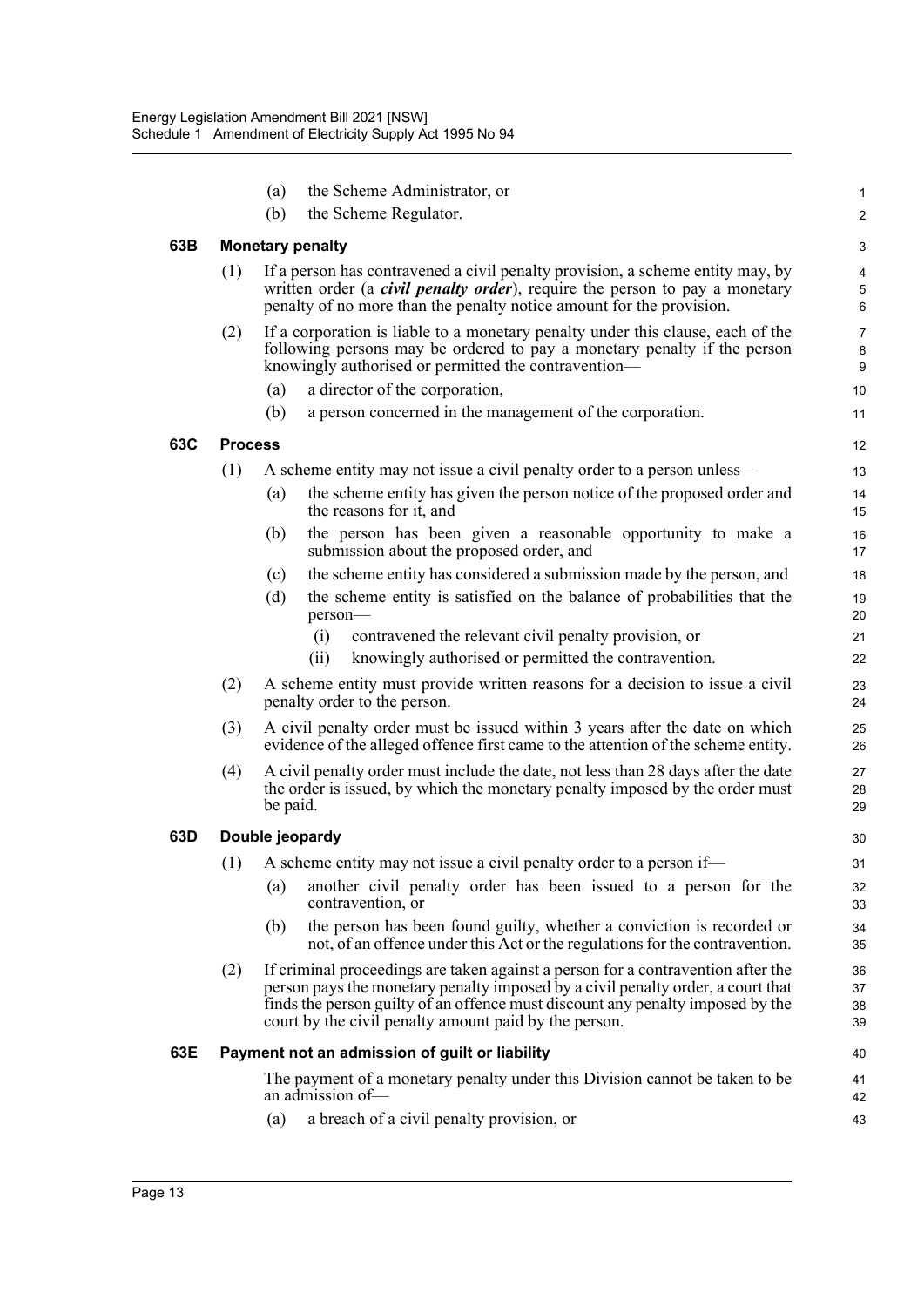|     |                | the Scheme Administrator, or<br>(a)                                                                                                                                                                                                                                                                            | $\mathbf 1$          |
|-----|----------------|----------------------------------------------------------------------------------------------------------------------------------------------------------------------------------------------------------------------------------------------------------------------------------------------------------------|----------------------|
|     |                | (b)<br>the Scheme Regulator.                                                                                                                                                                                                                                                                                   | $\boldsymbol{2}$     |
| 63B |                | <b>Monetary penalty</b>                                                                                                                                                                                                                                                                                        | 3                    |
|     | (1)            | If a person has contravened a civil penalty provision, a scheme entity may, by                                                                                                                                                                                                                                 | 4                    |
|     |                | written order (a <i>civil penalty order</i> ), require the person to pay a monetary                                                                                                                                                                                                                            | $\sqrt{5}$           |
|     |                | penalty of no more than the penalty notice amount for the provision.                                                                                                                                                                                                                                           | 6                    |
|     | (2)            | If a corporation is liable to a monetary penalty under this clause, each of the<br>following persons may be ordered to pay a monetary penalty if the person                                                                                                                                                    | $\overline{7}$<br>8  |
|     |                | knowingly authorised or permitted the contravention—                                                                                                                                                                                                                                                           | 9                    |
|     |                | a director of the corporation,<br>(a)                                                                                                                                                                                                                                                                          | 10                   |
|     |                | a person concerned in the management of the corporation.<br>(b)                                                                                                                                                                                                                                                | 11                   |
| 63C | <b>Process</b> |                                                                                                                                                                                                                                                                                                                | 12                   |
|     | (1)            | A scheme entity may not issue a civil penalty order to a person unless—                                                                                                                                                                                                                                        | 13                   |
|     |                | the scheme entity has given the person notice of the proposed order and<br>(a)<br>the reasons for it, and                                                                                                                                                                                                      | 14<br>15             |
|     |                | the person has been given a reasonable opportunity to make a<br>(b)<br>submission about the proposed order, and                                                                                                                                                                                                | 16<br>17             |
|     |                | the scheme entity has considered a submission made by the person, and<br>(c)                                                                                                                                                                                                                                   | 18                   |
|     |                | the scheme entity is satisfied on the balance of probabilities that the<br>(d)<br>person-                                                                                                                                                                                                                      | 19<br>20             |
|     |                | (i)<br>contravened the relevant civil penalty provision, or                                                                                                                                                                                                                                                    | 21                   |
|     |                | knowingly authorised or permitted the contravention.<br>(ii)                                                                                                                                                                                                                                                   | 22                   |
|     | (2)            | A scheme entity must provide written reasons for a decision to issue a civil<br>penalty order to the person.                                                                                                                                                                                                   | 23<br>24             |
|     | (3)            | A civil penalty order must be issued within 3 years after the date on which<br>evidence of the alleged offence first came to the attention of the scheme entity.                                                                                                                                               | 25<br>26             |
|     | (4)            | A civil penalty order must include the date, not less than 28 days after the date<br>the order is issued, by which the monetary penalty imposed by the order must<br>be paid.                                                                                                                                  | 27<br>28<br>29       |
| 63D |                | Double jeopardy                                                                                                                                                                                                                                                                                                | 30                   |
|     | (1)            | A scheme entity may not issue a civil penalty order to a person if—                                                                                                                                                                                                                                            | 31                   |
|     |                | another civil penalty order has been issued to a person for the<br>(a)<br>contravention, or                                                                                                                                                                                                                    | 32<br>33             |
|     |                | the person has been found guilty, whether a conviction is recorded or<br>(b)<br>not, of an offence under this Act or the regulations for the contravention.                                                                                                                                                    | 34<br>35             |
|     | (2)            | If criminal proceedings are taken against a person for a contravention after the<br>person pays the monetary penalty imposed by a civil penalty order, a court that<br>finds the person guilty of an offence must discount any penalty imposed by the<br>court by the civil penalty amount paid by the person. | 36<br>37<br>38<br>39 |
| 63E |                | Payment not an admission of guilt or liability                                                                                                                                                                                                                                                                 | 40                   |
|     |                | The payment of a monetary penalty under this Division cannot be taken to be<br>an admission of-                                                                                                                                                                                                                | 41<br>42             |
|     |                | a breach of a civil penalty provision, or<br>(a)                                                                                                                                                                                                                                                               | 43                   |
|     |                |                                                                                                                                                                                                                                                                                                                |                      |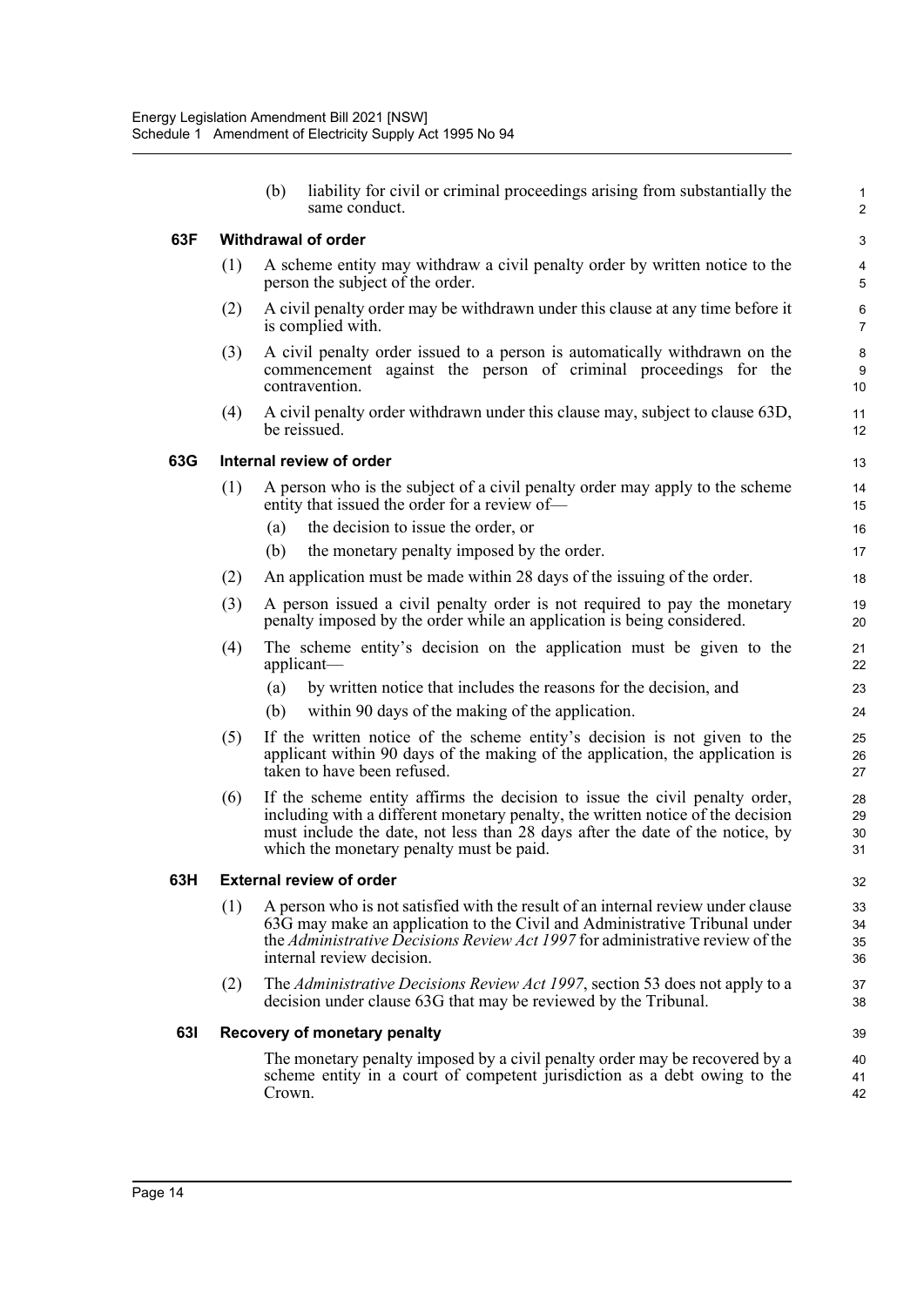|     |     | (b)    | liability for civil or criminal proceedings arising from substantially the<br>same conduct.                                                                                                                                                                                                 | 1<br>$\overline{c}$     |
|-----|-----|--------|---------------------------------------------------------------------------------------------------------------------------------------------------------------------------------------------------------------------------------------------------------------------------------------------|-------------------------|
| 63F |     |        | <b>Withdrawal of order</b>                                                                                                                                                                                                                                                                  | 3                       |
|     | (1) |        | A scheme entity may withdraw a civil penalty order by written notice to the<br>person the subject of the order.                                                                                                                                                                             | 4<br>5                  |
|     | (2) |        | A civil penalty order may be withdrawn under this clause at any time before it<br>is complied with.                                                                                                                                                                                         | $\,6$<br>$\overline{7}$ |
|     | (3) |        | A civil penalty order issued to a person is automatically withdrawn on the<br>commencement against the person of criminal proceedings for the<br>contravention.                                                                                                                             | 8<br>9<br>10            |
|     | (4) |        | A civil penalty order withdrawn under this clause may, subject to clause 63D,<br>be reissued.                                                                                                                                                                                               | 11<br>12                |
| 63G |     |        | Internal review of order                                                                                                                                                                                                                                                                    | 13                      |
|     | (1) |        | A person who is the subject of a civil penalty order may apply to the scheme<br>entity that issued the order for a review of-                                                                                                                                                               | 14<br>15                |
|     |     | (a)    | the decision to issue the order, or                                                                                                                                                                                                                                                         | 16                      |
|     |     | (b)    | the monetary penalty imposed by the order.                                                                                                                                                                                                                                                  | 17                      |
|     | (2) |        | An application must be made within 28 days of the issuing of the order.                                                                                                                                                                                                                     | 18                      |
|     | (3) |        | A person issued a civil penalty order is not required to pay the monetary<br>penalty imposed by the order while an application is being considered.                                                                                                                                         | 19<br>20                |
|     | (4) |        | The scheme entity's decision on the application must be given to the<br>applicant-                                                                                                                                                                                                          | 21<br>22                |
|     |     | (a)    | by written notice that includes the reasons for the decision, and                                                                                                                                                                                                                           | 23                      |
|     |     | (b)    | within 90 days of the making of the application.                                                                                                                                                                                                                                            | 24                      |
|     | (5) |        | If the written notice of the scheme entity's decision is not given to the<br>applicant within 90 days of the making of the application, the application is<br>taken to have been refused.                                                                                                   | 25<br>26<br>27          |
|     | (6) |        | If the scheme entity affirms the decision to issue the civil penalty order,<br>including with a different monetary penalty, the written notice of the decision<br>must include the date, not less than 28 days after the date of the notice, by<br>which the monetary penalty must be paid. | 28<br>29<br>30<br>31    |
| 63H |     |        | <b>External review of order</b>                                                                                                                                                                                                                                                             | 32                      |
|     | (1) |        | A person who is not satisfied with the result of an internal review under clause<br>63G may make an application to the Civil and Administrative Tribunal under<br>the Administrative Decisions Review Act 1997 for administrative review of the<br>internal review decision.                | 33<br>34<br>35<br>36    |
|     | (2) |        | The Administrative Decisions Review Act 1997, section 53 does not apply to a<br>decision under clause 63G that may be reviewed by the Tribunal.                                                                                                                                             | 37<br>38                |
| 631 |     |        | <b>Recovery of monetary penalty</b>                                                                                                                                                                                                                                                         | 39                      |
|     |     | Crown. | The monetary penalty imposed by a civil penalty order may be recovered by a<br>scheme entity in a court of competent jurisdiction as a debt owing to the                                                                                                                                    | 40<br>41<br>42          |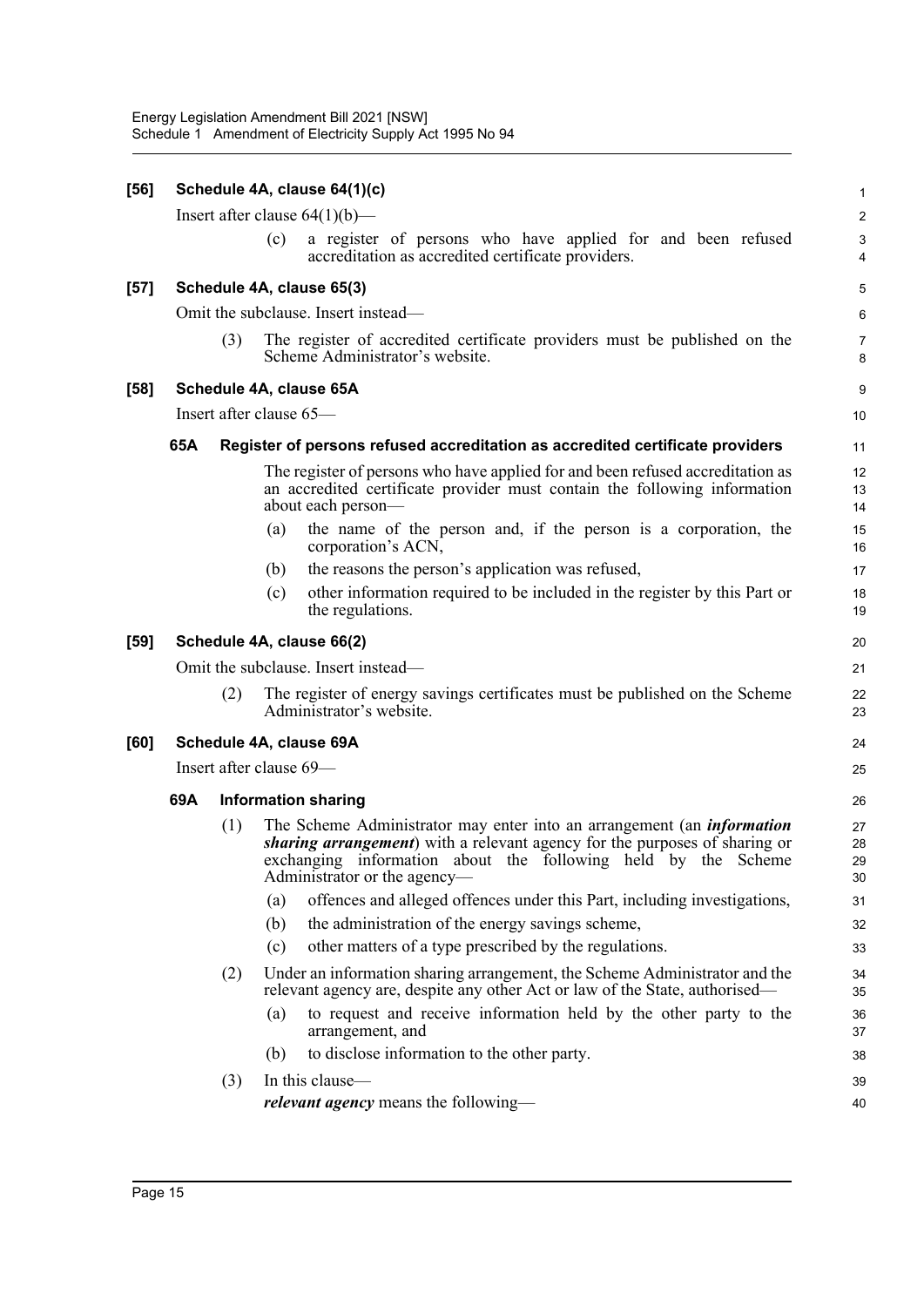| $[56]$ |                         |                         |     | Schedule 4A, clause 64(1)(c)                                                                                                                                                                                                                                         | $\mathbf 1$          |
|--------|-------------------------|-------------------------|-----|----------------------------------------------------------------------------------------------------------------------------------------------------------------------------------------------------------------------------------------------------------------------|----------------------|
|        |                         |                         |     | Insert after clause $64(1)(b)$ —                                                                                                                                                                                                                                     | $\boldsymbol{2}$     |
|        |                         |                         | (c) | a register of persons who have applied for and been refused<br>accreditation as accredited certificate providers.                                                                                                                                                    | $\mathbf{3}$<br>4    |
| $[57]$ |                         |                         |     | Schedule 4A, clause 65(3)                                                                                                                                                                                                                                            | 5                    |
|        |                         |                         |     | Omit the subclause. Insert instead—                                                                                                                                                                                                                                  | 6                    |
|        |                         | (3)                     |     | The register of accredited certificate providers must be published on the<br>Scheme Administrator's website.                                                                                                                                                         | 7<br>8               |
| $[58]$ |                         |                         |     | Schedule 4A, clause 65A                                                                                                                                                                                                                                              | 9                    |
|        |                         | Insert after clause 65- |     |                                                                                                                                                                                                                                                                      | 10                   |
|        | 65A                     |                         |     | Register of persons refused accreditation as accredited certificate providers                                                                                                                                                                                        | 11                   |
|        |                         |                         |     | The register of persons who have applied for and been refused accreditation as<br>an accredited certificate provider must contain the following information<br>about each person-                                                                                    | 12<br>13<br>14       |
|        |                         |                         | (a) | the name of the person and, if the person is a corporation, the<br>corporation's ACN,                                                                                                                                                                                | 15<br>16             |
|        |                         |                         | (b) | the reasons the person's application was refused,                                                                                                                                                                                                                    | 17                   |
|        |                         |                         | (c) | other information required to be included in the register by this Part or<br>the regulations.                                                                                                                                                                        | 18<br>19             |
| $[59]$ |                         |                         |     | Schedule 4A, clause 66(2)                                                                                                                                                                                                                                            | 20                   |
|        |                         |                         |     | Omit the subclause. Insert instead—                                                                                                                                                                                                                                  | 21                   |
|        |                         | (2)                     |     | The register of energy savings certificates must be published on the Scheme<br>Administrator's website.                                                                                                                                                              | 22<br>23             |
| [60]   |                         |                         |     | Schedule 4A, clause 69A                                                                                                                                                                                                                                              | 24                   |
|        | Insert after clause 69- |                         |     |                                                                                                                                                                                                                                                                      |                      |
|        | 69A                     |                         |     | <b>Information sharing</b>                                                                                                                                                                                                                                           | 26                   |
|        |                         | (1)                     |     | The Scheme Administrator may enter into an arrangement (an <i>information</i><br><i>sharing arrangement</i> ) with a relevant agency for the purposes of sharing or<br>exchanging information about the following held by the Scheme<br>Administrator or the agency- | 27<br>28<br>29<br>30 |
|        |                         |                         | (a) | offences and alleged offences under this Part, including investigations,                                                                                                                                                                                             | 31                   |
|        |                         |                         | (b) | the administration of the energy savings scheme,                                                                                                                                                                                                                     | 32                   |
|        |                         |                         | (c) | other matters of a type prescribed by the regulations.                                                                                                                                                                                                               | 33                   |
|        |                         | (2)                     |     | Under an information sharing arrangement, the Scheme Administrator and the<br>relevant agency are, despite any other Act or law of the State, authorised—                                                                                                            | 34<br>35             |
|        |                         |                         | (a) | to request and receive information held by the other party to the<br>arrangement, and                                                                                                                                                                                | 36<br>37             |
|        |                         |                         | (b) | to disclose information to the other party.                                                                                                                                                                                                                          | 38                   |
|        |                         | (3)                     |     | In this clause—                                                                                                                                                                                                                                                      | 39                   |
|        |                         |                         |     | <i>relevant agency</i> means the following—                                                                                                                                                                                                                          | 40                   |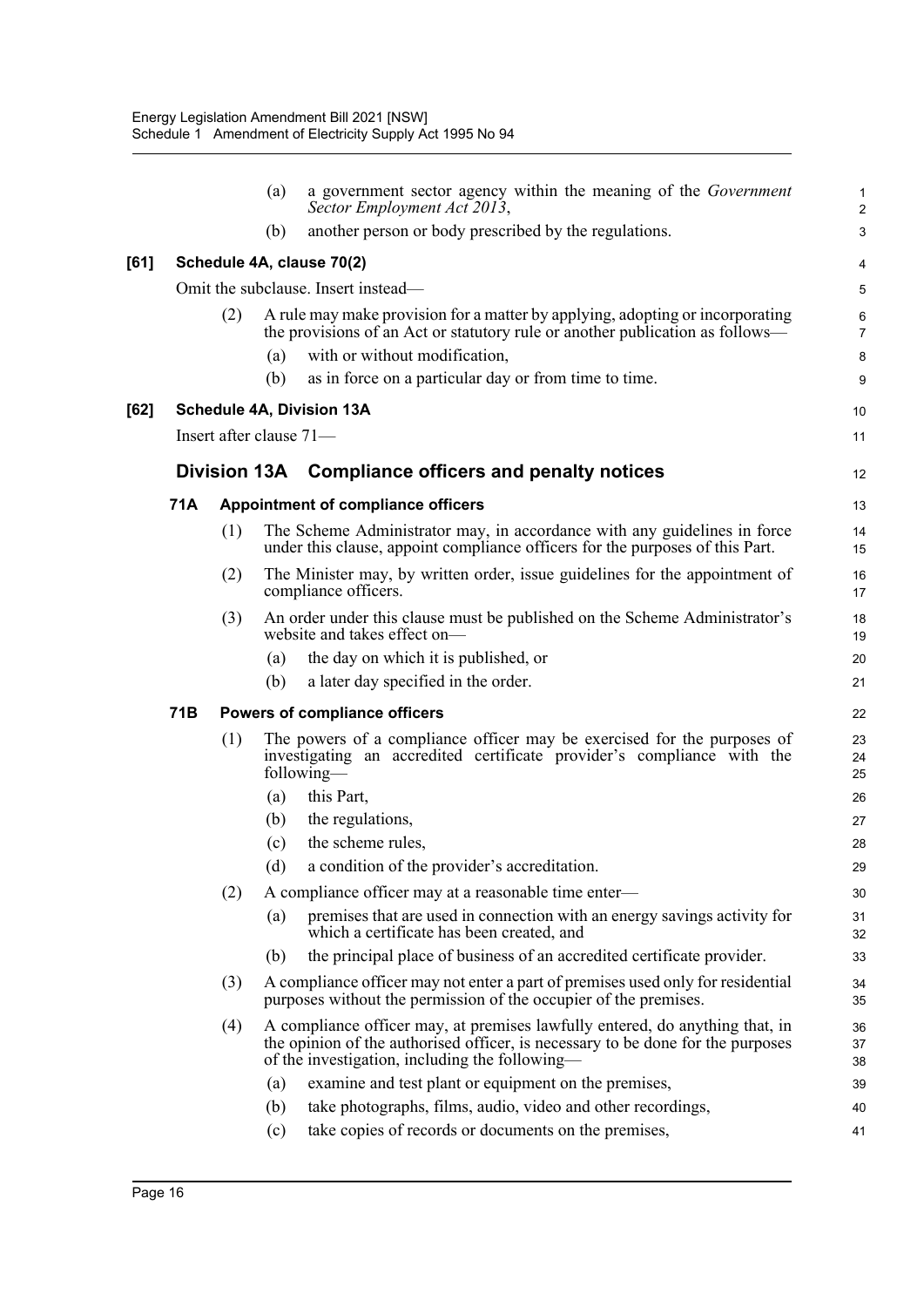|      |     |                           | (a) | a government sector agency within the meaning of the Government<br>Sector Employment Act 2013,                                                                                                                    | $\mathbf 1$<br>$\overline{c}$ |
|------|-----|---------------------------|-----|-------------------------------------------------------------------------------------------------------------------------------------------------------------------------------------------------------------------|-------------------------------|
|      |     |                           | (b) | another person or body prescribed by the regulations.                                                                                                                                                             | 3                             |
| [61] |     |                           |     | Schedule 4A, clause 70(2)                                                                                                                                                                                         | 4                             |
|      |     |                           |     | Omit the subclause. Insert instead—                                                                                                                                                                               | 5                             |
|      |     | (2)                       |     | A rule may make provision for a matter by applying, adopting or incorporating<br>the provisions of an Act or statutory rule or another publication as follows—                                                    | 6<br>$\overline{7}$           |
|      |     |                           | (a) | with or without modification,                                                                                                                                                                                     | 8                             |
|      |     |                           | (b) | as in force on a particular day or from time to time.                                                                                                                                                             | 9                             |
| [62] |     |                           |     | Schedule 4A, Division 13A                                                                                                                                                                                         | 10                            |
|      |     | Insert after clause $71-$ |     |                                                                                                                                                                                                                   | 11                            |
|      |     |                           |     | Division 13A Compliance officers and penalty notices                                                                                                                                                              | 12                            |
|      | 71A |                           |     | Appointment of compliance officers                                                                                                                                                                                | 13                            |
|      |     | (1)                       |     | The Scheme Administrator may, in accordance with any guidelines in force<br>under this clause, appoint compliance officers for the purposes of this Part.                                                         | 14<br>15                      |
|      |     | (2)                       |     | The Minister may, by written order, issue guidelines for the appointment of<br>compliance officers.                                                                                                               | 16<br>17                      |
|      |     | (3)                       |     | An order under this clause must be published on the Scheme Administrator's<br>website and takes effect on-                                                                                                        | 18<br>19                      |
|      |     |                           | (a) | the day on which it is published, or                                                                                                                                                                              | 20                            |
|      |     |                           | (b) | a later day specified in the order.                                                                                                                                                                               | 21                            |
|      | 71B |                           |     | <b>Powers of compliance officers</b>                                                                                                                                                                              | 22                            |
|      |     | (1)                       |     | The powers of a compliance officer may be exercised for the purposes of<br>investigating an accredited certificate provider's compliance with the<br>following-                                                   | 23<br>24<br>25                |
|      |     |                           | (a) | this Part,                                                                                                                                                                                                        | 26                            |
|      |     |                           | (b) | the regulations,                                                                                                                                                                                                  | 27                            |
|      |     |                           | (c) | the scheme rules,                                                                                                                                                                                                 | 28                            |
|      |     |                           | (d) | a condition of the provider's accreditation.                                                                                                                                                                      | 29                            |
|      |     | (2)                       |     | A compliance officer may at a reasonable time enter-                                                                                                                                                              | 30                            |
|      |     |                           | (a) | premises that are used in connection with an energy savings activity for<br>which a certificate has been created, and                                                                                             | 31<br>32                      |
|      |     |                           | (b) | the principal place of business of an accredited certificate provider.                                                                                                                                            | 33                            |
|      |     | (3)                       |     | A compliance officer may not enter a part of premises used only for residential<br>purposes without the permission of the occupier of the premises.                                                               | 34<br>35                      |
|      |     | (4)                       |     | A compliance officer may, at premises lawfully entered, do anything that, in<br>the opinion of the authorised officer, is necessary to be done for the purposes<br>of the investigation, including the following— | 36<br>37<br>38                |
|      |     |                           | (a) | examine and test plant or equipment on the premises,                                                                                                                                                              | 39                            |
|      |     |                           | (b) | take photographs, films, audio, video and other recordings,                                                                                                                                                       | 40                            |
|      |     |                           | (c) | take copies of records or documents on the premises,                                                                                                                                                              | 41                            |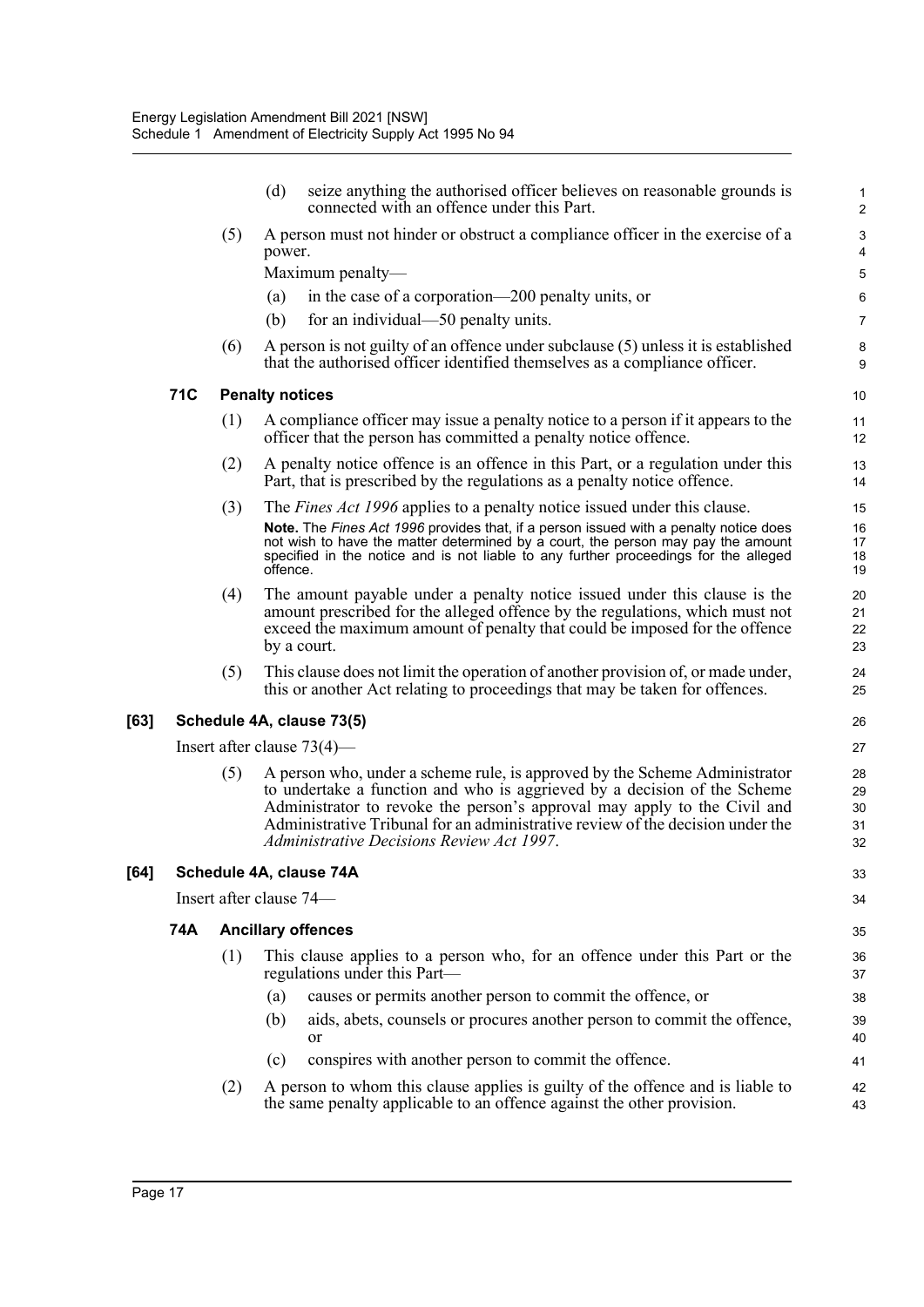|     |                         | (d)                                                                                      | seize anything the authorised officer believes on reasonable grounds is<br>connected with an offence under this Part.                                                                                                                                                                                                                                             | $\mathbf{1}$<br>$\overline{2}$ |  |  |
|-----|-------------------------|------------------------------------------------------------------------------------------|-------------------------------------------------------------------------------------------------------------------------------------------------------------------------------------------------------------------------------------------------------------------------------------------------------------------------------------------------------------------|--------------------------------|--|--|
|     | (5)                     | A person must not hinder or obstruct a compliance officer in the exercise of a<br>power. |                                                                                                                                                                                                                                                                                                                                                                   |                                |  |  |
|     |                         |                                                                                          | Maximum penalty-                                                                                                                                                                                                                                                                                                                                                  | 5                              |  |  |
|     |                         | (a)                                                                                      | in the case of a corporation—200 penalty units, or                                                                                                                                                                                                                                                                                                                | 6                              |  |  |
|     |                         | (b)                                                                                      | for an individual—50 penalty units.                                                                                                                                                                                                                                                                                                                               | 7                              |  |  |
|     | (6)                     |                                                                                          | A person is not guilty of an offence under subclause (5) unless it is established<br>that the authorised officer identified themselves as a compliance officer.                                                                                                                                                                                                   | 8<br>9                         |  |  |
| 71C |                         | <b>Penalty notices</b>                                                                   |                                                                                                                                                                                                                                                                                                                                                                   | 10                             |  |  |
|     | (1)                     |                                                                                          | A compliance officer may issue a penalty notice to a person if it appears to the<br>officer that the person has committed a penalty notice offence.                                                                                                                                                                                                               | 11<br>12                       |  |  |
|     | (2)                     |                                                                                          | A penalty notice offence is an offence in this Part, or a regulation under this<br>Part, that is prescribed by the regulations as a penalty notice offence.                                                                                                                                                                                                       | 13<br>14                       |  |  |
|     | (3)                     | offence.                                                                                 | The <i>Fines Act 1996</i> applies to a penalty notice issued under this clause.<br>Note. The Fines Act 1996 provides that, if a person issued with a penalty notice does<br>not wish to have the matter determined by a court, the person may pay the amount<br>specified in the notice and is not liable to any further proceedings for the alleged              | 15<br>16<br>17<br>18<br>19     |  |  |
|     | (4)                     |                                                                                          | The amount payable under a penalty notice issued under this clause is the<br>amount prescribed for the alleged offence by the regulations, which must not<br>exceed the maximum amount of penalty that could be imposed for the offence<br>by a court.                                                                                                            | 20<br>21<br>22<br>23           |  |  |
|     | (5)                     |                                                                                          | This clause does not limit the operation of another provision of, or made under,<br>this or another Act relating to proceedings that may be taken for offences.                                                                                                                                                                                                   | 24<br>25                       |  |  |
|     |                         |                                                                                          | Schedule 4A, clause 73(5)                                                                                                                                                                                                                                                                                                                                         | 26                             |  |  |
|     |                         |                                                                                          | Insert after clause $73(4)$ —                                                                                                                                                                                                                                                                                                                                     | 27                             |  |  |
|     | (5)                     |                                                                                          | A person who, under a scheme rule, is approved by the Scheme Administrator<br>to undertake a function and who is aggrieved by a decision of the Scheme<br>Administrator to revoke the person's approval may apply to the Civil and<br>Administrative Tribunal for an administrative review of the decision under the<br>Administrative Decisions Review Act 1997. | 28<br>29<br>30<br>31<br>32     |  |  |
|     |                         |                                                                                          | Schedule 4A, clause 74A                                                                                                                                                                                                                                                                                                                                           | 33                             |  |  |
|     | Insert after clause 74- |                                                                                          |                                                                                                                                                                                                                                                                                                                                                                   | 34                             |  |  |
| 74A |                         |                                                                                          | <b>Ancillary offences</b>                                                                                                                                                                                                                                                                                                                                         | 35                             |  |  |
|     | (1)                     |                                                                                          | This clause applies to a person who, for an offence under this Part or the<br>regulations under this Part—                                                                                                                                                                                                                                                        | 36<br>37                       |  |  |
|     |                         | (a)                                                                                      | causes or permits another person to commit the offence, or                                                                                                                                                                                                                                                                                                        | 38                             |  |  |
|     |                         | (b)                                                                                      | aids, abets, counsels or procures another person to commit the offence,<br>or                                                                                                                                                                                                                                                                                     | 39<br>40                       |  |  |
|     |                         | (c)                                                                                      | conspires with another person to commit the offence.                                                                                                                                                                                                                                                                                                              | 41                             |  |  |
|     | (2)                     |                                                                                          | A person to whom this clause applies is guilty of the offence and is liable to<br>the same penalty applicable to an offence against the other provision.                                                                                                                                                                                                          | 42<br>43                       |  |  |
|     |                         |                                                                                          |                                                                                                                                                                                                                                                                                                                                                                   |                                |  |  |

 $[63]$ 

**[64]**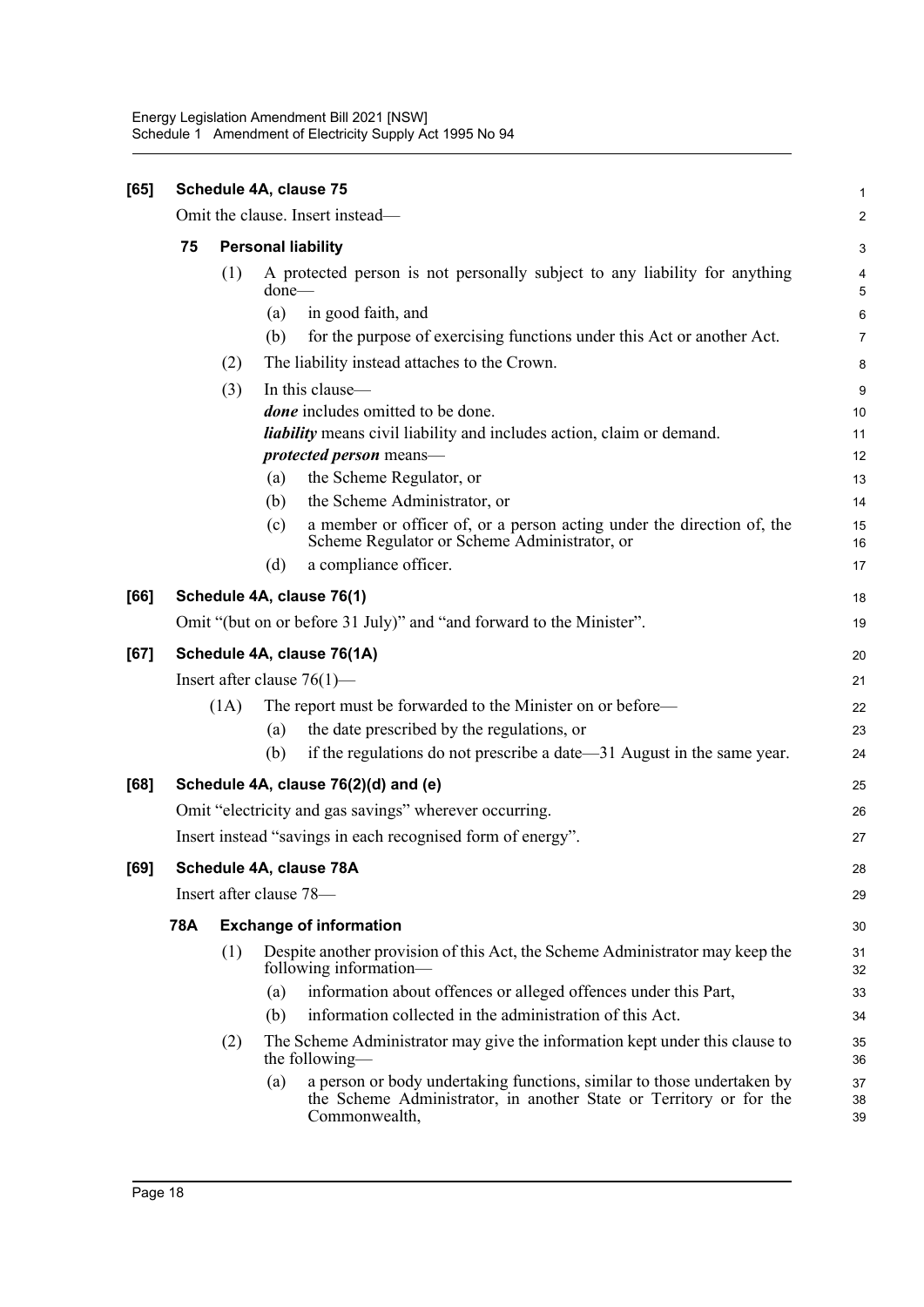| [65] | Schedule 4A, clause 75                                      |                           |                                                                                                                                                                      |                  |  |  |  |
|------|-------------------------------------------------------------|---------------------------|----------------------------------------------------------------------------------------------------------------------------------------------------------------------|------------------|--|--|--|
|      |                                                             |                           | Omit the clause. Insert instead-                                                                                                                                     | $\boldsymbol{2}$ |  |  |  |
|      | 75                                                          | <b>Personal liability</b> |                                                                                                                                                                      |                  |  |  |  |
|      |                                                             | (1)                       | A protected person is not personally subject to any liability for anything<br>$done$ —                                                                               | 4<br>5           |  |  |  |
|      |                                                             |                           | in good faith, and<br>(a)                                                                                                                                            | 6                |  |  |  |
|      |                                                             |                           | (b)<br>for the purpose of exercising functions under this Act or another Act.                                                                                        | $\overline{7}$   |  |  |  |
|      |                                                             | (2)                       | The liability instead attaches to the Crown.                                                                                                                         | 8                |  |  |  |
|      |                                                             | (3)                       | In this clause-                                                                                                                                                      | 9                |  |  |  |
|      |                                                             |                           | <i>done</i> includes omitted to be done.                                                                                                                             |                  |  |  |  |
|      |                                                             |                           | liability means civil liability and includes action, claim or demand.                                                                                                | 11               |  |  |  |
|      |                                                             |                           | <i>protected person</i> means—                                                                                                                                       | 12               |  |  |  |
|      |                                                             |                           | the Scheme Regulator, or<br>(a)                                                                                                                                      | 13               |  |  |  |
|      |                                                             |                           | the Scheme Administrator, or<br>(b)                                                                                                                                  | 14               |  |  |  |
|      |                                                             |                           | a member or officer of, or a person acting under the direction of, the<br>(c)<br>Scheme Regulator or Scheme Administrator, or                                        | 15<br>16         |  |  |  |
|      |                                                             |                           | a compliance officer.<br>(d)                                                                                                                                         | 17               |  |  |  |
| [66] |                                                             |                           | Schedule 4A, clause 76(1)                                                                                                                                            | 18               |  |  |  |
|      |                                                             |                           | Omit "(but on or before 31 July)" and "and forward to the Minister".                                                                                                 | 19               |  |  |  |
| [67] | Schedule 4A, clause 76(1A)                                  |                           |                                                                                                                                                                      |                  |  |  |  |
|      | Insert after clause $76(1)$ —                               |                           |                                                                                                                                                                      |                  |  |  |  |
|      |                                                             | (1A)                      | The report must be forwarded to the Minister on or before—                                                                                                           | 22               |  |  |  |
|      |                                                             |                           | the date prescribed by the regulations, or<br>(a)                                                                                                                    | 23               |  |  |  |
|      |                                                             |                           | if the regulations do not prescribe a date-31 August in the same year.<br>(b)                                                                                        | 24               |  |  |  |
| [68] |                                                             |                           | Schedule 4A, clause 76(2)(d) and (e)                                                                                                                                 | 25               |  |  |  |
|      | Omit "electricity and gas savings" wherever occurring.      |                           |                                                                                                                                                                      |                  |  |  |  |
|      | Insert instead "savings in each recognised form of energy". |                           |                                                                                                                                                                      |                  |  |  |  |
| [69] |                                                             |                           | Schedule 4A, clause 78A                                                                                                                                              | 28               |  |  |  |
|      |                                                             |                           | Insert after clause 78-                                                                                                                                              | 29               |  |  |  |
|      | <b>78A</b>                                                  |                           | <b>Exchange of information</b>                                                                                                                                       | 30               |  |  |  |
|      |                                                             | (1)                       | Despite another provision of this Act, the Scheme Administrator may keep the<br>following information-                                                               | 31<br>32         |  |  |  |
|      |                                                             |                           | information about offences or alleged offences under this Part,<br>(a)                                                                                               | 33               |  |  |  |
|      |                                                             |                           | information collected in the administration of this Act.<br>(b)                                                                                                      | 34               |  |  |  |
|      |                                                             | (2)                       | The Scheme Administrator may give the information kept under this clause to<br>the following—                                                                        | 35<br>36         |  |  |  |
|      |                                                             |                           | a person or body undertaking functions, similar to those undertaken by<br>(a)<br>the Scheme Administrator, in another State or Territory or for the<br>Commonwealth, | 37<br>38<br>39   |  |  |  |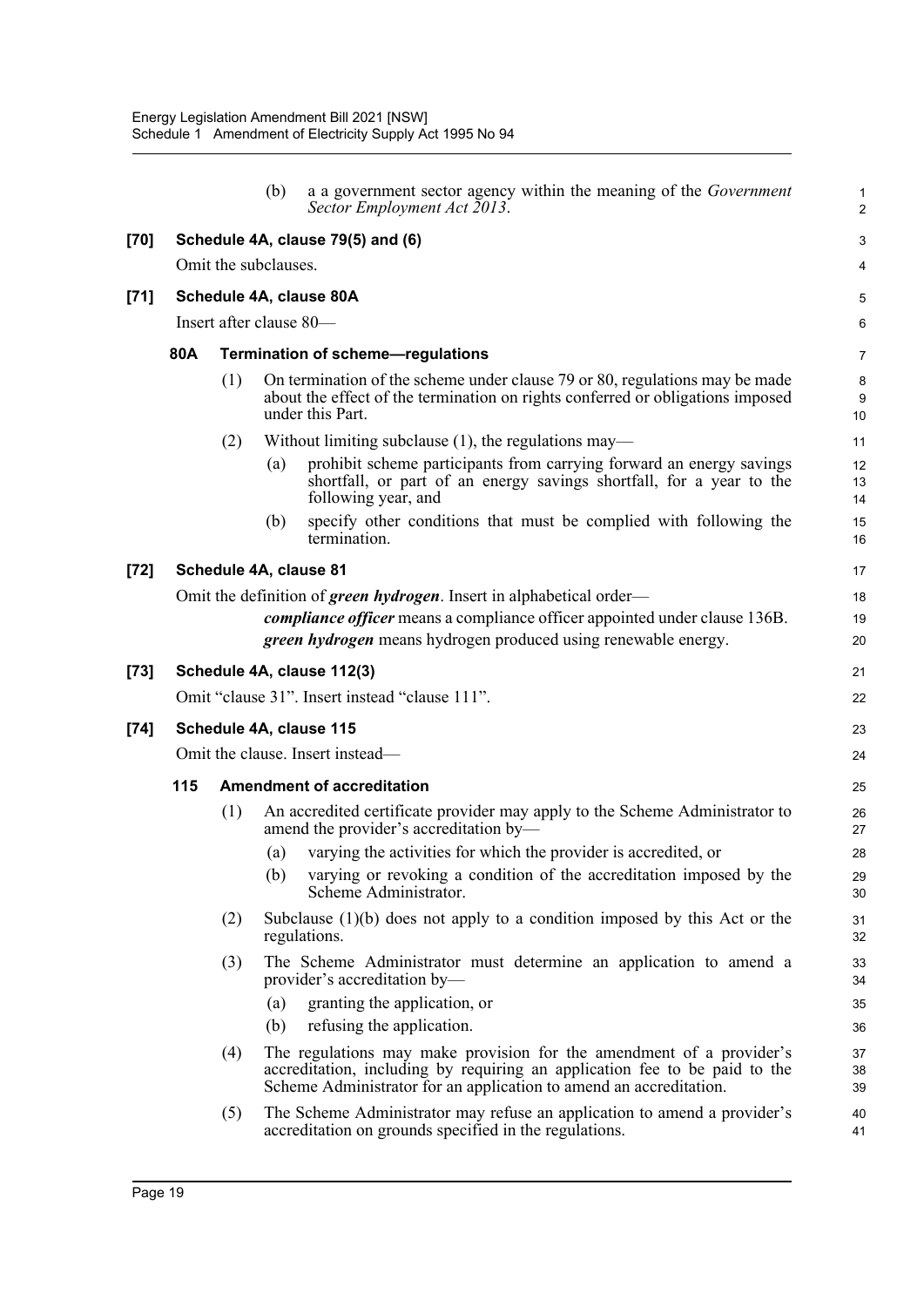|      |                                  |                         | (b)                               | a a government sector agency within the meaning of the <i>Government</i><br>Sector Employment Act 2013.                                                                                                                             | $\mathbf{1}$<br>$\overline{c}$ |  |  |  |
|------|----------------------------------|-------------------------|-----------------------------------|-------------------------------------------------------------------------------------------------------------------------------------------------------------------------------------------------------------------------------------|--------------------------------|--|--|--|
| [70] |                                  |                         |                                   | Schedule 4A, clause 79(5) and (6)                                                                                                                                                                                                   | 3                              |  |  |  |
|      |                                  | Omit the subclauses.    |                                   |                                                                                                                                                                                                                                     | 4                              |  |  |  |
| [71] |                                  |                         |                                   | Schedule 4A, clause 80A                                                                                                                                                                                                             | 5                              |  |  |  |
|      |                                  | Insert after clause 80- |                                   |                                                                                                                                                                                                                                     | 6                              |  |  |  |
|      | 80A                              |                         |                                   | <b>Termination of scheme-regulations</b>                                                                                                                                                                                            | 7                              |  |  |  |
|      |                                  | (1)                     |                                   | On termination of the scheme under clause 79 or 80, regulations may be made<br>about the effect of the termination on rights conferred or obligations imposed<br>under this Part.                                                   | 8<br>9<br>10                   |  |  |  |
|      |                                  | (2)                     |                                   | Without limiting subclause $(1)$ , the regulations may—                                                                                                                                                                             | 11                             |  |  |  |
|      |                                  |                         | (a)                               | prohibit scheme participants from carrying forward an energy savings<br>shortfall, or part of an energy savings shortfall, for a year to the<br>following year, and                                                                 | 12<br>13<br>14                 |  |  |  |
|      |                                  |                         | (b)                               | specify other conditions that must be complied with following the<br>termination.                                                                                                                                                   | 15<br>16                       |  |  |  |
| [72] |                                  |                         |                                   | Schedule 4A, clause 81                                                                                                                                                                                                              | 17                             |  |  |  |
|      |                                  |                         |                                   | Omit the definition of <i>green hydrogen</i> . Insert in alphabetical order—<br><i>compliance officer</i> means a compliance officer appointed under clause 136B.<br>green hydrogen means hydrogen produced using renewable energy. | 18<br>19<br>20                 |  |  |  |
| [73] |                                  |                         |                                   | Schedule 4A, clause 112(3)                                                                                                                                                                                                          | 21                             |  |  |  |
|      |                                  |                         |                                   | Omit "clause 31". Insert instead "clause 111".                                                                                                                                                                                      | 22                             |  |  |  |
| [74] | Schedule 4A, clause 115          |                         |                                   |                                                                                                                                                                                                                                     |                                |  |  |  |
|      | Omit the clause. Insert instead- |                         |                                   |                                                                                                                                                                                                                                     |                                |  |  |  |
|      | 115                              |                         | <b>Amendment of accreditation</b> |                                                                                                                                                                                                                                     |                                |  |  |  |
|      |                                  | (1)                     |                                   | An accredited certificate provider may apply to the Scheme Administrator to<br>amend the provider's accreditation by—                                                                                                               | 26<br>27                       |  |  |  |
|      |                                  |                         | (a)                               | varying the activities for which the provider is accredited, or                                                                                                                                                                     | 28                             |  |  |  |
|      |                                  |                         |                                   | (b) varying or revoking a condition of the accreditation imposed by the<br>Scheme Administrator.                                                                                                                                    | 29<br>30                       |  |  |  |
|      |                                  | (2)                     |                                   | Subclause $(1)(b)$ does not apply to a condition imposed by this Act or the<br>regulations.                                                                                                                                         | 31<br>32                       |  |  |  |
|      |                                  | (3)                     |                                   | The Scheme Administrator must determine an application to amend a<br>provider's accreditation by-                                                                                                                                   | 33<br>34                       |  |  |  |
|      |                                  |                         | (a)                               | granting the application, or                                                                                                                                                                                                        | 35                             |  |  |  |
|      |                                  |                         | (b)                               | refusing the application.                                                                                                                                                                                                           | 36                             |  |  |  |
|      |                                  | (4)                     |                                   | The regulations may make provision for the amendment of a provider's<br>accreditation, including by requiring an application fee to be paid to the<br>Scheme Administrator for an application to amend an accreditation.            | 37<br>38<br>39                 |  |  |  |
|      |                                  | (5)                     |                                   | The Scheme Administrator may refuse an application to amend a provider's<br>accreditation on grounds specified in the regulations.                                                                                                  | 40<br>41                       |  |  |  |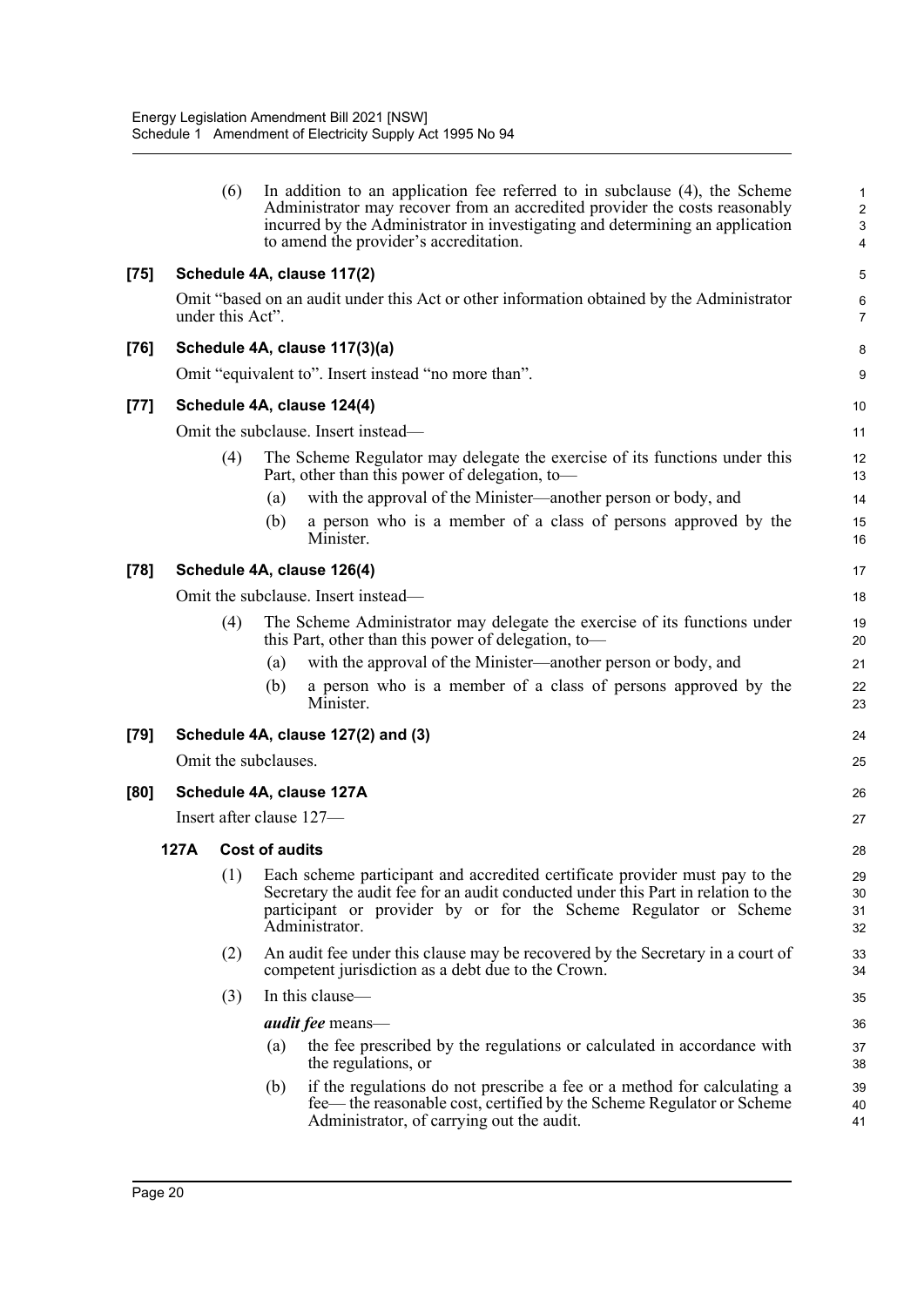|        |                            | (6)                  |                       | In addition to an application fee referred to in subclause (4), the Scheme<br>Administrator may recover from an accredited provider the costs reasonably<br>incurred by the Administrator in investigating and determining an application<br>to amend the provider's accreditation. | $\mathbf{1}$<br>$\boldsymbol{2}$<br>3<br>4 |
|--------|----------------------------|----------------------|-----------------------|-------------------------------------------------------------------------------------------------------------------------------------------------------------------------------------------------------------------------------------------------------------------------------------|--------------------------------------------|
| $[75]$ |                            |                      |                       | Schedule 4A, clause 117(2)                                                                                                                                                                                                                                                          | 5                                          |
|        |                            | under this Act".     |                       | Omit "based on an audit under this Act or other information obtained by the Administrator                                                                                                                                                                                           | $\,6\,$<br>$\overline{7}$                  |
| $[76]$ |                            |                      |                       | Schedule 4A, clause 117(3)(a)                                                                                                                                                                                                                                                       | 8                                          |
|        |                            |                      |                       | Omit "equivalent to". Insert instead "no more than".                                                                                                                                                                                                                                | 9                                          |
| $[77]$ | Schedule 4A, clause 124(4) |                      |                       |                                                                                                                                                                                                                                                                                     | 10                                         |
|        |                            |                      |                       | Omit the subclause. Insert instead—                                                                                                                                                                                                                                                 | 11                                         |
|        |                            | (4)                  |                       | The Scheme Regulator may delegate the exercise of its functions under this<br>Part, other than this power of delegation, to-                                                                                                                                                        | 12<br>13                                   |
|        |                            |                      | (a)                   | with the approval of the Minister—another person or body, and                                                                                                                                                                                                                       | 14                                         |
|        |                            |                      | (b)                   | a person who is a member of a class of persons approved by the<br>Minister.                                                                                                                                                                                                         | 15<br>16                                   |
| $[78]$ |                            |                      |                       | Schedule 4A, clause 126(4)                                                                                                                                                                                                                                                          | 17                                         |
|        |                            |                      |                       | Omit the subclause. Insert instead—                                                                                                                                                                                                                                                 | 18                                         |
|        |                            | (4)                  |                       | The Scheme Administrator may delegate the exercise of its functions under<br>this Part, other than this power of delegation, to-                                                                                                                                                    | 19<br>20                                   |
|        |                            |                      | (a)                   | with the approval of the Minister—another person or body, and                                                                                                                                                                                                                       | 21                                         |
|        |                            |                      | (b)                   | a person who is a member of a class of persons approved by the<br>Minister.                                                                                                                                                                                                         | 22<br>23                                   |
| $[79]$ |                            |                      |                       | Schedule 4A, clause 127(2) and (3)                                                                                                                                                                                                                                                  | 24                                         |
|        |                            | Omit the subclauses. |                       |                                                                                                                                                                                                                                                                                     | 25                                         |
| [80]   |                            |                      |                       | Schedule 4A, clause 127A                                                                                                                                                                                                                                                            | 26                                         |
|        |                            |                      |                       | Insert after clause 127-                                                                                                                                                                                                                                                            | 27                                         |
|        | 127A                       |                      | <b>Cost of audits</b> |                                                                                                                                                                                                                                                                                     | 28                                         |
|        |                            |                      |                       | (1) Each scheme participant and accredited certificate provider must pay to the<br>Secretary the audit fee for an audit conducted under this Part in relation to the<br>participant or provider by or for the Scheme Regulator or Scheme<br>Administrator.                          | 29<br>30<br>31<br>32                       |
|        |                            | (2)                  |                       | An audit fee under this clause may be recovered by the Secretary in a court of<br>competent jurisdiction as a debt due to the Crown.                                                                                                                                                | 33<br>34                                   |
|        |                            | (3)                  |                       | In this clause-                                                                                                                                                                                                                                                                     | 35                                         |
|        |                            |                      |                       | <i>audit fee</i> means—                                                                                                                                                                                                                                                             | 36                                         |
|        |                            |                      | (a)                   | the fee prescribed by the regulations or calculated in accordance with<br>the regulations, or                                                                                                                                                                                       | 37<br>38                                   |
|        |                            |                      | (b)                   | if the regulations do not prescribe a fee or a method for calculating a<br>fee— the reasonable cost, certified by the Scheme Regulator or Scheme<br>Administrator, of carrying out the audit.                                                                                       | 39<br>40<br>41                             |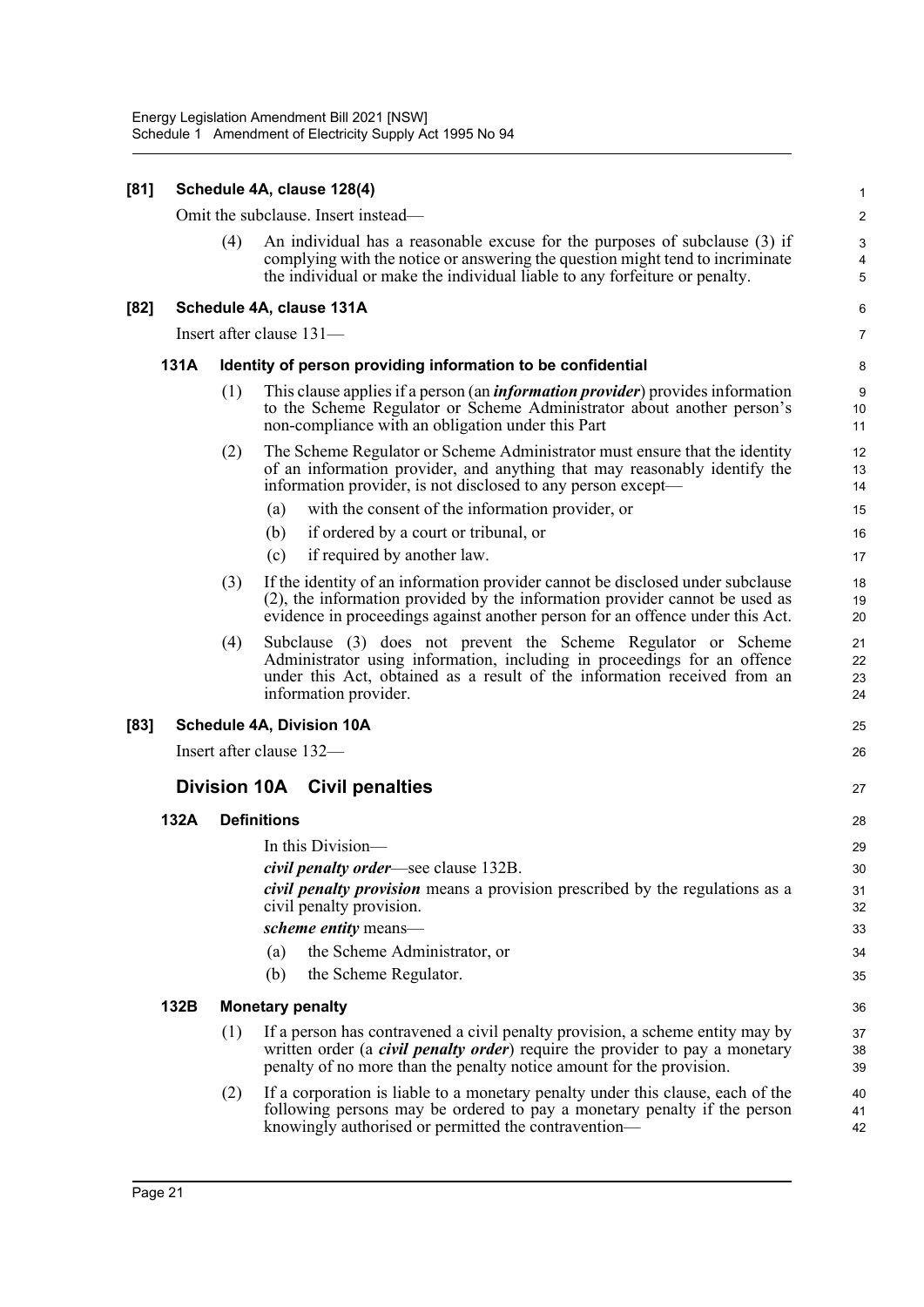| [81]   |      |     | Schedule 4A, clause 128(4)                                                                                                                                                                                                                     | 1                    |
|--------|------|-----|------------------------------------------------------------------------------------------------------------------------------------------------------------------------------------------------------------------------------------------------|----------------------|
|        |      |     | Omit the subclause. Insert instead—                                                                                                                                                                                                            | $\boldsymbol{2}$     |
|        |      | (4) | An individual has a reasonable excuse for the purposes of subclause (3) if<br>complying with the notice or answering the question might tend to incriminate<br>the individual or make the individual liable to any forfeiture or penalty.      | 3<br>4<br>5          |
| $[82]$ |      |     | Schedule 4A, clause 131A                                                                                                                                                                                                                       | 6                    |
|        |      |     | Insert after clause $131-$                                                                                                                                                                                                                     | 7                    |
|        | 131A |     | Identity of person providing information to be confidential                                                                                                                                                                                    | 8                    |
|        |      | (1) | This clause applies if a person (an <i>information provider</i> ) provides information<br>to the Scheme Regulator or Scheme Administrator about another person's<br>non-compliance with an obligation under this Part                          | 9<br>10<br>11        |
|        |      | (2) | The Scheme Regulator or Scheme Administrator must ensure that the identity<br>of an information provider, and anything that may reasonably identify the<br>information provider, is not disclosed to any person except—                        | 12<br>13<br>14       |
|        |      |     | with the consent of the information provider, or<br>(a)                                                                                                                                                                                        | 15                   |
|        |      |     | (b)<br>if ordered by a court or tribunal, or                                                                                                                                                                                                   | 16                   |
|        |      |     | if required by another law.<br>(c)                                                                                                                                                                                                             | 17                   |
|        |      | (3) | If the identity of an information provider cannot be disclosed under subclause<br>(2), the information provided by the information provider cannot be used as<br>evidence in proceedings against another person for an offence under this Act. | 18<br>19<br>20       |
|        |      | (4) | Subclause (3) does not prevent the Scheme Regulator or Scheme<br>Administrator using information, including in proceedings for an offence<br>under this Act, obtained as a result of the information received from an<br>information provider. | 21<br>22<br>23<br>24 |
| [83]   |      |     | <b>Schedule 4A, Division 10A</b>                                                                                                                                                                                                               | 25                   |
|        |      |     | Insert after clause 132—                                                                                                                                                                                                                       | 26                   |
|        |      |     | <b>Division 10A</b> Civil penalties                                                                                                                                                                                                            | 27                   |
|        | 132A |     | <b>Definitions</b>                                                                                                                                                                                                                             | 28                   |
|        |      |     | In this Division—                                                                                                                                                                                                                              | 29                   |
|        |      |     | <i>civil penalty order</i> —see clause 132B.                                                                                                                                                                                                   | 30                   |
|        |      |     | <i>civil penalty provision</i> means a provision prescribed by the regulations as a<br>civil penalty provision.                                                                                                                                | 31<br>32             |
|        |      |     | scheme entity means-                                                                                                                                                                                                                           | 33                   |
|        |      |     | the Scheme Administrator, or<br>(a)                                                                                                                                                                                                            | 34                   |
|        |      |     | (b)<br>the Scheme Regulator.                                                                                                                                                                                                                   | 35                   |
|        | 132B |     | <b>Monetary penalty</b>                                                                                                                                                                                                                        | 36                   |
|        |      | (1) | If a person has contravened a civil penalty provision, a scheme entity may by<br>written order (a <i>civil penalty order</i> ) require the provider to pay a monetary<br>penalty of no more than the penalty notice amount for the provision.  | 37<br>38<br>39       |
|        |      | (2) | If a corporation is liable to a monetary penalty under this clause, each of the<br>following persons may be ordered to pay a monetary penalty if the person<br>knowingly authorised or permitted the contravention—                            | 40<br>41<br>42       |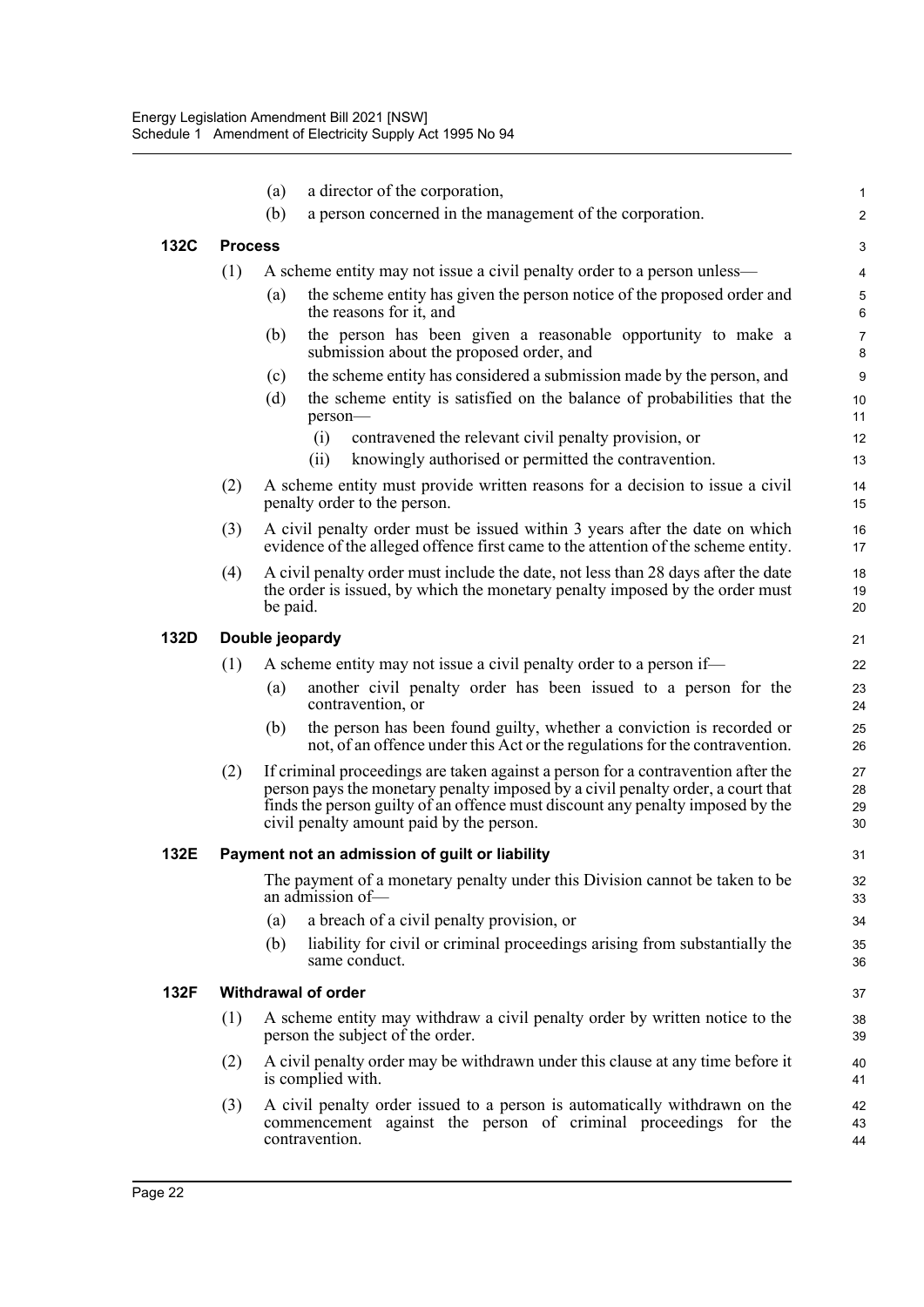|      |                 | (a)      | a director of the corporation,                                                                                                                                                                                                                                                                    | 1                    |  |  |
|------|-----------------|----------|---------------------------------------------------------------------------------------------------------------------------------------------------------------------------------------------------------------------------------------------------------------------------------------------------|----------------------|--|--|
|      |                 | (b)      | a person concerned in the management of the corporation.                                                                                                                                                                                                                                          | $\overline{2}$       |  |  |
| 132C | <b>Process</b>  |          |                                                                                                                                                                                                                                                                                                   | 3                    |  |  |
|      | (1)             |          | A scheme entity may not issue a civil penalty order to a person unless—                                                                                                                                                                                                                           | 4                    |  |  |
|      |                 | (a)      | the scheme entity has given the person notice of the proposed order and<br>the reasons for it, and                                                                                                                                                                                                | 5<br>6               |  |  |
|      |                 | (b)      | the person has been given a reasonable opportunity to make a<br>submission about the proposed order, and                                                                                                                                                                                          | $\overline{7}$<br>8  |  |  |
|      |                 | (c)      | the scheme entity has considered a submission made by the person, and                                                                                                                                                                                                                             | $\boldsymbol{9}$     |  |  |
|      |                 | (d)      | the scheme entity is satisfied on the balance of probabilities that the<br>person-                                                                                                                                                                                                                | 10<br>11             |  |  |
|      |                 |          | (i)<br>contravened the relevant civil penalty provision, or                                                                                                                                                                                                                                       | 12                   |  |  |
|      |                 |          | knowingly authorised or permitted the contravention.<br>(ii)                                                                                                                                                                                                                                      | 13                   |  |  |
|      | (2)             |          | A scheme entity must provide written reasons for a decision to issue a civil<br>penalty order to the person.                                                                                                                                                                                      | 14<br>15             |  |  |
|      | (3)             |          | A civil penalty order must be issued within 3 years after the date on which<br>evidence of the alleged offence first came to the attention of the scheme entity.                                                                                                                                  | 16<br>17             |  |  |
|      | (4)             | be paid. | A civil penalty order must include the date, not less than 28 days after the date<br>the order is issued, by which the monetary penalty imposed by the order must                                                                                                                                 | 18<br>19<br>20       |  |  |
| 132D | Double jeopardy |          |                                                                                                                                                                                                                                                                                                   |                      |  |  |
|      | (1)             |          | A scheme entity may not issue a civil penalty order to a person if-                                                                                                                                                                                                                               | 22                   |  |  |
|      |                 | (a)      | another civil penalty order has been issued to a person for the<br>contravention, or                                                                                                                                                                                                              | 23<br>24             |  |  |
|      |                 | (b)      | the person has been found guilty, whether a conviction is recorded or<br>not, of an offence under this Act or the regulations for the contravention.                                                                                                                                              | 25<br>26             |  |  |
|      | (2)             |          | If criminal proceedings are taken against a person for a contravention after the<br>person pays the monetary penalty imposed by a civil penalty order, a court that<br>finds the person guilty of an offence must discount any penalty imposed by the<br>civil penalty amount paid by the person. | 27<br>28<br>29<br>30 |  |  |
| 132E |                 |          | Payment not an admission of guilt or liability                                                                                                                                                                                                                                                    | 31                   |  |  |
|      |                 |          | The payment of a monetary penalty under this Division cannot be taken to be<br>an admission of-                                                                                                                                                                                                   | 32<br>33             |  |  |
|      |                 | (a)      | a breach of a civil penalty provision, or                                                                                                                                                                                                                                                         | 34                   |  |  |
|      |                 | (b)      | liability for civil or criminal proceedings arising from substantially the<br>same conduct.                                                                                                                                                                                                       | 35<br>36             |  |  |
| 132F |                 |          | <b>Withdrawal of order</b>                                                                                                                                                                                                                                                                        | 37                   |  |  |
|      | (1)             |          | A scheme entity may withdraw a civil penalty order by written notice to the<br>person the subject of the order.                                                                                                                                                                                   | 38<br>39             |  |  |
|      | (2)             |          | A civil penalty order may be withdrawn under this clause at any time before it<br>is complied with.                                                                                                                                                                                               | 40<br>41             |  |  |
|      | (3)             |          | A civil penalty order issued to a person is automatically withdrawn on the<br>commencement against the person of criminal proceedings for the<br>contravention.                                                                                                                                   | 42<br>43<br>44       |  |  |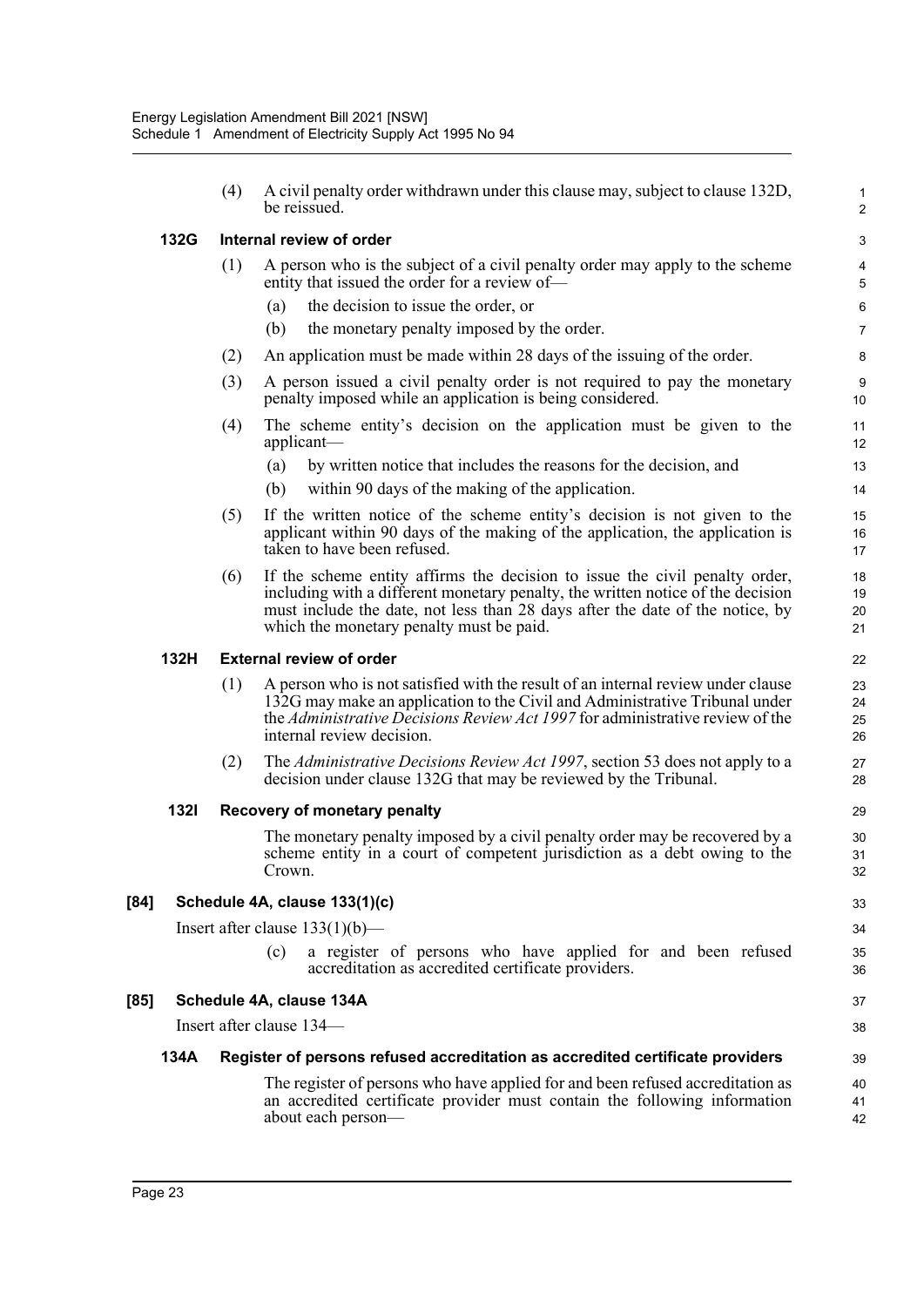|             | (4) | A civil penalty order withdrawn under this clause may, subject to clause 132D,<br>be reissued.                                                                                                                                                                                              | $\mathbf{1}$<br>$\overline{2}$ |  |  |
|-------------|-----|---------------------------------------------------------------------------------------------------------------------------------------------------------------------------------------------------------------------------------------------------------------------------------------------|--------------------------------|--|--|
| 132G        |     | Internal review of order                                                                                                                                                                                                                                                                    | 3                              |  |  |
|             | (1) | A person who is the subject of a civil penalty order may apply to the scheme<br>entity that issued the order for a review of-                                                                                                                                                               |                                |  |  |
|             |     | the decision to issue the order, or<br>(a)                                                                                                                                                                                                                                                  | $\,6\,$                        |  |  |
|             |     | the monetary penalty imposed by the order.<br>(b)                                                                                                                                                                                                                                           | $\overline{7}$                 |  |  |
|             | (2) | An application must be made within 28 days of the issuing of the order.                                                                                                                                                                                                                     | 8                              |  |  |
|             | (3) | A person issued a civil penalty order is not required to pay the monetary<br>penalty imposed while an application is being considered.                                                                                                                                                      | 9<br>10                        |  |  |
|             | (4) | The scheme entity's decision on the application must be given to the<br>applicant—                                                                                                                                                                                                          | 11<br>12                       |  |  |
|             |     | by written notice that includes the reasons for the decision, and<br>(a)<br>within 90 days of the making of the application.<br>(b)                                                                                                                                                         | 13<br>14                       |  |  |
|             | (5) | If the written notice of the scheme entity's decision is not given to the<br>applicant within 90 days of the making of the application, the application is<br>taken to have been refused.                                                                                                   | 15<br>16<br>17                 |  |  |
|             | (6) | If the scheme entity affirms the decision to issue the civil penalty order,<br>including with a different monetary penalty, the written notice of the decision<br>must include the date, not less than 28 days after the date of the notice, by<br>which the monetary penalty must be paid. | 18<br>19<br>20<br>21           |  |  |
| 132H        |     | <b>External review of order</b>                                                                                                                                                                                                                                                             | 22                             |  |  |
|             | (1) | A person who is not satisfied with the result of an internal review under clause<br>132G may make an application to the Civil and Administrative Tribunal under<br>the Administrative Decisions Review Act 1997 for administrative review of the<br>internal review decision.               | 23<br>24<br>25<br>26           |  |  |
|             | (2) | The Administrative Decisions Review Act 1997, section 53 does not apply to a<br>decision under clause 132G that may be reviewed by the Tribunal.                                                                                                                                            | 27<br>28                       |  |  |
| <b>1321</b> |     | Recovery of monetary penalty                                                                                                                                                                                                                                                                | 29                             |  |  |
|             |     | The monetary penalty imposed by a civil penalty order may be recovered by a<br>scheme entity in a court of competent jurisdiction as a debt owing to the<br>Crown.                                                                                                                          | 30<br>31<br>32                 |  |  |
|             |     | Schedule 4A, clause 133(1)(c)                                                                                                                                                                                                                                                               | 33                             |  |  |
|             |     | Insert after clause $133(1)(b)$ —                                                                                                                                                                                                                                                           | 34                             |  |  |
|             |     | a register of persons who have applied for and been refused<br>(c)<br>accreditation as accredited certificate providers.                                                                                                                                                                    | 35<br>36                       |  |  |
|             |     | Schedule 4A, clause 134A                                                                                                                                                                                                                                                                    | 37                             |  |  |
|             |     | Insert after clause 134—                                                                                                                                                                                                                                                                    | 38                             |  |  |
| 134A        |     | Register of persons refused accreditation as accredited certificate providers                                                                                                                                                                                                               | 39                             |  |  |
|             |     | The register of persons who have applied for and been refused accreditation as<br>an accredited certificate provider must contain the following information<br>about each person-                                                                                                           | 40<br>41<br>42                 |  |  |

[84]

**[85]**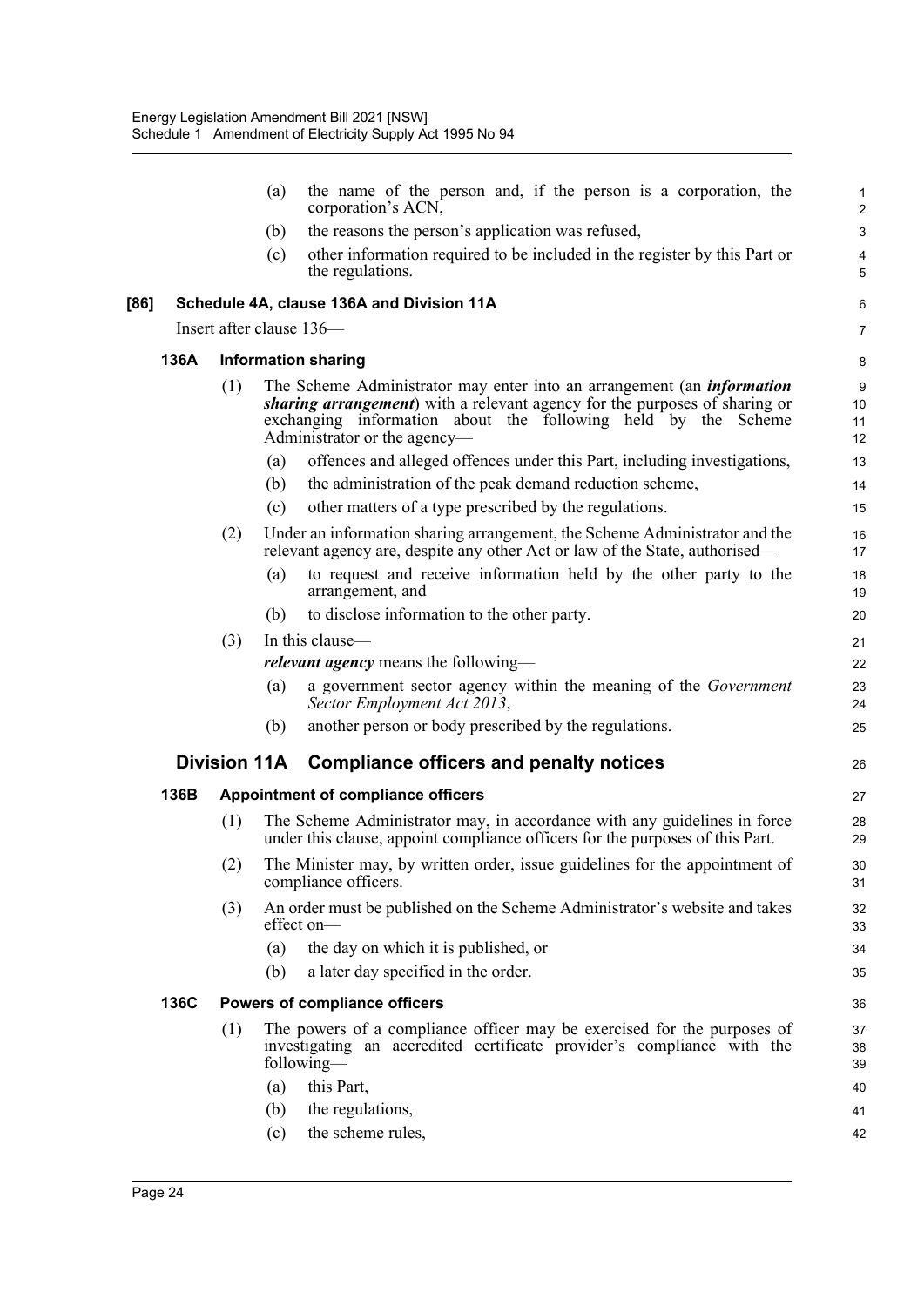|      |      |     | (a) | the name of the person and, if the person is a corporation, the<br>corporation's ACN,                                                                                                                                                                                | $\mathbf{1}$<br>$\overline{2}$ |
|------|------|-----|-----|----------------------------------------------------------------------------------------------------------------------------------------------------------------------------------------------------------------------------------------------------------------------|--------------------------------|
|      |      |     | (b) | the reasons the person's application was refused,                                                                                                                                                                                                                    | $\mathbf{3}$                   |
|      |      |     | (c) | other information required to be included in the register by this Part or<br>the regulations.                                                                                                                                                                        | $\overline{\mathbf{4}}$<br>5   |
| [86] |      |     |     | Schedule 4A, clause 136A and Division 11A                                                                                                                                                                                                                            | 6                              |
|      |      |     |     | Insert after clause 136—                                                                                                                                                                                                                                             | $\overline{7}$                 |
|      | 136A |     |     | <b>Information sharing</b>                                                                                                                                                                                                                                           | 8                              |
|      |      | (1) |     | The Scheme Administrator may enter into an arrangement (an <i>information</i><br><i>sharing arrangement</i> ) with a relevant agency for the purposes of sharing or<br>exchanging information about the following held by the Scheme<br>Administrator or the agency- | 9<br>10<br>11<br>12            |
|      |      |     | (a) | offences and alleged offences under this Part, including investigations,                                                                                                                                                                                             | 13                             |
|      |      |     | (b) | the administration of the peak demand reduction scheme,                                                                                                                                                                                                              | 14                             |
|      |      |     | (c) | other matters of a type prescribed by the regulations.                                                                                                                                                                                                               | 15                             |
|      |      | (2) |     | Under an information sharing arrangement, the Scheme Administrator and the<br>relevant agency are, despite any other Act or law of the State, authorised—                                                                                                            | 16<br>17                       |
|      |      |     | (a) | to request and receive information held by the other party to the<br>arrangement, and                                                                                                                                                                                | 18<br>19                       |
|      |      |     | (b) | to disclose information to the other party.                                                                                                                                                                                                                          | 20                             |
|      |      | (3) |     | In this clause—                                                                                                                                                                                                                                                      | 21                             |
|      |      |     |     | <i>relevant agency</i> means the following—                                                                                                                                                                                                                          | 22                             |
|      |      |     | (a) | a government sector agency within the meaning of the Government<br>Sector Employment Act 2013,                                                                                                                                                                       | 23<br>24                       |
|      |      |     | (b) | another person or body prescribed by the regulations.                                                                                                                                                                                                                | 25                             |
|      |      |     |     | Division 11A Compliance officers and penalty notices                                                                                                                                                                                                                 | 26                             |
|      | 136B |     |     | <b>Appointment of compliance officers</b>                                                                                                                                                                                                                            | 27                             |
|      |      | (1) |     | The Scheme Administrator may, in accordance with any guidelines in force<br>under this clause, appoint compliance officers for the purposes of this Part.                                                                                                            | 28<br>29                       |
|      |      | (2) |     | The Minister may, by written order, issue guidelines for the appointment of<br>compliance officers.                                                                                                                                                                  | 30<br>31                       |
|      |      | (3) |     | An order must be published on the Scheme Administrator's website and takes<br>effect on-                                                                                                                                                                             | 32<br>33                       |
|      |      |     | (a) | the day on which it is published, or                                                                                                                                                                                                                                 | 34                             |
|      |      |     | (b) | a later day specified in the order.                                                                                                                                                                                                                                  | 35                             |
|      | 136C |     |     | <b>Powers of compliance officers</b>                                                                                                                                                                                                                                 | 36                             |
|      |      | (1) |     | The powers of a compliance officer may be exercised for the purposes of<br>investigating an accredited certificate provider's compliance with the<br>following—                                                                                                      | 37<br>38<br>39                 |
|      |      |     | (a) | this Part,                                                                                                                                                                                                                                                           | 40                             |
|      |      |     | (b) | the regulations,                                                                                                                                                                                                                                                     | 41                             |
|      |      |     | (c) | the scheme rules,                                                                                                                                                                                                                                                    | 42                             |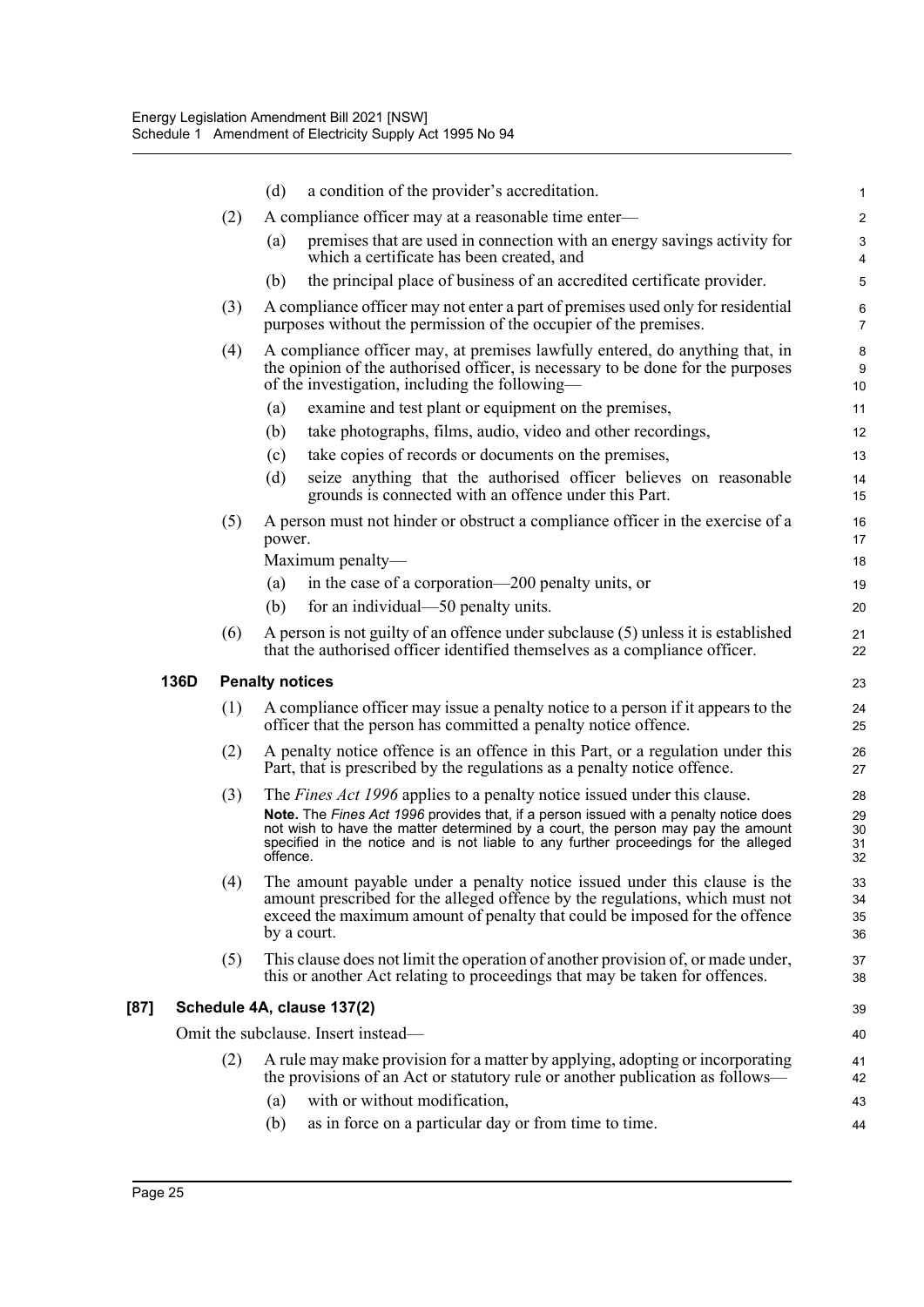|      |      |     | (d)                    | a condition of the provider's accreditation.                                                                                                                                                                                                                                                                                                         | 1                          |
|------|------|-----|------------------------|------------------------------------------------------------------------------------------------------------------------------------------------------------------------------------------------------------------------------------------------------------------------------------------------------------------------------------------------------|----------------------------|
|      |      | (2) |                        | A compliance officer may at a reasonable time enter-                                                                                                                                                                                                                                                                                                 | $\boldsymbol{2}$           |
|      |      |     | (a)                    | premises that are used in connection with an energy savings activity for<br>which a certificate has been created, and                                                                                                                                                                                                                                | $\sqrt{3}$<br>4            |
|      |      |     | (b)                    | the principal place of business of an accredited certificate provider.                                                                                                                                                                                                                                                                               | 5                          |
|      |      | (3) |                        | A compliance officer may not enter a part of premises used only for residential<br>purposes without the permission of the occupier of the premises.                                                                                                                                                                                                  | 6<br>$\overline{7}$        |
|      |      | (4) |                        | A compliance officer may, at premises lawfully entered, do anything that, in<br>the opinion of the authorised officer, is necessary to be done for the purposes<br>of the investigation, including the following—                                                                                                                                    | 8<br>9<br>10               |
|      |      |     | (a)                    | examine and test plant or equipment on the premises,                                                                                                                                                                                                                                                                                                 | 11                         |
|      |      |     | (b)                    | take photographs, films, audio, video and other recordings,                                                                                                                                                                                                                                                                                          | 12                         |
|      |      |     | (c)                    | take copies of records or documents on the premises,                                                                                                                                                                                                                                                                                                 | 13                         |
|      |      |     | (d)                    | seize anything that the authorised officer believes on reasonable<br>grounds is connected with an offence under this Part.                                                                                                                                                                                                                           | 14<br>15                   |
|      |      | (5) | power.                 | A person must not hinder or obstruct a compliance officer in the exercise of a                                                                                                                                                                                                                                                                       | 16<br>17                   |
|      |      |     |                        | Maximum penalty-                                                                                                                                                                                                                                                                                                                                     | 18                         |
|      |      |     | (a)                    | in the case of a corporation—200 penalty units, or                                                                                                                                                                                                                                                                                                   | 19                         |
|      |      |     | (b)                    | for an individual—50 penalty units.                                                                                                                                                                                                                                                                                                                  | 20                         |
|      |      | (6) |                        | A person is not guilty of an offence under subclause (5) unless it is established<br>that the authorised officer identified themselves as a compliance officer.                                                                                                                                                                                      | 21<br>22                   |
|      | 136D |     | <b>Penalty notices</b> |                                                                                                                                                                                                                                                                                                                                                      | 23                         |
|      |      | (1) |                        | A compliance officer may issue a penalty notice to a person if it appears to the<br>officer that the person has committed a penalty notice offence.                                                                                                                                                                                                  | 24<br>25                   |
|      |      | (2) |                        | A penalty notice offence is an offence in this Part, or a regulation under this<br>Part, that is prescribed by the regulations as a penalty notice offence.                                                                                                                                                                                          | 26<br>27                   |
|      |      | (3) | offence.               | The <i>Fines Act 1996</i> applies to a penalty notice issued under this clause.<br>Note. The Fines Act 1996 provides that, if a person issued with a penalty notice does<br>not wish to have the matter determined by a court, the person may pay the amount<br>specified in the notice and is not liable to any further proceedings for the alleged | 28<br>29<br>30<br>31<br>32 |
|      |      | (4) |                        | The amount payable under a penalty notice issued under this clause is the<br>amount prescribed for the alleged offence by the regulations, which must not<br>exceed the maximum amount of penalty that could be imposed for the offence<br>by a court.                                                                                               | 33<br>34<br>35<br>36       |
|      |      | (5) |                        | This clause does not limit the operation of another provision of, or made under,<br>this or another Act relating to proceedings that may be taken for offences.                                                                                                                                                                                      | 37<br>38                   |
| [87] |      |     |                        | Schedule 4A, clause 137(2)                                                                                                                                                                                                                                                                                                                           | 39                         |
|      |      |     |                        | Omit the subclause. Insert instead-                                                                                                                                                                                                                                                                                                                  | 40                         |
|      |      | (2) |                        | A rule may make provision for a matter by applying, adopting or incorporating<br>the provisions of an Act or statutory rule or another publication as follows—                                                                                                                                                                                       | 41<br>42                   |
|      |      |     | (a)                    | with or without modification,                                                                                                                                                                                                                                                                                                                        | 43                         |
|      |      |     | (b)                    | as in force on a particular day or from time to time.                                                                                                                                                                                                                                                                                                | 44                         |
|      |      |     |                        |                                                                                                                                                                                                                                                                                                                                                      |                            |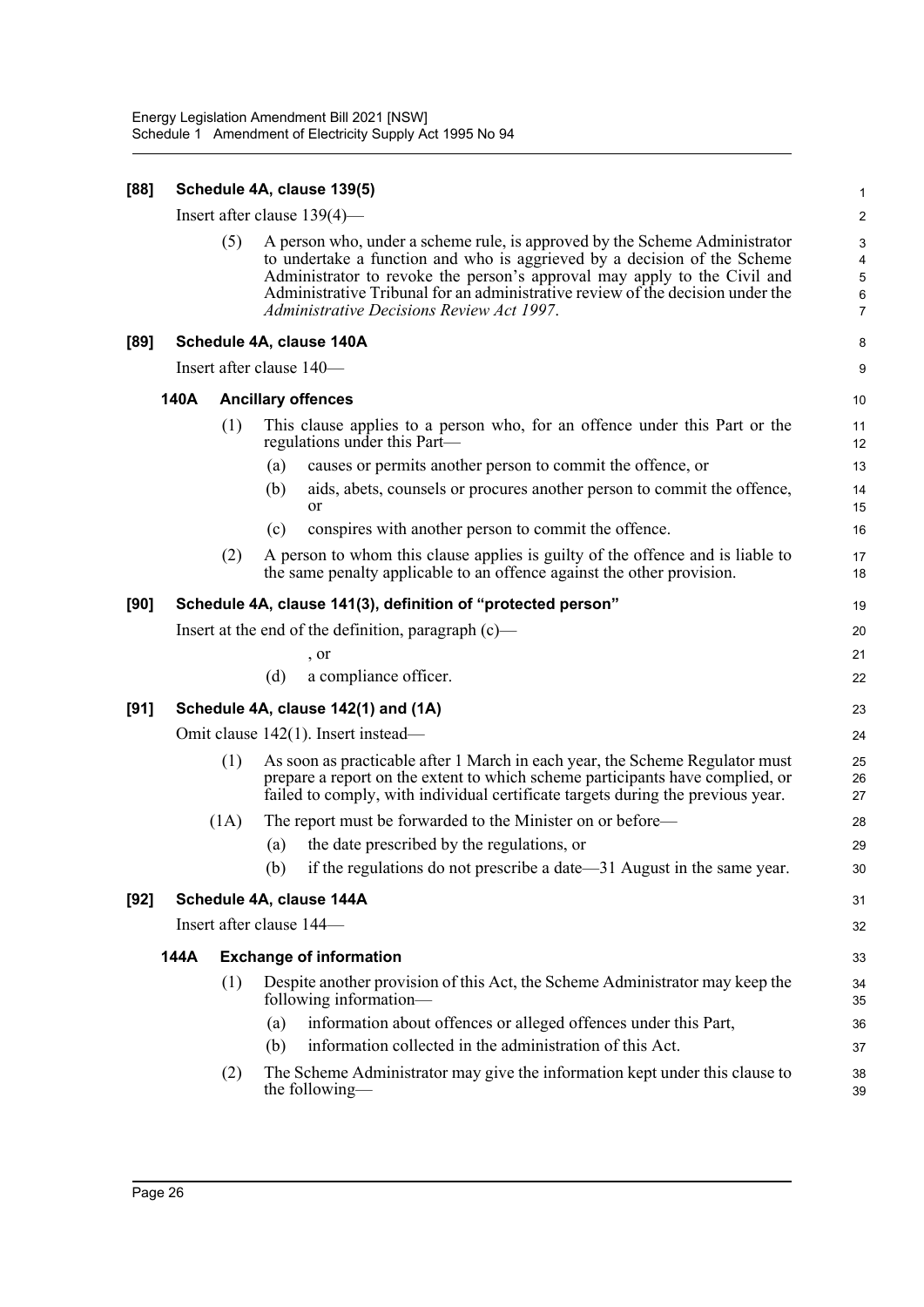| [88]   |                                                                                                                                                                                                                                                                                                                                                                          |      | Schedule 4A, clause 139(5)                                                                                                                                                                                                                       | 1              |  |  |
|--------|--------------------------------------------------------------------------------------------------------------------------------------------------------------------------------------------------------------------------------------------------------------------------------------------------------------------------------------------------------------------------|------|--------------------------------------------------------------------------------------------------------------------------------------------------------------------------------------------------------------------------------------------------|----------------|--|--|
|        |                                                                                                                                                                                                                                                                                                                                                                          |      | Insert after clause $139(4)$ —                                                                                                                                                                                                                   | $\overline{c}$ |  |  |
|        | (5)<br>A person who, under a scheme rule, is approved by the Scheme Administrator<br>to undertake a function and who is aggrieved by a decision of the Scheme<br>Administrator to revoke the person's approval may apply to the Civil and<br>Administrative Tribunal for an administrative review of the decision under the<br>Administrative Decisions Review Act 1997. |      |                                                                                                                                                                                                                                                  |                |  |  |
| $[89]$ |                                                                                                                                                                                                                                                                                                                                                                          |      | Schedule 4A, clause 140A                                                                                                                                                                                                                         | 8              |  |  |
|        |                                                                                                                                                                                                                                                                                                                                                                          |      | Insert after clause 140-                                                                                                                                                                                                                         | 9              |  |  |
|        | 140A                                                                                                                                                                                                                                                                                                                                                                     |      | <b>Ancillary offences</b>                                                                                                                                                                                                                        | 10             |  |  |
|        |                                                                                                                                                                                                                                                                                                                                                                          | (1)  | This clause applies to a person who, for an offence under this Part or the<br>regulations under this Part—                                                                                                                                       | 11<br>12       |  |  |
|        |                                                                                                                                                                                                                                                                                                                                                                          |      | (a)<br>causes or permits another person to commit the offence, or                                                                                                                                                                                | 13             |  |  |
|        |                                                                                                                                                                                                                                                                                                                                                                          |      | (b)<br>aids, abets, counsels or procures another person to commit the offence,<br>or                                                                                                                                                             | 14<br>15       |  |  |
|        |                                                                                                                                                                                                                                                                                                                                                                          |      | conspires with another person to commit the offence.<br>(c)                                                                                                                                                                                      | 16             |  |  |
|        |                                                                                                                                                                                                                                                                                                                                                                          | (2)  | A person to whom this clause applies is guilty of the offence and is liable to<br>the same penalty applicable to an offence against the other provision.                                                                                         | 17<br>18       |  |  |
| [90]   |                                                                                                                                                                                                                                                                                                                                                                          |      | Schedule 4A, clause 141(3), definition of "protected person"                                                                                                                                                                                     | 19             |  |  |
|        |                                                                                                                                                                                                                                                                                                                                                                          |      | Insert at the end of the definition, paragraph $(c)$ —                                                                                                                                                                                           | 20             |  |  |
|        |                                                                                                                                                                                                                                                                                                                                                                          |      | , or                                                                                                                                                                                                                                             | 21             |  |  |
|        |                                                                                                                                                                                                                                                                                                                                                                          |      | (d)<br>a compliance officer.                                                                                                                                                                                                                     | 22             |  |  |
| $[91]$ |                                                                                                                                                                                                                                                                                                                                                                          |      | Schedule 4A, clause 142(1) and (1A)                                                                                                                                                                                                              | 23             |  |  |
|        |                                                                                                                                                                                                                                                                                                                                                                          |      | Omit clause 142(1). Insert instead—                                                                                                                                                                                                              | 24             |  |  |
|        |                                                                                                                                                                                                                                                                                                                                                                          | (1)  | As soon as practicable after 1 March in each year, the Scheme Regulator must<br>prepare a report on the extent to which scheme participants have complied, or<br>failed to comply, with individual certificate targets during the previous year. | 25<br>26<br>27 |  |  |
|        |                                                                                                                                                                                                                                                                                                                                                                          | (1A) | The report must be forwarded to the Minister on or before—                                                                                                                                                                                       | 28             |  |  |
|        |                                                                                                                                                                                                                                                                                                                                                                          |      | the date prescribed by the regulations, or<br>(a)                                                                                                                                                                                                | 29             |  |  |
|        |                                                                                                                                                                                                                                                                                                                                                                          |      | (b)<br>if the regulations do not prescribe a date—31 August in the same year.                                                                                                                                                                    | 30             |  |  |
| $[92]$ |                                                                                                                                                                                                                                                                                                                                                                          |      | Schedule 4A, clause 144A                                                                                                                                                                                                                         | 31             |  |  |
|        |                                                                                                                                                                                                                                                                                                                                                                          |      | Insert after clause 144-                                                                                                                                                                                                                         | 32             |  |  |
|        | 144A                                                                                                                                                                                                                                                                                                                                                                     |      | <b>Exchange of information</b>                                                                                                                                                                                                                   | 33             |  |  |
|        |                                                                                                                                                                                                                                                                                                                                                                          | (1)  | Despite another provision of this Act, the Scheme Administrator may keep the<br>following information-                                                                                                                                           | 34<br>35       |  |  |
|        |                                                                                                                                                                                                                                                                                                                                                                          |      | information about offences or alleged offences under this Part,<br>(a)                                                                                                                                                                           | 36             |  |  |
|        |                                                                                                                                                                                                                                                                                                                                                                          |      | information collected in the administration of this Act.<br>(b)                                                                                                                                                                                  | 37             |  |  |
|        |                                                                                                                                                                                                                                                                                                                                                                          | (2)  | The Scheme Administrator may give the information kept under this clause to<br>the following-                                                                                                                                                    | 38<br>39       |  |  |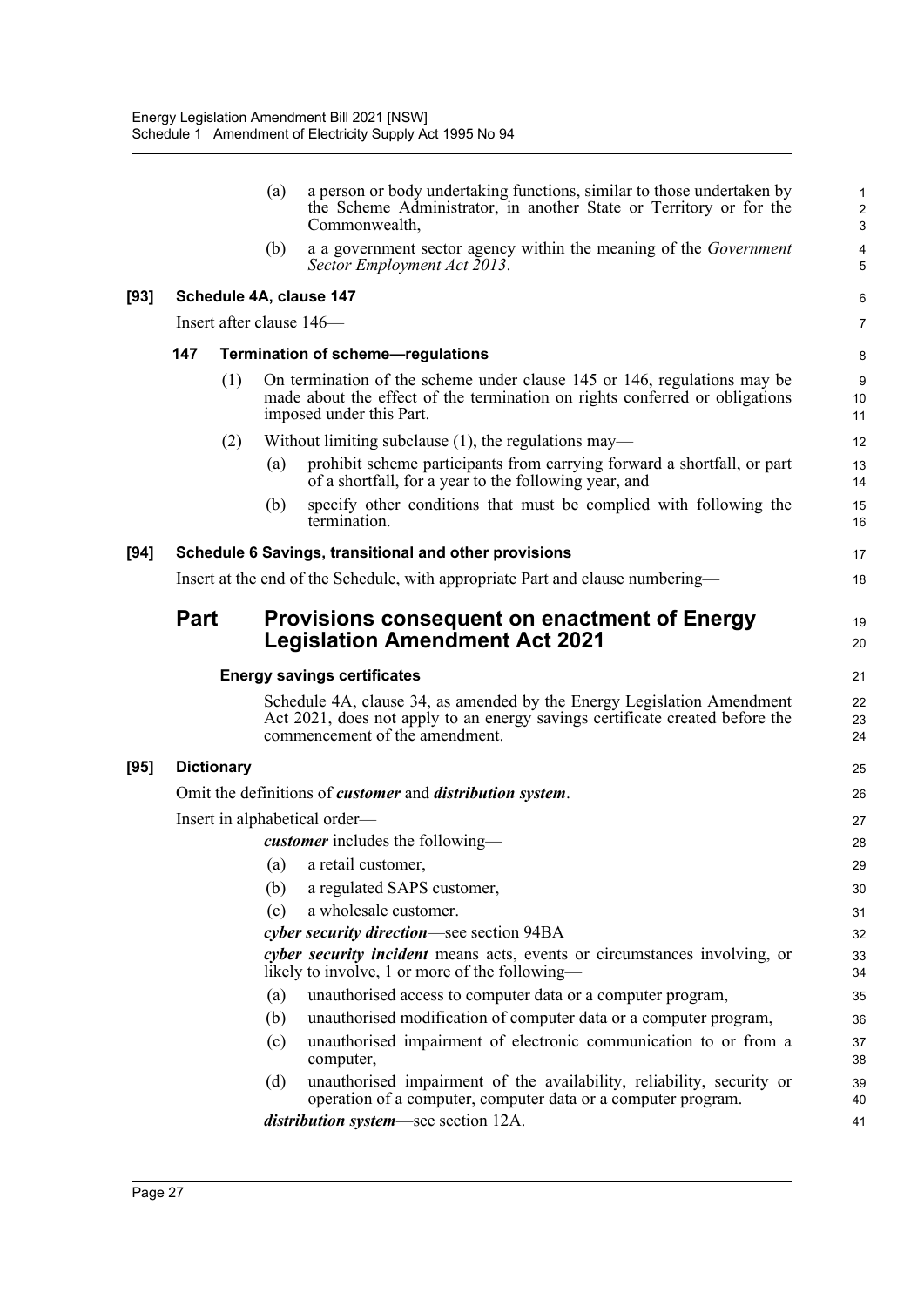|        |             |                   | (a) | a person or body undertaking functions, similar to those undertaken by<br>the Scheme Administrator, in another State or Territory or for the<br>Commonwealth,                            | $\mathbf{1}$<br>$\boldsymbol{2}$<br>$\sqrt{3}$ |
|--------|-------------|-------------------|-----|------------------------------------------------------------------------------------------------------------------------------------------------------------------------------------------|------------------------------------------------|
|        |             |                   | (b) | a a government sector agency within the meaning of the <i>Government</i><br>Sector Employment Act 2013.                                                                                  | 4<br>5                                         |
| $[93]$ |             |                   |     | Schedule 4A, clause 147                                                                                                                                                                  | 6                                              |
|        |             |                   |     | Insert after clause 146-                                                                                                                                                                 | 7                                              |
|        | 147         |                   |     | Termination of scheme-regulations                                                                                                                                                        | 8                                              |
|        |             | (1)               |     | On termination of the scheme under clause 145 or 146, regulations may be<br>made about the effect of the termination on rights conferred or obligations<br>imposed under this Part.      | 9<br>10<br>11                                  |
|        |             | (2)               |     | Without limiting subclause $(1)$ , the regulations may—                                                                                                                                  | 12                                             |
|        |             |                   | (a) | prohibit scheme participants from carrying forward a shortfall, or part<br>of a shortfall, for a year to the following year, and                                                         | 13<br>14                                       |
|        |             |                   | (b) | specify other conditions that must be complied with following the<br>termination.                                                                                                        | 15<br>16                                       |
| $[94]$ |             |                   |     | Schedule 6 Savings, transitional and other provisions                                                                                                                                    | 17                                             |
|        |             |                   |     | Insert at the end of the Schedule, with appropriate Part and clause numbering—                                                                                                           | 18                                             |
|        | <b>Part</b> |                   |     | <b>Provisions consequent on enactment of Energy</b>                                                                                                                                      | 19                                             |
|        |             |                   |     | <b>Legislation Amendment Act 2021</b>                                                                                                                                                    | 20                                             |
|        |             |                   |     |                                                                                                                                                                                          |                                                |
|        |             |                   |     | <b>Energy savings certificates</b>                                                                                                                                                       | 21                                             |
|        |             |                   |     | Schedule 4A, clause 34, as amended by the Energy Legislation Amendment<br>Act 2021, does not apply to an energy savings certificate created before the<br>commencement of the amendment. | 22<br>23<br>24                                 |
| $[95]$ |             | <b>Dictionary</b> |     |                                                                                                                                                                                          | 25                                             |
|        |             |                   |     | Omit the definitions of <i>customer</i> and <i>distribution system</i> .                                                                                                                 | 26                                             |
|        |             |                   |     | Insert in alphabetical order—                                                                                                                                                            | 27                                             |
|        |             |                   |     | <i>customer</i> includes the following—                                                                                                                                                  | 28                                             |
|        |             |                   | (a) | a retail customer,                                                                                                                                                                       | 29                                             |
|        |             |                   | (b) | a regulated SAPS customer,                                                                                                                                                               | 30                                             |
|        |             |                   | (c) | a wholesale customer.                                                                                                                                                                    | 31                                             |
|        |             |                   |     | cyber security direction—see section 94BA                                                                                                                                                | 32                                             |
|        |             |                   |     | cyber security incident means acts, events or circumstances involving, or<br>likely to involve, 1 or more of the following—                                                              | 33<br>34                                       |
|        |             |                   | (a) | unauthorised access to computer data or a computer program,                                                                                                                              | 35                                             |
|        |             |                   | (b) | unauthorised modification of computer data or a computer program,                                                                                                                        | 36                                             |
|        |             |                   | (c) | unauthorised impairment of electronic communication to or from a<br>computer,                                                                                                            | 37<br>38                                       |
|        |             |                   | (d) | unauthorised impairment of the availability, reliability, security or<br>operation of a computer, computer data or a computer program.<br><i>distribution system—see section 12A.</i>    | 39<br>40                                       |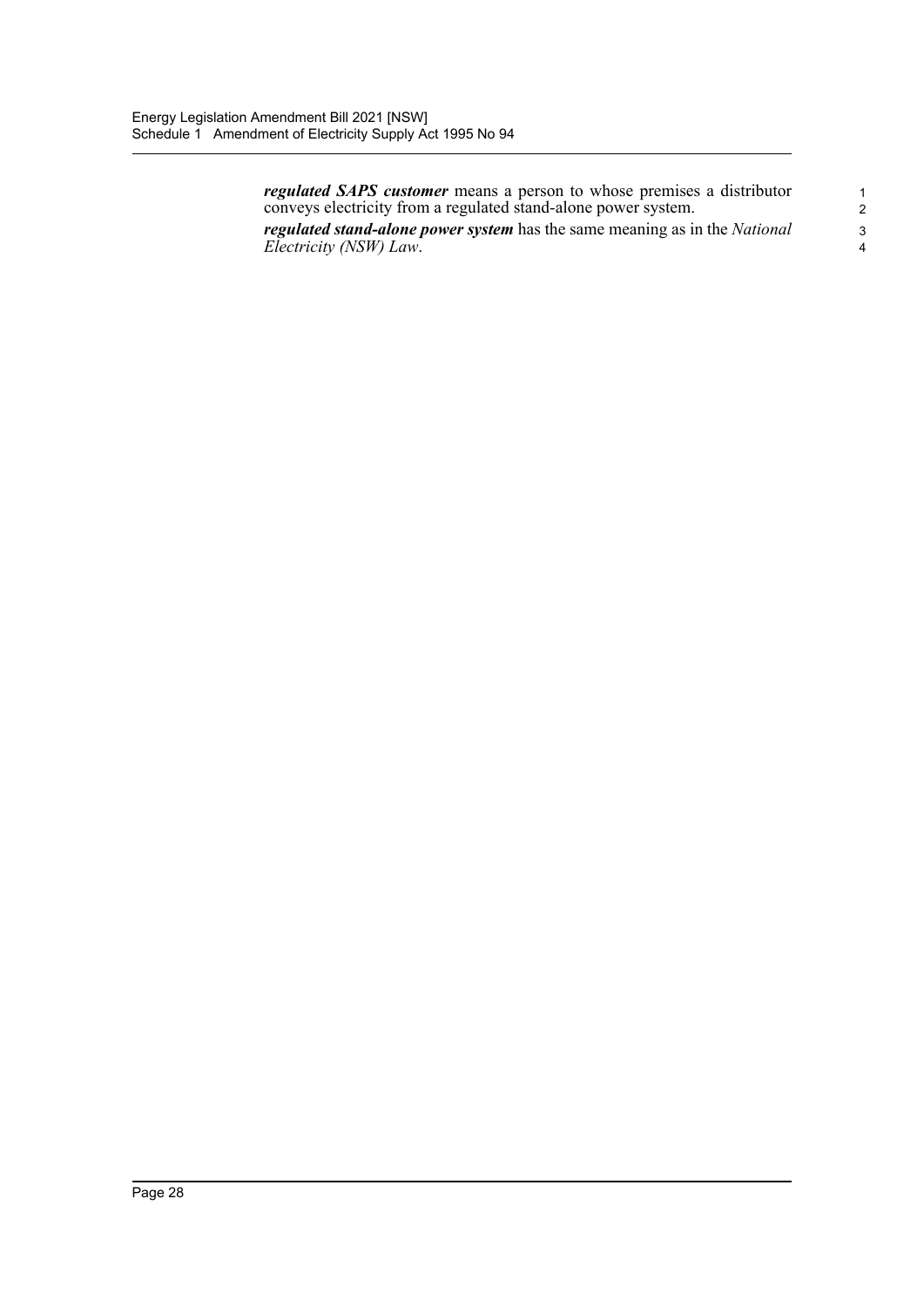*regulated SAPS customer* means a person to whose premises a distributor conveys electricity from a regulated stand-alone power system.

*regulated stand-alone power system* has the same meaning as in the *National Electricity (NSW) Law*.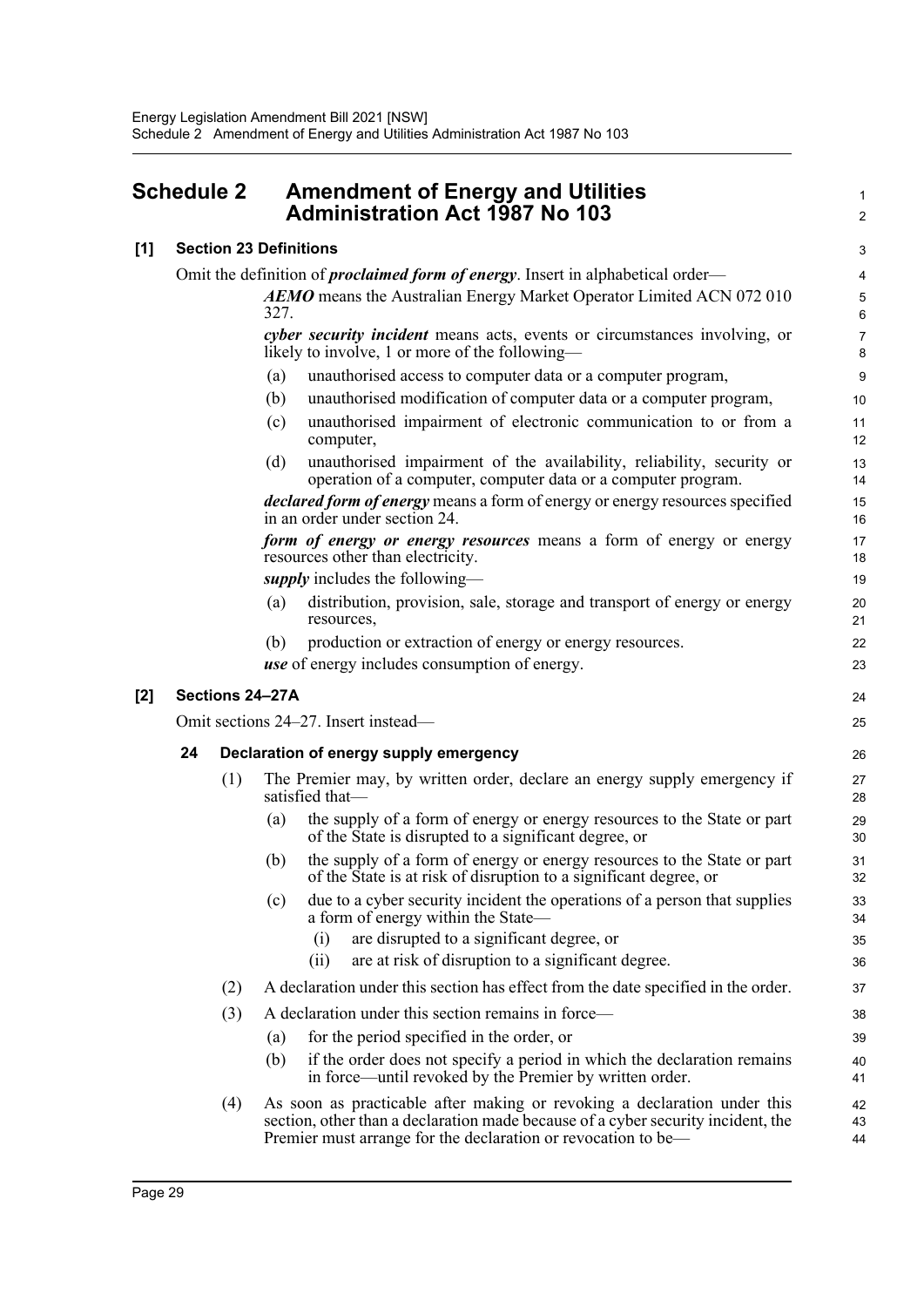<span id="page-34-0"></span>

| <b>Schedule 2</b> | <b>Amendment of Energy and Utilities</b> |
|-------------------|------------------------------------------|
|                   | <b>Administration Act 1987 No 103</b>    |

| [1] Section 23 Definitions                                                              |
|-----------------------------------------------------------------------------------------|
| Omit the definition of <i>proclaimed form of energy</i> . Insert in alphabetical order— |
| <b>AEMO</b> means the Australian Energy Market Operator Limited ACN 072 010             |

327. *cyber security incident* means acts, events or circumstances involving, or likely to involve, 1 or more of the following1  $\mathfrak{p}$ 

(a) unauthorised access to computer data or a computer program,

(b) unauthorised modification of computer data or a computer program,

- (c) unauthorised impairment of electronic communication to or from a computer,
- (d) unauthorised impairment of the availability, reliability, security or operation of a computer, computer data or a computer program.

*declared form of energy* means a form of energy or energy resources specified in an order under section 24.

*form of energy or energy resources* means a form of energy or energy resources other than electricity.

*supply* includes the following—

- (a) distribution, provision, sale, storage and transport of energy or energy resources,
- (b) production or extraction of energy or energy resources.

*use* of energy includes consumption of energy.

#### **[2] Sections 24–27A**

Omit sections 24–27. Insert instead—

#### **24 Declaration of energy supply emergency**

- (1) The Premier may, by written order, declare an energy supply emergency if satisfied that—
	- (a) the supply of a form of energy or energy resources to the State or part of the State is disrupted to a significant degree, or
	- (b) the supply of a form of energy or energy resources to the State or part of the State is at risk of disruption to a significant degree, or
	- (c) due to a cyber security incident the operations of a person that supplies a form of energy within the State—
		- (i) are disrupted to a significant degree, or
		- (ii) are at risk of disruption to a significant degree.
- (2) A declaration under this section has effect from the date specified in the order.
- (3) A declaration under this section remains in force—
	- (a) for the period specified in the order, or
	- (b) if the order does not specify a period in which the declaration remains in force—until revoked by the Premier by written order.
- (4) As soon as practicable after making or revoking a declaration under this section, other than a declaration made because of a cyber security incident, the Premier must arrange for the declaration or revocation to be— 42 43 44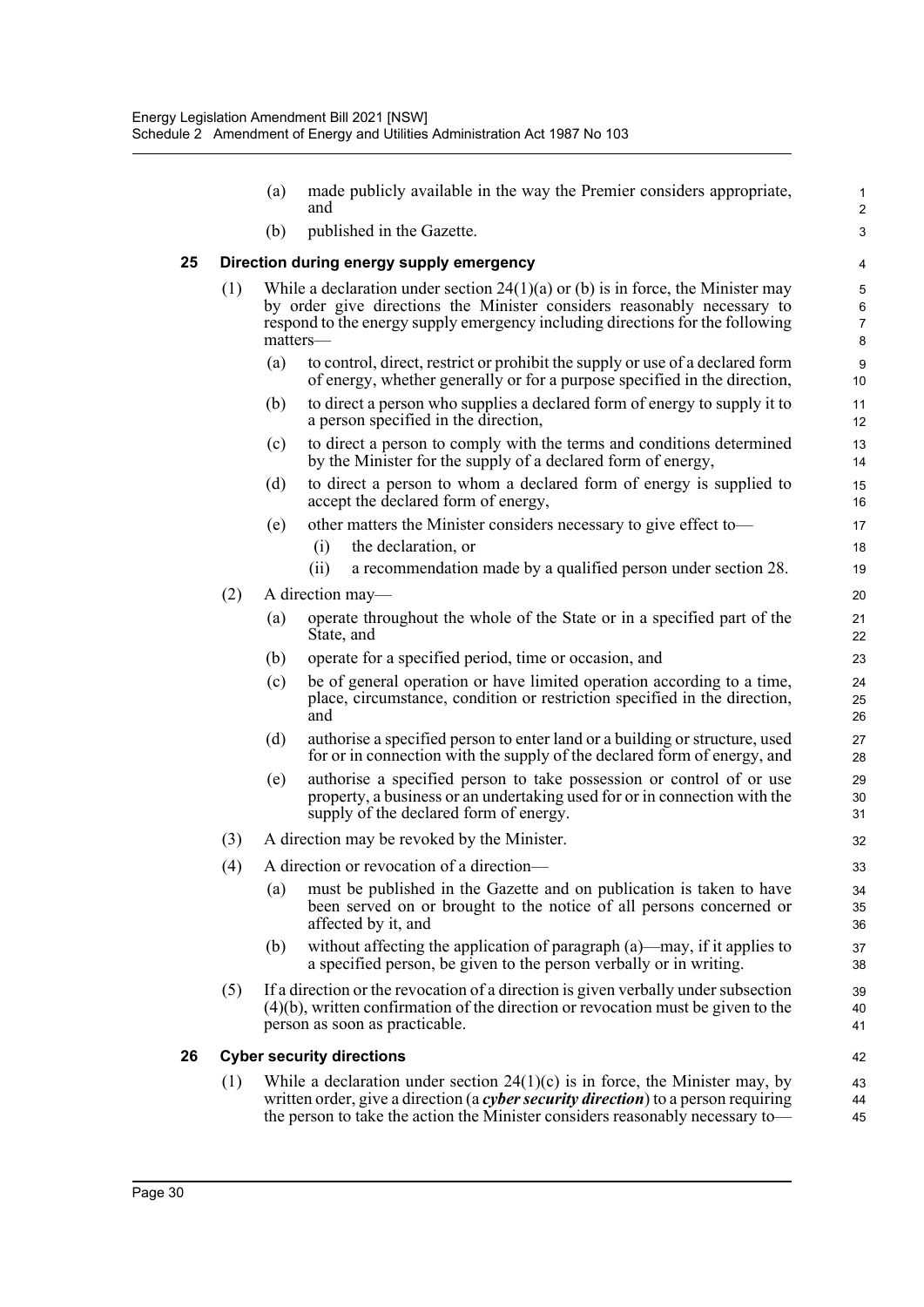|    |     | (a) | made publicly available in the way the Premier considers appropriate,<br>and                                                                                                                                                                              | $\mathbf{1}$<br>$\overline{2}$ |
|----|-----|-----|-----------------------------------------------------------------------------------------------------------------------------------------------------------------------------------------------------------------------------------------------------------|--------------------------------|
|    |     | (b) | published in the Gazette.                                                                                                                                                                                                                                 | $\mathsf 3$                    |
| 25 |     |     | Direction during energy supply emergency                                                                                                                                                                                                                  | 4                              |
|    | (1) |     | While a declaration under section $24(1)(a)$ or (b) is in force, the Minister may<br>by order give directions the Minister considers reasonably necessary to<br>respond to the energy supply emergency including directions for the following<br>matters- | 5<br>6<br>$\overline{7}$<br>8  |
|    |     | (a) | to control, direct, restrict or prohibit the supply or use of a declared form<br>of energy, whether generally or for a purpose specified in the direction,                                                                                                | 9<br>10                        |
|    |     | (b) | to direct a person who supplies a declared form of energy to supply it to<br>a person specified in the direction,                                                                                                                                         | 11<br>12                       |
|    |     | (c) | to direct a person to comply with the terms and conditions determined<br>by the Minister for the supply of a declared form of energy,                                                                                                                     | 13<br>14                       |
|    |     | (d) | to direct a person to whom a declared form of energy is supplied to<br>accept the declared form of energy,                                                                                                                                                | 15<br>16                       |
|    |     | (e) | other matters the Minister considers necessary to give effect to-<br>(i)<br>the declaration, or                                                                                                                                                           | 17<br>18                       |
|    |     |     | (ii)<br>a recommendation made by a qualified person under section 28.                                                                                                                                                                                     | 19                             |
|    | (2) | (a) | A direction may—<br>operate throughout the whole of the State or in a specified part of the<br>State, and                                                                                                                                                 | 20<br>21<br>22                 |
|    |     | (b) | operate for a specified period, time or occasion, and                                                                                                                                                                                                     | 23                             |
|    |     | (c) | be of general operation or have limited operation according to a time,<br>place, circumstance, condition or restriction specified in the direction,<br>and                                                                                                | 24<br>25<br>26                 |
|    |     | (d) | authorise a specified person to enter land or a building or structure, used<br>for or in connection with the supply of the declared form of energy, and                                                                                                   | 27<br>28                       |
|    |     | (e) | authorise a specified person to take possession or control of or use<br>property, a business or an undertaking used for or in connection with the<br>supply of the declared form of energy.                                                               | 29<br>30<br>31                 |
|    | (3) |     | A direction may be revoked by the Minister.                                                                                                                                                                                                               | 32                             |
|    | (4) |     | A direction or revocation of a direction-                                                                                                                                                                                                                 | 33                             |
|    |     | (a) | must be published in the Gazette and on publication is taken to have<br>been served on or brought to the notice of all persons concerned or<br>affected by it, and                                                                                        | 34<br>35<br>36                 |
|    |     | (b) | without affecting the application of paragraph $(a)$ —may, if it applies to<br>a specified person, be given to the person verbally or in writing.                                                                                                         | 37<br>38                       |
|    | (5) |     | If a direction or the revocation of a direction is given verbally under subsection<br>$(4)(b)$ , written confirmation of the direction or revocation must be given to the<br>person as soon as practicable.                                               | 39<br>40<br>41                 |
| 26 |     |     | <b>Cyber security directions</b>                                                                                                                                                                                                                          | 42                             |
|    | (1) |     | While a declaration under section $24(1)(c)$ is in force, the Minister may, by<br>written order, give a direction (a cyber security direction) to a person requiring<br>the person to take the action the Minister considers reasonably necessary to-     | 43<br>44<br>45                 |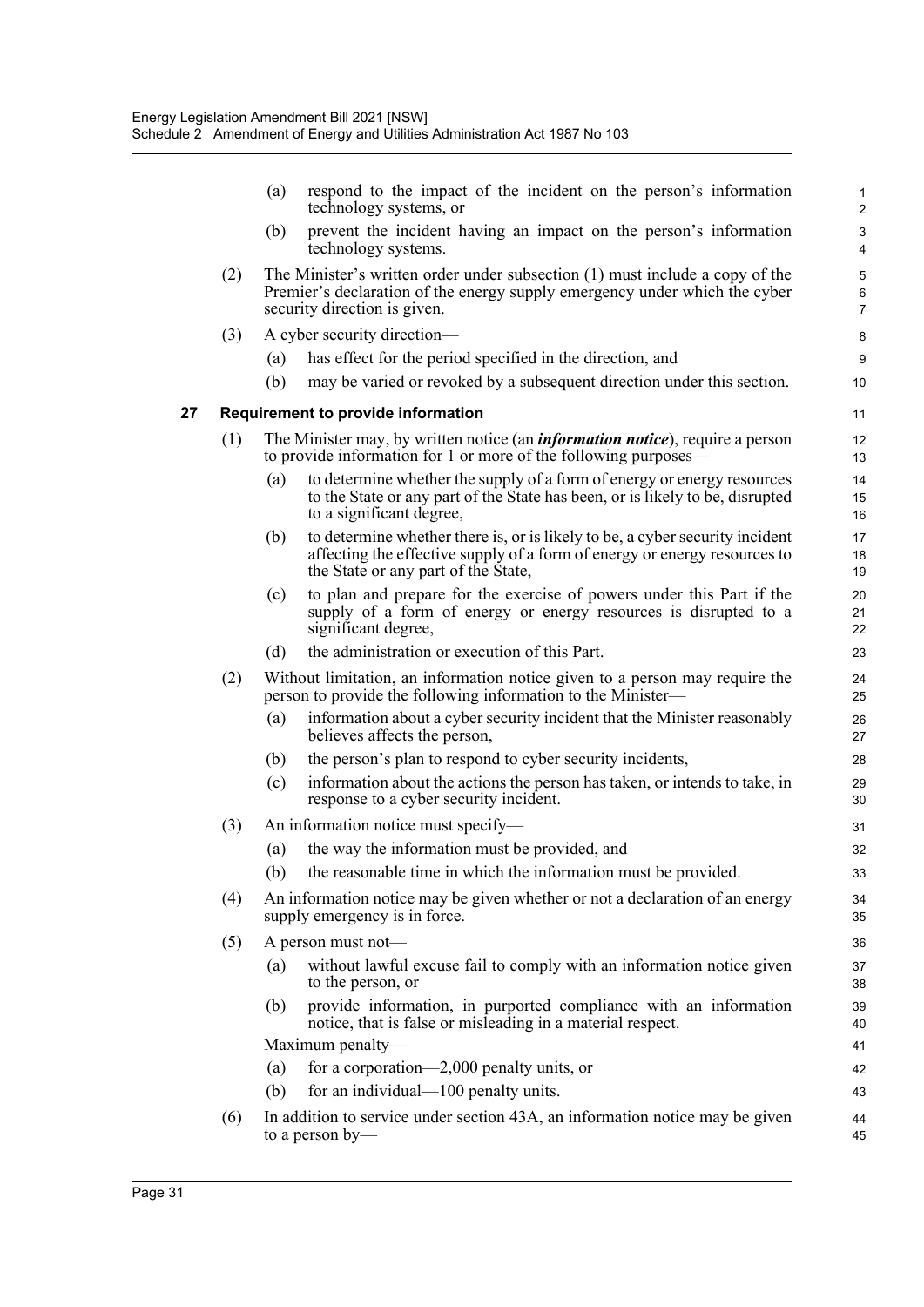|    |     | (a) | respond to the impact of the incident on the person's information<br>technology systems, or                                                                                                      | 1<br>$\overline{c}$ |
|----|-----|-----|--------------------------------------------------------------------------------------------------------------------------------------------------------------------------------------------------|---------------------|
|    |     | (b) | prevent the incident having an impact on the person's information<br>technology systems.                                                                                                         | 3<br>4              |
|    | (2) |     | The Minister's written order under subsection (1) must include a copy of the<br>Premier's declaration of the energy supply emergency under which the cyber<br>security direction is given.       | 5<br>6<br>7         |
|    | (3) |     | A cyber security direction-                                                                                                                                                                      | 8                   |
|    |     | (a) | has effect for the period specified in the direction, and                                                                                                                                        | 9                   |
|    |     | (b) | may be varied or revoked by a subsequent direction under this section.                                                                                                                           | 10                  |
| 27 |     |     | Requirement to provide information                                                                                                                                                               | 11                  |
|    | (1) |     | The Minister may, by written notice (an <i>information notice</i> ), require a person<br>to provide information for 1 or more of the following purposes—                                         | 12<br>13            |
|    |     | (a) | to determine whether the supply of a form of energy or energy resources<br>to the State or any part of the State has been, or is likely to be, disrupted<br>to a significant degree,             | 14<br>15<br>16      |
|    |     | (b) | to determine whether there is, or is likely to be, a cyber security incident<br>affecting the effective supply of a form of energy or energy resources to<br>the State or any part of the State, | 17<br>18<br>19      |
|    |     | (c) | to plan and prepare for the exercise of powers under this Part if the<br>supply of a form of energy or energy resources is disrupted to a<br>significant degree,                                 | 20<br>21<br>22      |
|    |     | (d) | the administration or execution of this Part.                                                                                                                                                    | 23                  |
|    | (2) |     | Without limitation, an information notice given to a person may require the<br>person to provide the following information to the Minister-                                                      | 24<br>25            |
|    |     | (a) | information about a cyber security incident that the Minister reasonably<br>believes affects the person,                                                                                         | 26<br>27            |
|    |     | (b) | the person's plan to respond to cyber security incidents,                                                                                                                                        | 28                  |
|    |     | (c) | information about the actions the person has taken, or intends to take, in<br>response to a cyber security incident.                                                                             | 29<br>30            |
|    | (3) |     | An information notice must specify-                                                                                                                                                              | 31                  |
|    |     |     | (a) the way the information must be provided, and                                                                                                                                                | 32                  |
|    |     |     | (b) the reasonable time in which the information must be provided.                                                                                                                               | 33                  |
|    | (4) |     | An information notice may be given whether or not a declaration of an energy<br>supply emergency is in force.                                                                                    | 34<br>35            |
|    | (5) |     | A person must not-                                                                                                                                                                               | 36                  |
|    |     | (a) | without lawful excuse fail to comply with an information notice given<br>to the person, or                                                                                                       | 37<br>38            |
|    |     | (b) | provide information, in purported compliance with an information<br>notice, that is false or misleading in a material respect.                                                                   | 39<br>40            |
|    |     |     | Maximum penalty-                                                                                                                                                                                 | 41                  |
|    |     | (a) | for a corporation—2,000 penalty units, or                                                                                                                                                        | 42                  |
|    |     | (b) | for an individual—100 penalty units.                                                                                                                                                             | 43                  |
|    | (6) |     | In addition to service under section 43A, an information notice may be given<br>to a person by-                                                                                                  | 44<br>45            |
|    |     |     |                                                                                                                                                                                                  |                     |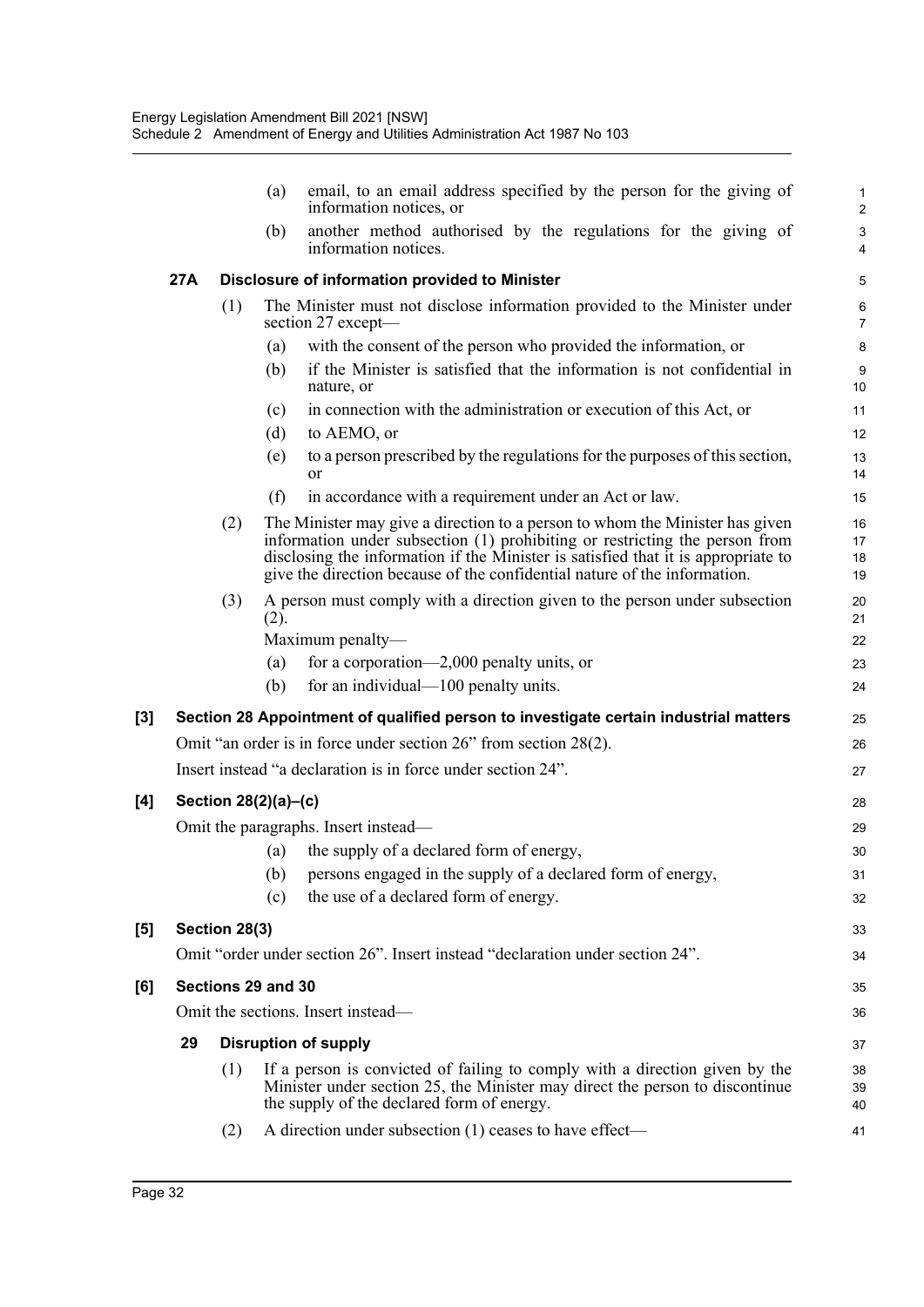|          |     |               | email, to an email address specified by the person for the giving of<br>(a)<br>information notices, or                                                                                                                                                                                                                        | 1<br>2               |
|----------|-----|---------------|-------------------------------------------------------------------------------------------------------------------------------------------------------------------------------------------------------------------------------------------------------------------------------------------------------------------------------|----------------------|
|          |     |               | another method authorised by the regulations for the giving of<br>(b)<br>information notices.                                                                                                                                                                                                                                 | 3<br>$\overline{4}$  |
|          | 27A |               | Disclosure of information provided to Minister                                                                                                                                                                                                                                                                                | 5                    |
|          |     | (1)           | The Minister must not disclose information provided to the Minister under<br>section 27 except—                                                                                                                                                                                                                               | 6<br>$\overline{7}$  |
|          |     |               | with the consent of the person who provided the information, or<br>(a)                                                                                                                                                                                                                                                        | 8                    |
|          |     |               | if the Minister is satisfied that the information is not confidential in<br>(b)<br>nature, or                                                                                                                                                                                                                                 | 9<br>10              |
|          |     |               | in connection with the administration or execution of this Act, or<br>(c)                                                                                                                                                                                                                                                     | 11                   |
|          |     |               | (d)<br>to AEMO, or                                                                                                                                                                                                                                                                                                            | 12                   |
|          |     |               | to a person prescribed by the regulations for the purposes of this section,<br>(e)<br>or                                                                                                                                                                                                                                      | 13<br>14             |
|          |     |               | (f)<br>in accordance with a requirement under an Act or law.                                                                                                                                                                                                                                                                  | 15                   |
|          |     | (2)           | The Minister may give a direction to a person to whom the Minister has given<br>information under subsection (1) prohibiting or restricting the person from<br>disclosing the information if the Minister is satisfied that it is appropriate to<br>give the direction because of the confidential nature of the information. | 16<br>17<br>18<br>19 |
|          |     | (3)           | A person must comply with a direction given to the person under subsection                                                                                                                                                                                                                                                    | 20                   |
|          |     |               | (2).                                                                                                                                                                                                                                                                                                                          | 21                   |
|          |     |               | Maximum penalty-                                                                                                                                                                                                                                                                                                              | 22                   |
|          |     |               | for a corporation—2,000 penalty units, or<br>(a)                                                                                                                                                                                                                                                                              | 23                   |
|          |     |               | (b)<br>for an individual—100 penalty units.                                                                                                                                                                                                                                                                                   | 24                   |
| $^{[3]}$ |     |               | Section 28 Appointment of qualified person to investigate certain industrial matters                                                                                                                                                                                                                                          | 25                   |
|          |     |               | Omit "an order is in force under section 26" from section 28(2).                                                                                                                                                                                                                                                              | 26                   |
|          |     |               | Insert instead "a declaration is in force under section 24".                                                                                                                                                                                                                                                                  | 27                   |
| [4]      |     |               | Section 28(2)(a)-(c)                                                                                                                                                                                                                                                                                                          | 28                   |
|          |     |               | Omit the paragraphs. Insert instead—                                                                                                                                                                                                                                                                                          | 29                   |
|          |     |               | (a) the supply of a declared form of energy,                                                                                                                                                                                                                                                                                  | 30                   |
|          |     |               | (b) persons engaged in the supply of a declared form of energy,                                                                                                                                                                                                                                                               | 31                   |
|          |     |               | the use of a declared form of energy.<br>(c)                                                                                                                                                                                                                                                                                  | 32                   |
| [5]      |     | Section 28(3) |                                                                                                                                                                                                                                                                                                                               | 33                   |
|          |     |               | Omit "order under section 26". Insert instead "declaration under section 24".                                                                                                                                                                                                                                                 | 34                   |
| [6]      |     |               | Sections 29 and 30                                                                                                                                                                                                                                                                                                            | 35                   |
|          |     |               | Omit the sections. Insert instead—                                                                                                                                                                                                                                                                                            | 36                   |
|          | 29  |               | <b>Disruption of supply</b>                                                                                                                                                                                                                                                                                                   | 37                   |
|          |     | (1)           | If a person is convicted of failing to comply with a direction given by the<br>Minister under section 25, the Minister may direct the person to discontinue<br>the supply of the declared form of energy.                                                                                                                     | 38<br>39<br>40       |
|          |     | (2)           | A direction under subsection (1) ceases to have effect—                                                                                                                                                                                                                                                                       | 41                   |

 $[4]$ 

**[5] Section 28(3)**

**[6]**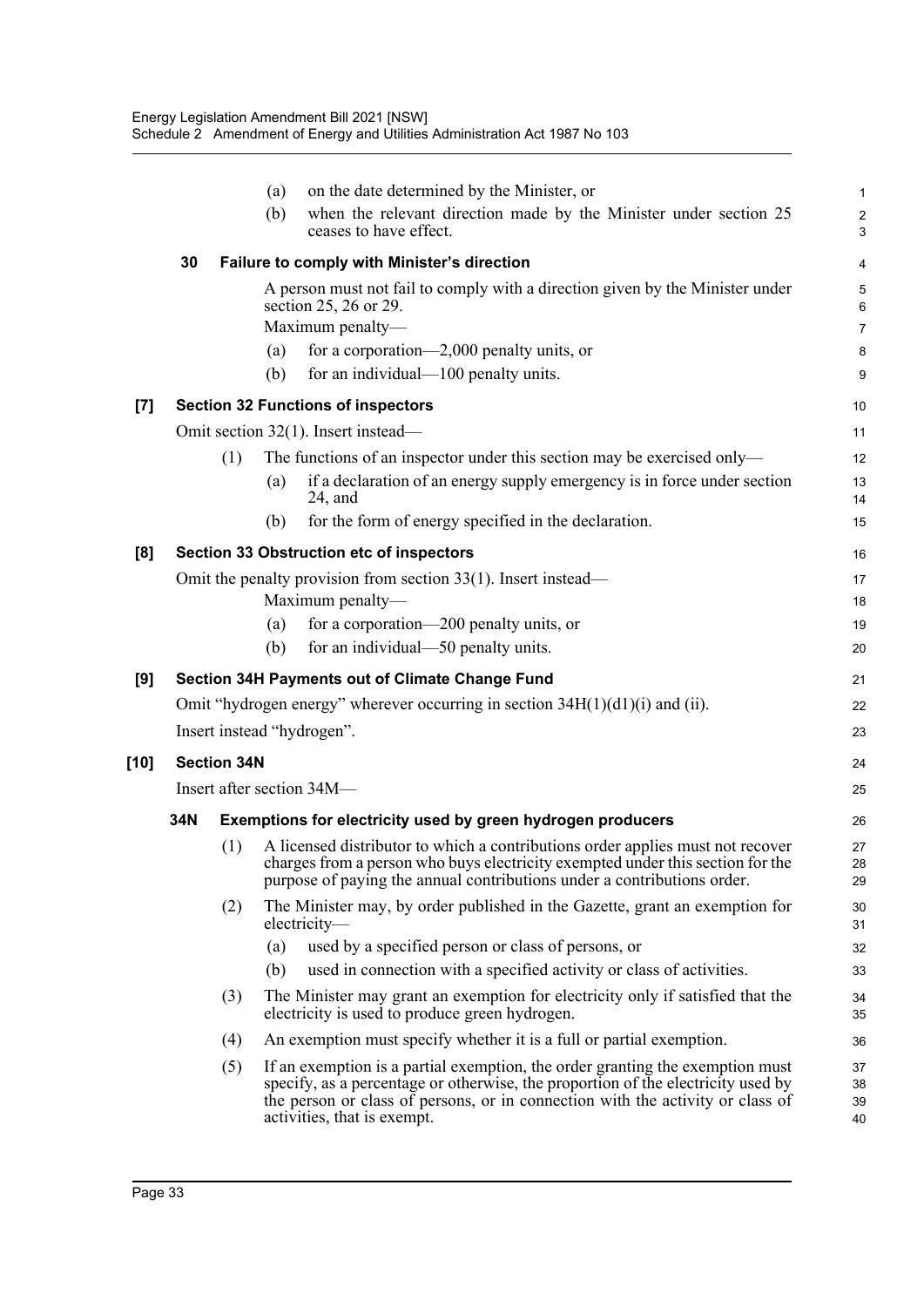|        |     |                    | on the date determined by the Minister, or<br>(a)                                                                                                                                                                                                                                  | 1                            |
|--------|-----|--------------------|------------------------------------------------------------------------------------------------------------------------------------------------------------------------------------------------------------------------------------------------------------------------------------|------------------------------|
|        |     |                    | when the relevant direction made by the Minister under section 25<br>(b)<br>ceases to have effect.                                                                                                                                                                                 | $\overline{\mathbf{c}}$<br>3 |
|        | 30  |                    | Failure to comply with Minister's direction                                                                                                                                                                                                                                        | 4                            |
|        |     |                    | A person must not fail to comply with a direction given by the Minister under<br>section 25, 26 or 29.                                                                                                                                                                             | 5<br>6                       |
|        |     |                    | Maximum penalty-                                                                                                                                                                                                                                                                   | 7                            |
|        |     |                    | for a corporation—2,000 penalty units, or<br>(a)                                                                                                                                                                                                                                   | 8                            |
|        |     |                    | (b)<br>for an individual—100 penalty units.                                                                                                                                                                                                                                        | 9                            |
| [7]    |     |                    | <b>Section 32 Functions of inspectors</b>                                                                                                                                                                                                                                          | 10                           |
|        |     |                    | Omit section 32(1). Insert instead—                                                                                                                                                                                                                                                | 11                           |
|        |     | (1)                | The functions of an inspector under this section may be exercised only—                                                                                                                                                                                                            | 12                           |
|        |     |                    | if a declaration of an energy supply emergency is in force under section<br>(a)<br>$24$ , and                                                                                                                                                                                      | 13<br>14                     |
|        |     |                    | for the form of energy specified in the declaration.<br>(b)                                                                                                                                                                                                                        | 15                           |
| [8]    |     |                    | <b>Section 33 Obstruction etc of inspectors</b>                                                                                                                                                                                                                                    | 16                           |
|        |     |                    | Omit the penalty provision from section $33(1)$ . Insert instead—                                                                                                                                                                                                                  | 17                           |
|        |     |                    | Maximum penalty-                                                                                                                                                                                                                                                                   | 18                           |
|        |     |                    | for a corporation—200 penalty units, or<br>(a)                                                                                                                                                                                                                                     | 19                           |
|        |     |                    | for an individual—50 penalty units.<br>(b)                                                                                                                                                                                                                                         | 20                           |
| [9]    |     |                    | Section 34H Payments out of Climate Change Fund                                                                                                                                                                                                                                    | 21                           |
|        |     |                    | Omit "hydrogen energy" wherever occurring in section $34H(1)(d1)(i)$ and (ii).                                                                                                                                                                                                     | 22                           |
|        |     |                    | Insert instead "hydrogen".                                                                                                                                                                                                                                                         | 23                           |
| $[10]$ |     | <b>Section 34N</b> |                                                                                                                                                                                                                                                                                    | 24                           |
|        |     |                    | Insert after section 34M-                                                                                                                                                                                                                                                          | 25                           |
|        | 34N |                    | Exemptions for electricity used by green hydrogen producers                                                                                                                                                                                                                        | 26                           |
|        |     | (1)                | A licensed distributor to which a contributions order applies must not recover<br>charges from a person who buys electricity exempted under this section for the<br>purpose of paying the annual contributions under a contributions order.                                        | 27<br>28<br>29               |
|        |     | (2)                | The Minister may, by order published in the Gazette, grant an exemption for<br>electricity-                                                                                                                                                                                        | 30<br>31                     |
|        |     |                    | used by a specified person or class of persons, or<br>(a)                                                                                                                                                                                                                          | 32                           |
|        |     |                    | used in connection with a specified activity or class of activities.<br>(b)                                                                                                                                                                                                        | 33                           |
|        |     | (3)                | The Minister may grant an exemption for electricity only if satisfied that the<br>electricity is used to produce green hydrogen.                                                                                                                                                   | 34<br>35                     |
|        |     | (4)                | An exemption must specify whether it is a full or partial exemption.                                                                                                                                                                                                               | 36                           |
|        |     | (5)                | If an exemption is a partial exemption, the order granting the exemption must<br>specify, as a percentage or otherwise, the proportion of the electricity used by<br>the person or class of persons, or in connection with the activity or class of<br>activities, that is exempt. | 37<br>38<br>39<br>40         |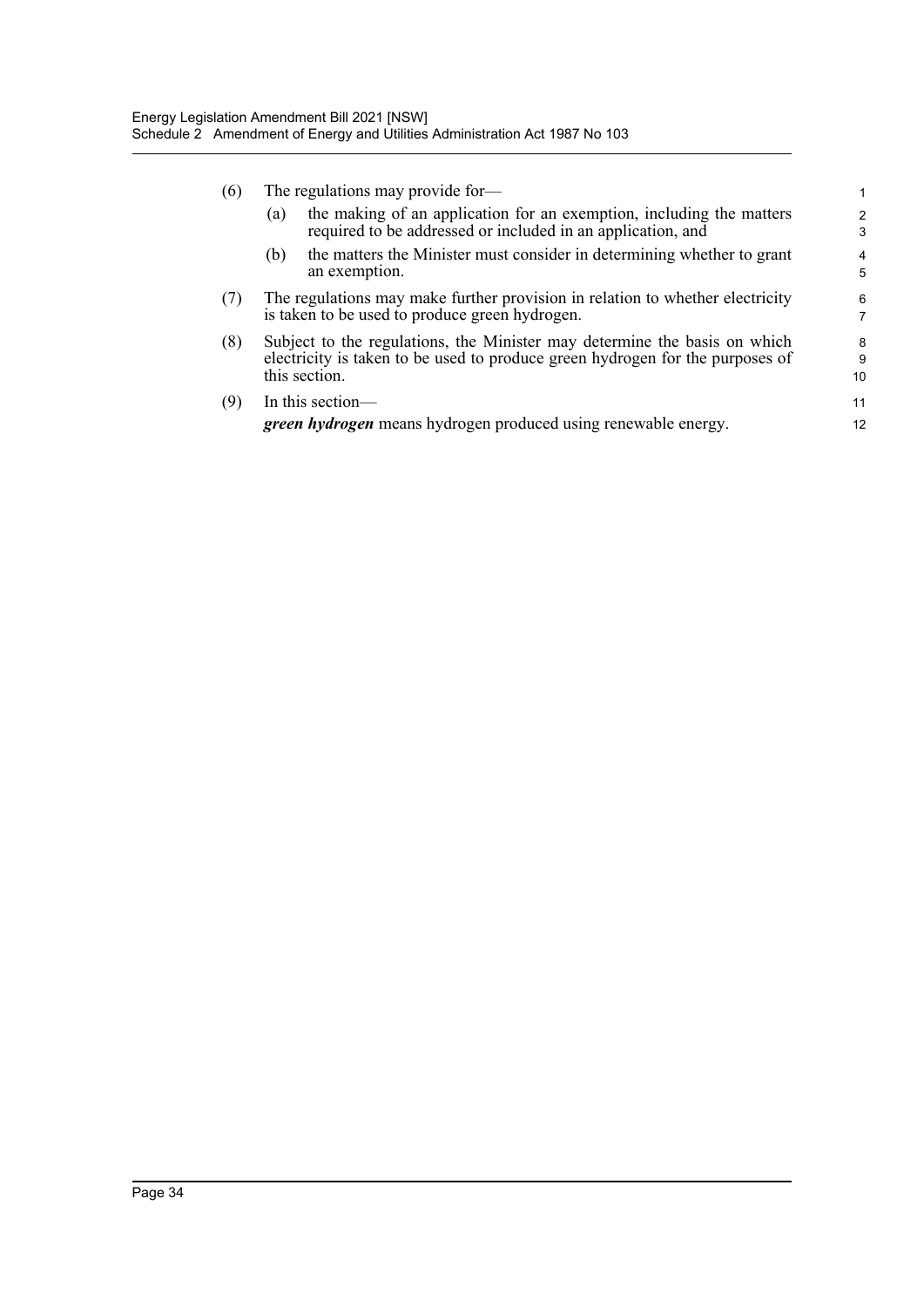| (6) |                                                                                                                                 | The regulations may provide for-                                                                                                                                            |              |
|-----|---------------------------------------------------------------------------------------------------------------------------------|-----------------------------------------------------------------------------------------------------------------------------------------------------------------------------|--------------|
|     | (a)                                                                                                                             | the making of an application for an exemption, including the matters<br>required to be addressed or included in an application, and                                         | 2<br>3       |
|     | (b)                                                                                                                             | the matters the Minister must consider in determining whether to grant<br>an exemption.                                                                                     | 4<br>5       |
| (7) | The regulations may make further provision in relation to whether electricity<br>is taken to be used to produce green hydrogen. |                                                                                                                                                                             | 6<br>7       |
| (8) |                                                                                                                                 | Subject to the regulations, the Minister may determine the basis on which<br>electricity is taken to be used to produce green hydrogen for the purposes of<br>this section. | 8<br>9<br>10 |
| (9) |                                                                                                                                 | In this section—<br>green hydrogen means hydrogen produced using renewable energy.                                                                                          | 11<br>12     |
|     |                                                                                                                                 |                                                                                                                                                                             |              |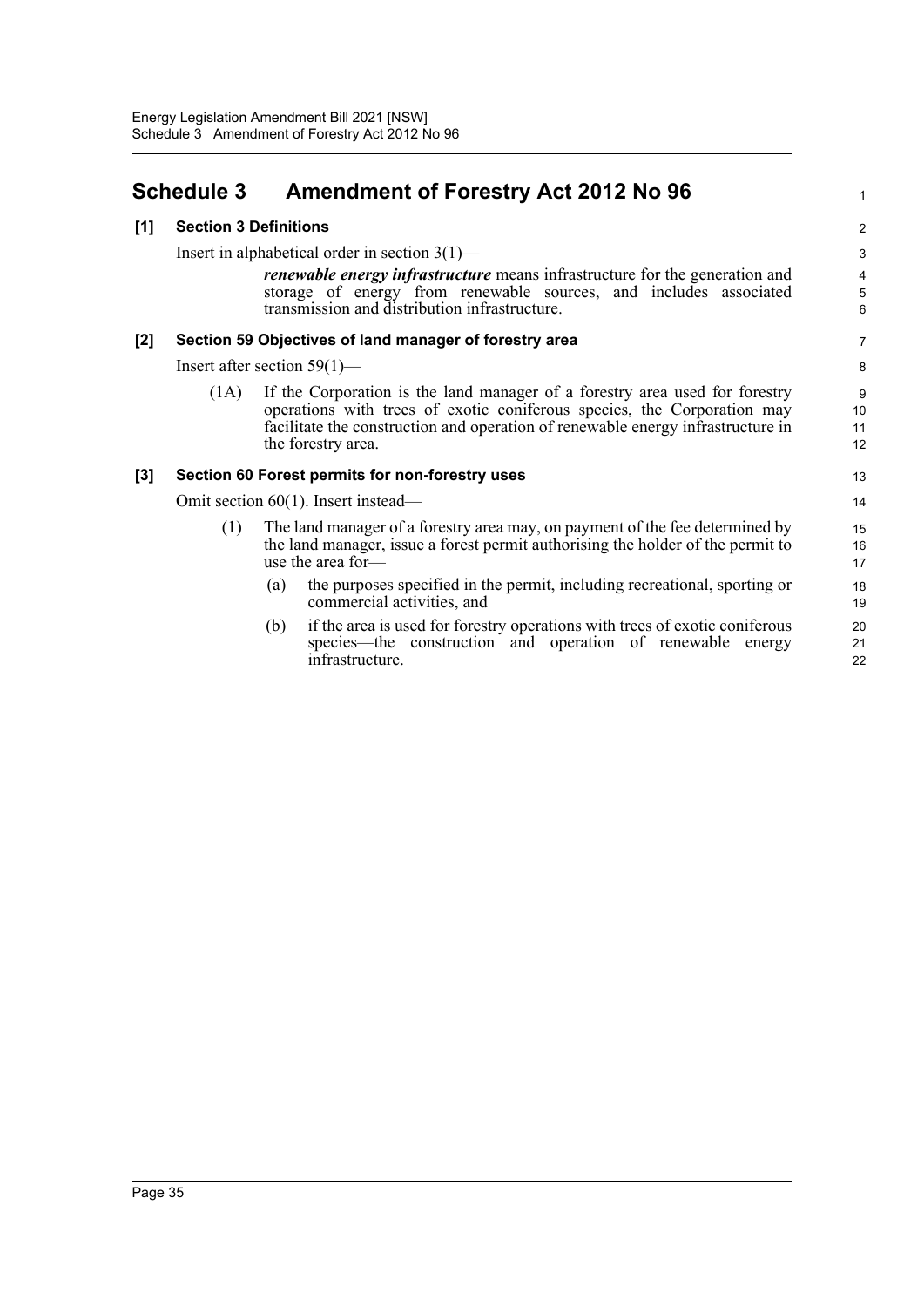### <span id="page-40-0"></span>**Schedule 3 Amendment of Forestry Act 2012 No 96**

#### **[1] Section 3 Definitions**

Insert in alphabetical order in section 3(1)—

*renewable energy infrastructure* means infrastructure for the generation and storage of energy from renewable sources, and includes associated transmission and distribution infrastructure.

1

#### **[2] Section 59 Objectives of land manager of forestry area**

Insert after section 59(1)—

(1A) If the Corporation is the land manager of a forestry area used for forestry operations with trees of exotic coniferous species, the Corporation may facilitate the construction and operation of renewable energy infrastructure in the forestry area.

#### **[3] Section 60 Forest permits for non-forestry uses**

Omit section 60(1). Insert instead—

- (1) The land manager of a forestry area may, on payment of the fee determined by the land manager, issue a forest permit authorising the holder of the permit to use the area for—
	- (a) the purposes specified in the permit, including recreational, sporting or commercial activities, and
	- (b) if the area is used for forestry operations with trees of exotic coniferous species—the construction and operation of renewable energy infrastructure.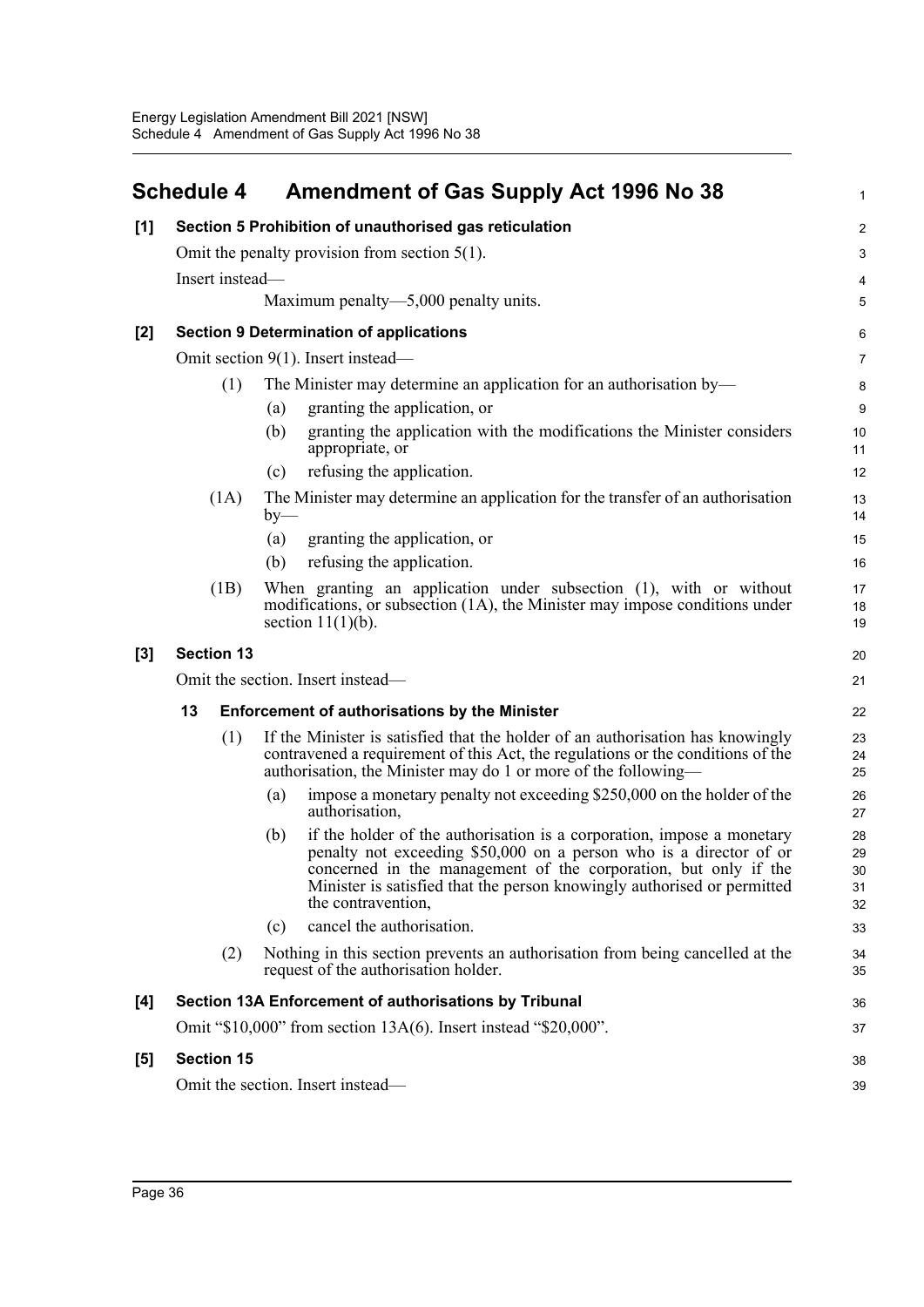<span id="page-41-0"></span>

|     | <b>Schedule 4</b> |       | <b>Amendment of Gas Supply Act 1996 No 38</b>                                                                                                                                                                                                                                                                    | 1                          |
|-----|-------------------|-------|------------------------------------------------------------------------------------------------------------------------------------------------------------------------------------------------------------------------------------------------------------------------------------------------------------------|----------------------------|
| [1] |                   |       | Section 5 Prohibition of unauthorised gas reticulation                                                                                                                                                                                                                                                           | $\boldsymbol{2}$           |
|     |                   |       | Omit the penalty provision from section $5(1)$ .                                                                                                                                                                                                                                                                 | 3                          |
|     | Insert instead-   |       |                                                                                                                                                                                                                                                                                                                  | 4                          |
|     |                   |       | Maximum penalty—5,000 penalty units.                                                                                                                                                                                                                                                                             | 5                          |
| [2] |                   |       | <b>Section 9 Determination of applications</b>                                                                                                                                                                                                                                                                   | 6                          |
|     |                   |       | Omit section $9(1)$ . Insert instead—                                                                                                                                                                                                                                                                            | $\overline{7}$             |
|     | (1)               |       | The Minister may determine an application for an authorisation by—                                                                                                                                                                                                                                               | 8                          |
|     |                   | (a)   | granting the application, or                                                                                                                                                                                                                                                                                     | 9                          |
|     |                   | (b)   | granting the application with the modifications the Minister considers<br>appropriate, or                                                                                                                                                                                                                        | 10<br>11                   |
|     |                   | (c)   | refusing the application.                                                                                                                                                                                                                                                                                        | 12                         |
|     | (1A)              | $by-$ | The Minister may determine an application for the transfer of an authorisation                                                                                                                                                                                                                                   | 13<br>14                   |
|     |                   | (a)   | granting the application, or                                                                                                                                                                                                                                                                                     | 15                         |
|     |                   | (b)   | refusing the application.                                                                                                                                                                                                                                                                                        | 16                         |
|     | (1B)              |       | When granting an application under subsection (1), with or without<br>modifications, or subsection (1A), the Minister may impose conditions under<br>section $11(1)(b)$ .                                                                                                                                        | 17<br>18<br>19             |
| [3] | <b>Section 13</b> |       |                                                                                                                                                                                                                                                                                                                  | 20                         |
|     |                   |       | Omit the section. Insert instead—                                                                                                                                                                                                                                                                                | 21                         |
|     | 13                |       | <b>Enforcement of authorisations by the Minister</b>                                                                                                                                                                                                                                                             | 22                         |
|     | (1)               |       | If the Minister is satisfied that the holder of an authorisation has knowingly<br>contravened a requirement of this Act, the regulations or the conditions of the<br>authorisation, the Minister may do 1 or more of the following—                                                                              | 23<br>24<br>25             |
|     |                   | (a)   | impose a monetary penalty not exceeding \$250,000 on the holder of the<br>authorisation,                                                                                                                                                                                                                         | 26<br>27                   |
|     |                   | (b)   | if the holder of the authorisation is a corporation, impose a monetary<br>penalty not exceeding \$50,000 on a person who is a director of or<br>concerned in the management of the corporation, but only if the<br>Minister is satisfied that the person knowingly authorised or permitted<br>the contravention, | 28<br>29<br>30<br>31<br>32 |
|     |                   | (c)   | cancel the authorisation.                                                                                                                                                                                                                                                                                        | 33                         |
|     | (2)               |       | Nothing in this section prevents an authorisation from being cancelled at the<br>request of the authorisation holder.                                                                                                                                                                                            | 34<br>35                   |
| [4] |                   |       | Section 13A Enforcement of authorisations by Tribunal                                                                                                                                                                                                                                                            | 36                         |
|     |                   |       | Omit "\$10,000" from section 13A(6). Insert instead "\$20,000".                                                                                                                                                                                                                                                  | 37                         |
| [5] | <b>Section 15</b> |       |                                                                                                                                                                                                                                                                                                                  | 38                         |
|     |                   |       | Omit the section. Insert instead—                                                                                                                                                                                                                                                                                | 39                         |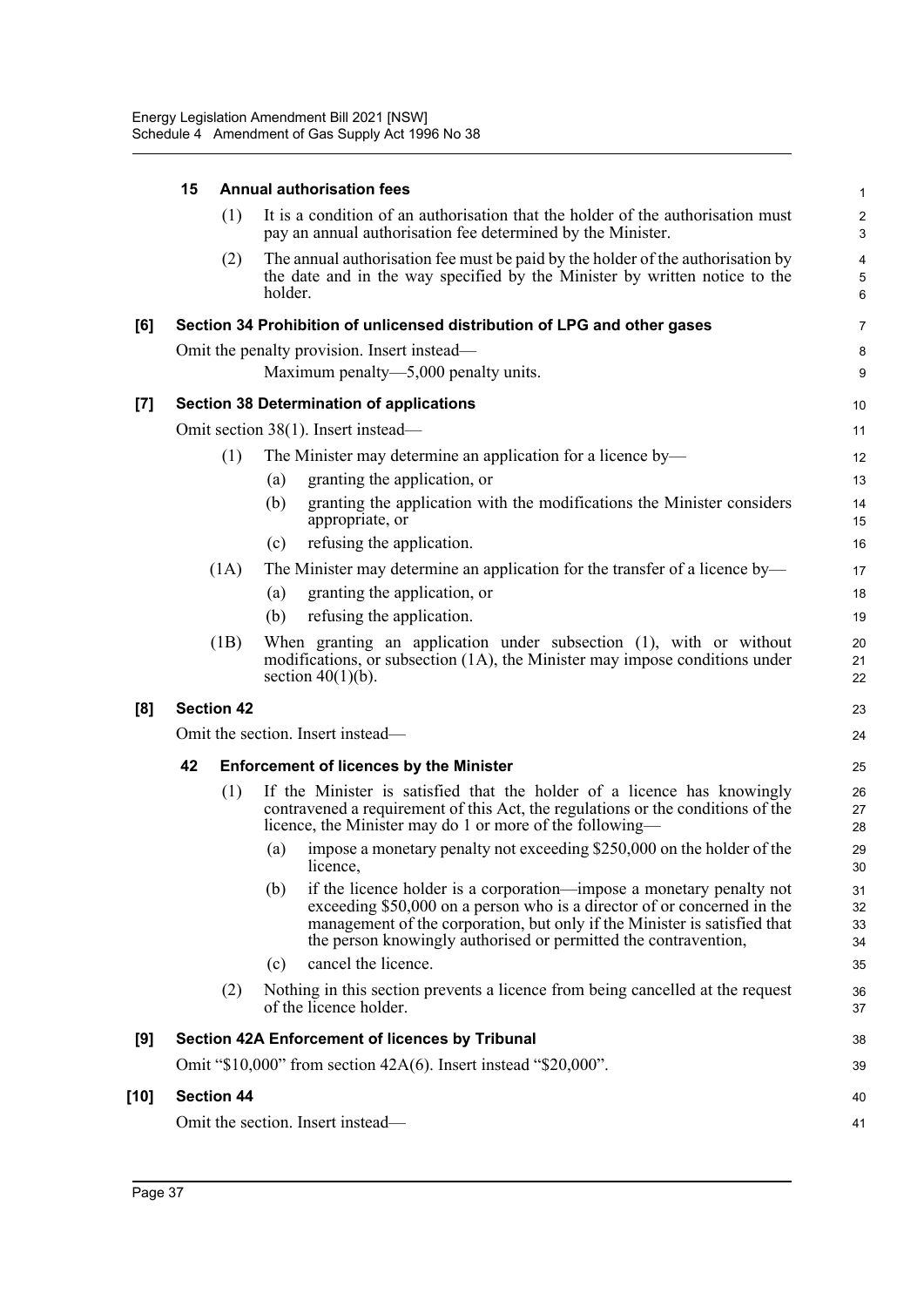|        | 15                | <b>Annual authorisation fees</b>                                                                                                                                                                                                                                                                       | $\mathbf 1$          |
|--------|-------------------|--------------------------------------------------------------------------------------------------------------------------------------------------------------------------------------------------------------------------------------------------------------------------------------------------------|----------------------|
|        | (1)               | It is a condition of an authorisation that the holder of the authorisation must<br>pay an annual authorisation fee determined by the Minister.                                                                                                                                                         | $\overline{c}$<br>3  |
|        | (2)               | The annual authorisation fee must be paid by the holder of the authorisation by<br>the date and in the way specified by the Minister by written notice to the<br>holder.                                                                                                                               | 4<br>5<br>6          |
| [6]    |                   | Section 34 Prohibition of unlicensed distribution of LPG and other gases                                                                                                                                                                                                                               | $\overline{7}$       |
|        |                   | Omit the penalty provision. Insert instead—<br>Maximum penalty—5,000 penalty units.                                                                                                                                                                                                                    | 8<br>9               |
| $[7]$  |                   | <b>Section 38 Determination of applications</b>                                                                                                                                                                                                                                                        | 10                   |
|        |                   | Omit section 38(1). Insert instead—                                                                                                                                                                                                                                                                    | 11                   |
|        | (1)               | The Minister may determine an application for a licence by-                                                                                                                                                                                                                                            | 12                   |
|        |                   | granting the application, or<br>(a)                                                                                                                                                                                                                                                                    | 13                   |
|        |                   | granting the application with the modifications the Minister considers<br>(b)<br>appropriate, or                                                                                                                                                                                                       | 14<br>15             |
|        |                   | refusing the application.<br>(c)                                                                                                                                                                                                                                                                       | 16                   |
|        | (1A)              | The Minister may determine an application for the transfer of a licence by—                                                                                                                                                                                                                            | 17                   |
|        |                   | granting the application, or<br>(a)                                                                                                                                                                                                                                                                    | 18                   |
|        |                   | refusing the application.<br>(b)                                                                                                                                                                                                                                                                       | 19                   |
|        | (1B)              | When granting an application under subsection (1), with or without<br>modifications, or subsection (1A), the Minister may impose conditions under<br>section $40(1)(b)$ .                                                                                                                              | 20<br>21<br>22       |
| [8]    | <b>Section 42</b> |                                                                                                                                                                                                                                                                                                        | 23                   |
|        |                   | Omit the section. Insert instead—                                                                                                                                                                                                                                                                      | 24                   |
|        | 42                | <b>Enforcement of licences by the Minister</b>                                                                                                                                                                                                                                                         | 25                   |
|        | (1)               | If the Minister is satisfied that the holder of a licence has knowingly<br>contravened a requirement of this Act, the regulations or the conditions of the<br>licence, the Minister may do 1 or more of the following-                                                                                 | 26<br>27<br>28       |
|        |                   | impose a monetary penalty not exceeding \$250,000 on the holder of the<br>(a)<br>licence,                                                                                                                                                                                                              | 29<br>30             |
|        |                   | (b)<br>if the licence holder is a corporation—impose a monetary penalty not<br>exceeding \$50,000 on a person who is a director of or concerned in the<br>management of the corporation, but only if the Minister is satisfied that<br>the person knowingly authorised or permitted the contravention, | 31<br>32<br>33<br>34 |
|        |                   | cancel the licence.<br>(c)                                                                                                                                                                                                                                                                             | 35                   |
|        | (2)               | Nothing in this section prevents a licence from being cancelled at the request<br>of the licence holder.                                                                                                                                                                                               | 36<br>37             |
| [9]    |                   | Section 42A Enforcement of licences by Tribunal                                                                                                                                                                                                                                                        | 38                   |
|        |                   | Omit " $$10,000$ " from section $42A(6)$ . Insert instead " $$20,000$ ".                                                                                                                                                                                                                               | 39                   |
| $[10]$ | <b>Section 44</b> |                                                                                                                                                                                                                                                                                                        | 40                   |
|        |                   | Omit the section. Insert instead-                                                                                                                                                                                                                                                                      | 41                   |
|        |                   |                                                                                                                                                                                                                                                                                                        |                      |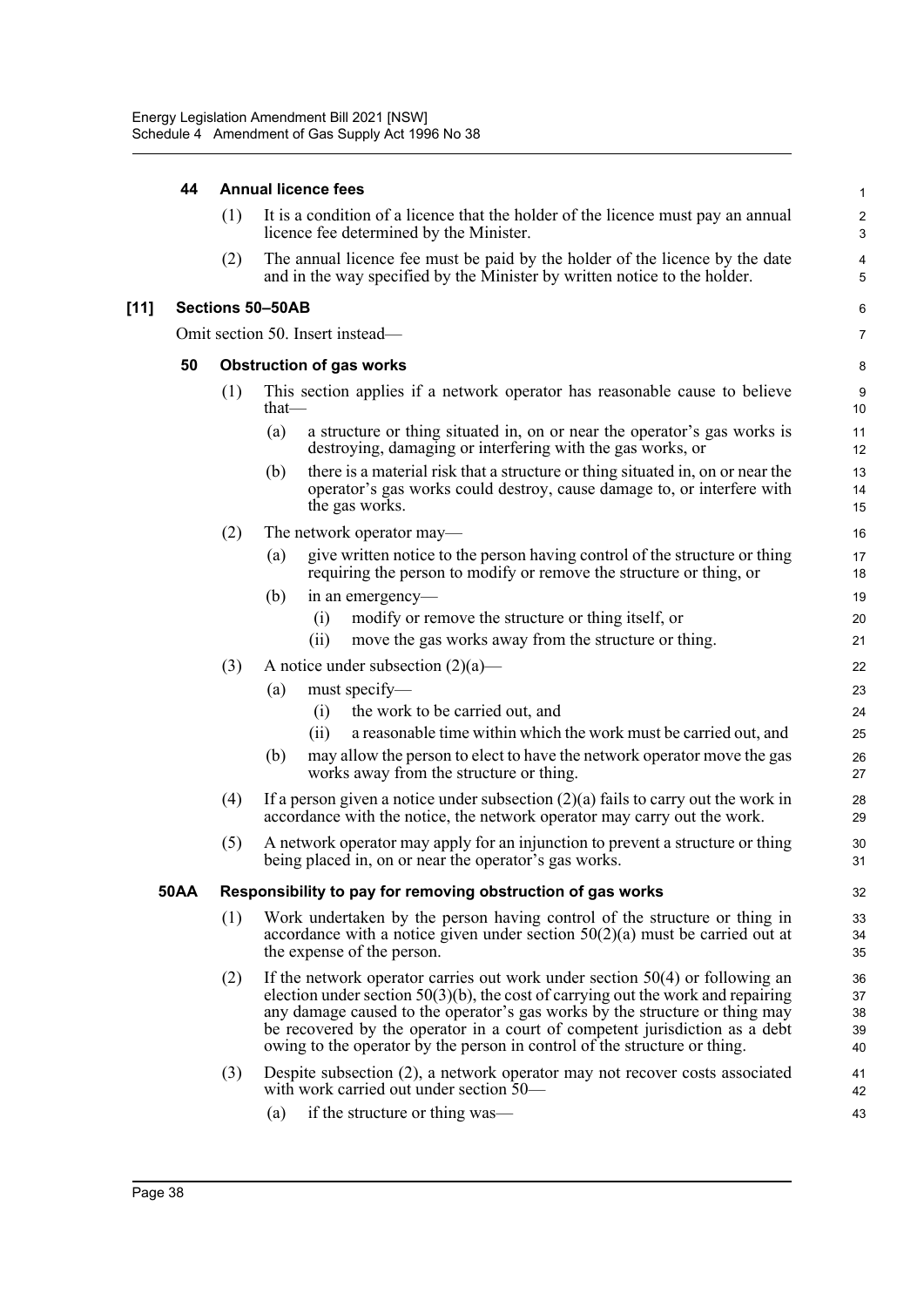#### **44 Annual licence fees**

|        |             | (1) | It is a condition of a licence that the holder of the licence must pay an annual<br>licence fee determined by the Minister.                                                                                                                                                                                                                                                                                      | $\boldsymbol{2}$<br>3        |
|--------|-------------|-----|------------------------------------------------------------------------------------------------------------------------------------------------------------------------------------------------------------------------------------------------------------------------------------------------------------------------------------------------------------------------------------------------------------------|------------------------------|
|        |             | (2) | The annual licence fee must be paid by the holder of the licence by the date<br>and in the way specified by the Minister by written notice to the holder.                                                                                                                                                                                                                                                        | $\overline{\mathbf{4}}$<br>5 |
| $[11]$ |             |     | Sections 50-50AB                                                                                                                                                                                                                                                                                                                                                                                                 | 6                            |
|        |             |     | Omit section 50. Insert instead-                                                                                                                                                                                                                                                                                                                                                                                 | $\overline{7}$               |
|        | 50          |     | <b>Obstruction of gas works</b>                                                                                                                                                                                                                                                                                                                                                                                  | 8                            |
|        |             | (1) | This section applies if a network operator has reasonable cause to believe<br>that $-$                                                                                                                                                                                                                                                                                                                           | 9<br>10                      |
|        |             |     | (a)<br>a structure or thing situated in, on or near the operator's gas works is<br>destroying, damaging or interfering with the gas works, or                                                                                                                                                                                                                                                                    | 11<br>12                     |
|        |             |     | there is a material risk that a structure or thing situated in, on or near the<br>(b)<br>operator's gas works could destroy, cause damage to, or interfere with<br>the gas works.                                                                                                                                                                                                                                | 13<br>14<br>15               |
|        |             | (2) | The network operator may—                                                                                                                                                                                                                                                                                                                                                                                        | 16                           |
|        |             |     | give written notice to the person having control of the structure or thing<br>(a)<br>requiring the person to modify or remove the structure or thing, or                                                                                                                                                                                                                                                         | 17<br>18                     |
|        |             |     | (b)<br>in an emergency—                                                                                                                                                                                                                                                                                                                                                                                          | 19                           |
|        |             |     | modify or remove the structure or thing itself, or<br>(i)                                                                                                                                                                                                                                                                                                                                                        | 20                           |
|        |             |     | move the gas works away from the structure or thing.<br>(ii)                                                                                                                                                                                                                                                                                                                                                     | 21                           |
|        |             | (3) | A notice under subsection $(2)(a)$ —                                                                                                                                                                                                                                                                                                                                                                             | 22                           |
|        |             |     | must specify-<br>(a)<br>the work to be carried out, and                                                                                                                                                                                                                                                                                                                                                          | 23<br>24                     |
|        |             |     | (i)<br>a reasonable time within which the work must be carried out, and<br>(ii)                                                                                                                                                                                                                                                                                                                                  | 25                           |
|        |             |     | may allow the person to elect to have the network operator move the gas<br>(b)<br>works away from the structure or thing.                                                                                                                                                                                                                                                                                        | 26<br>27                     |
|        |             | (4) | If a person given a notice under subsection $(2)(a)$ fails to carry out the work in<br>accordance with the notice, the network operator may carry out the work.                                                                                                                                                                                                                                                  | 28<br>29                     |
|        |             | (5) | A network operator may apply for an injunction to prevent a structure or thing<br>being placed in, on or near the operator's gas works.                                                                                                                                                                                                                                                                          | 30<br>31                     |
|        | <b>50AA</b> |     | Responsibility to pay for removing obstruction of gas works                                                                                                                                                                                                                                                                                                                                                      | 32                           |
|        |             | (1) | Work undertaken by the person having control of the structure or thing in<br>accordance with a notice given under section $50(2)(a)$ must be carried out at<br>the expense of the person.                                                                                                                                                                                                                        | 33<br>34<br>35               |
|        |             | (2) | If the network operator carries out work under section $50(4)$ or following an<br>election under section $50(3)(b)$ , the cost of carrying out the work and repairing<br>any damage caused to the operator's gas works by the structure or thing may<br>be recovered by the operator in a court of competent jurisdiction as a debt<br>owing to the operator by the person in control of the structure or thing. | 36<br>37<br>38<br>39<br>40   |
|        |             | (3) | Despite subsection (2), a network operator may not recover costs associated<br>with work carried out under section 50—                                                                                                                                                                                                                                                                                           | 41<br>42                     |
|        |             |     | if the structure or thing was—<br>(a)                                                                                                                                                                                                                                                                                                                                                                            | 43                           |

1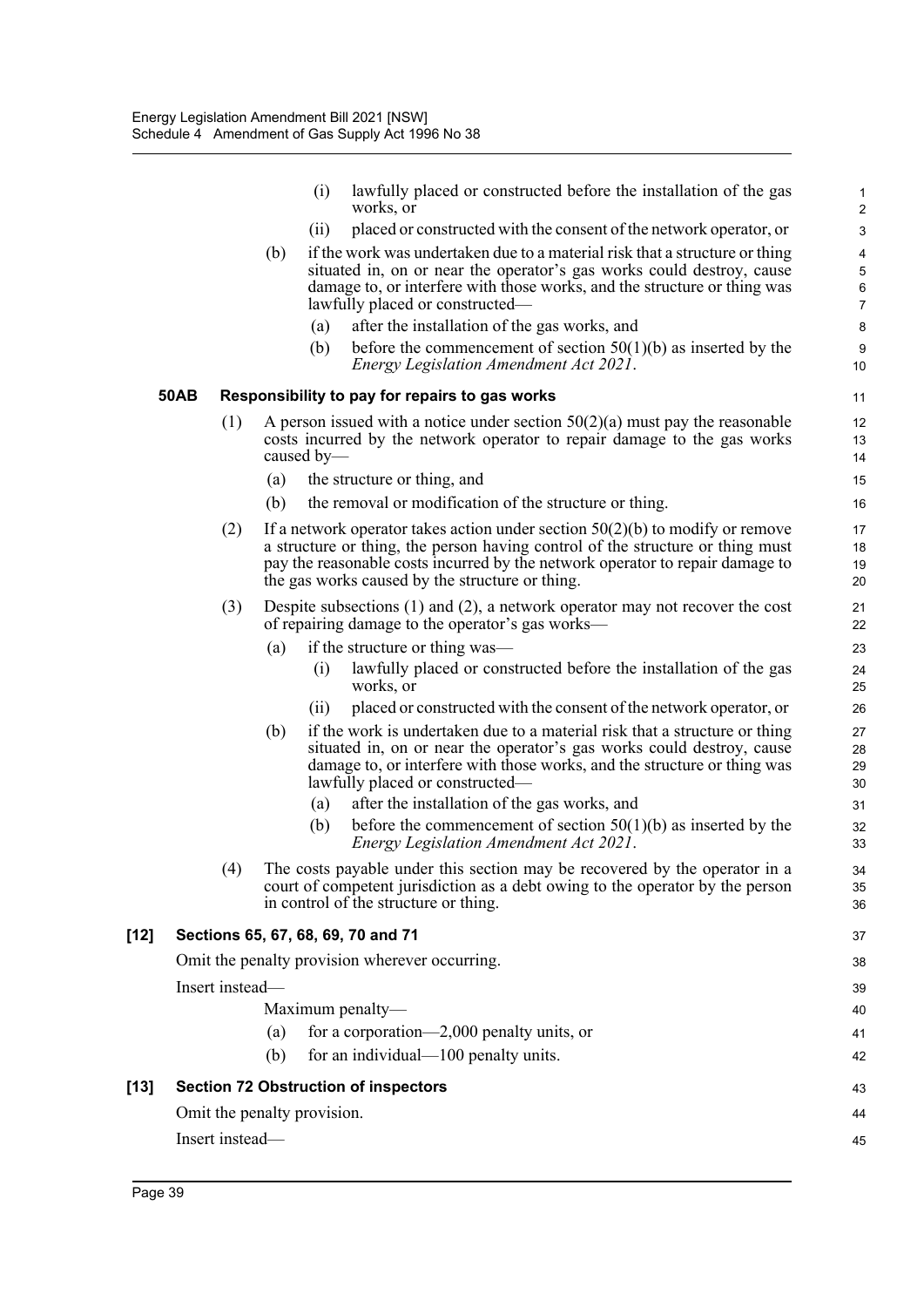|        |             |                                                |     | (i)                         | lawfully placed or constructed before the installation of the gas<br>works, or                                                                                                                                                  | 1<br>$\overline{2}$    |  |  |  |
|--------|-------------|------------------------------------------------|-----|-----------------------------|---------------------------------------------------------------------------------------------------------------------------------------------------------------------------------------------------------------------------------|------------------------|--|--|--|
|        |             |                                                |     | (ii)                        | placed or constructed with the consent of the network operator, or                                                                                                                                                              | 3                      |  |  |  |
|        |             |                                                | (b) |                             | if the work was undertaken due to a material risk that a structure or thing                                                                                                                                                     | 4                      |  |  |  |
|        |             |                                                |     |                             | situated in, on or near the operator's gas works could destroy, cause<br>damage to, or interfere with those works, and the structure or thing was                                                                               | $\mathbf 5$<br>$\,6\,$ |  |  |  |
|        |             |                                                |     |                             | lawfully placed or constructed-                                                                                                                                                                                                 | $\overline{7}$         |  |  |  |
|        |             |                                                |     | (a)                         | after the installation of the gas works, and                                                                                                                                                                                    | 8                      |  |  |  |
|        |             |                                                |     | (b)                         | before the commencement of section $50(1)(b)$ as inserted by the<br>Energy Legislation Amendment Act 2021.                                                                                                                      | $\boldsymbol{9}$<br>10 |  |  |  |
|        | <b>50AB</b> | Responsibility to pay for repairs to gas works |     |                             |                                                                                                                                                                                                                                 |                        |  |  |  |
|        |             | (1)                                            |     | caused by-                  | A person issued with a notice under section $50(2)(a)$ must pay the reasonable<br>costs incurred by the network operator to repair damage to the gas works                                                                      | 12<br>13<br>14         |  |  |  |
|        |             |                                                | (a) |                             | the structure or thing, and                                                                                                                                                                                                     | 15                     |  |  |  |
|        |             |                                                | (b) |                             | the removal or modification of the structure or thing.                                                                                                                                                                          | 16                     |  |  |  |
|        |             | (2)                                            |     |                             | If a network operator takes action under section $50(2)(b)$ to modify or remove                                                                                                                                                 | 17                     |  |  |  |
|        |             |                                                |     |                             | a structure or thing, the person having control of the structure or thing must<br>pay the reasonable costs incurred by the network operator to repair damage to                                                                 | 18<br>19               |  |  |  |
|        |             |                                                |     |                             | the gas works caused by the structure or thing.                                                                                                                                                                                 | 20                     |  |  |  |
|        |             | (3)                                            |     |                             | Despite subsections $(1)$ and $(2)$ , a network operator may not recover the cost<br>of repairing damage to the operator's gas works—                                                                                           | 21<br>22               |  |  |  |
|        |             |                                                | (a) |                             | if the structure or thing was—                                                                                                                                                                                                  | 23                     |  |  |  |
|        |             |                                                |     | $\left( 1\right)$           | lawfully placed or constructed before the installation of the gas<br>works, or                                                                                                                                                  | 24<br>25               |  |  |  |
|        |             |                                                |     | (i)                         | placed or constructed with the consent of the network operator, or                                                                                                                                                              | 26                     |  |  |  |
|        |             |                                                | (b) |                             | if the work is undertaken due to a material risk that a structure or thing<br>situated in, on or near the operator's gas works could destroy, cause<br>damage to, or interfere with those works, and the structure or thing was | 27<br>28<br>29         |  |  |  |
|        |             |                                                |     | (a)                         | lawfully placed or constructed—<br>after the installation of the gas works, and                                                                                                                                                 | 30<br>31               |  |  |  |
|        |             |                                                |     | (b)                         | before the commencement of section $50(1)(b)$ as inserted by the                                                                                                                                                                | 32                     |  |  |  |
|        |             |                                                |     |                             | Energy Legislation Amendment Act 2021.                                                                                                                                                                                          | 33                     |  |  |  |
|        |             | (4)                                            |     |                             | The costs payable under this section may be recovered by the operator in a<br>court of competent jurisdiction as a debt owing to the operator by the person<br>in control of the structure or thing.                            | 34<br>35<br>36         |  |  |  |
| $[12]$ |             |                                                |     |                             | Sections 65, 67, 68, 69, 70 and 71                                                                                                                                                                                              | 37                     |  |  |  |
|        |             |                                                |     |                             | Omit the penalty provision wherever occurring.                                                                                                                                                                                  | 38                     |  |  |  |
|        |             | Insert instead-                                |     |                             |                                                                                                                                                                                                                                 | 39                     |  |  |  |
|        |             |                                                |     |                             | Maximum penalty-                                                                                                                                                                                                                | 40                     |  |  |  |
|        |             |                                                | (a) |                             | for a corporation—2,000 penalty units, or                                                                                                                                                                                       | 41                     |  |  |  |
|        |             |                                                | (b) |                             | for an individual—100 penalty units.                                                                                                                                                                                            | 42                     |  |  |  |
| $[13]$ |             |                                                |     |                             | <b>Section 72 Obstruction of inspectors</b>                                                                                                                                                                                     | 43                     |  |  |  |
|        |             |                                                |     | Omit the penalty provision. |                                                                                                                                                                                                                                 | 44                     |  |  |  |
|        |             | Insert instead-                                |     |                             |                                                                                                                                                                                                                                 | 45                     |  |  |  |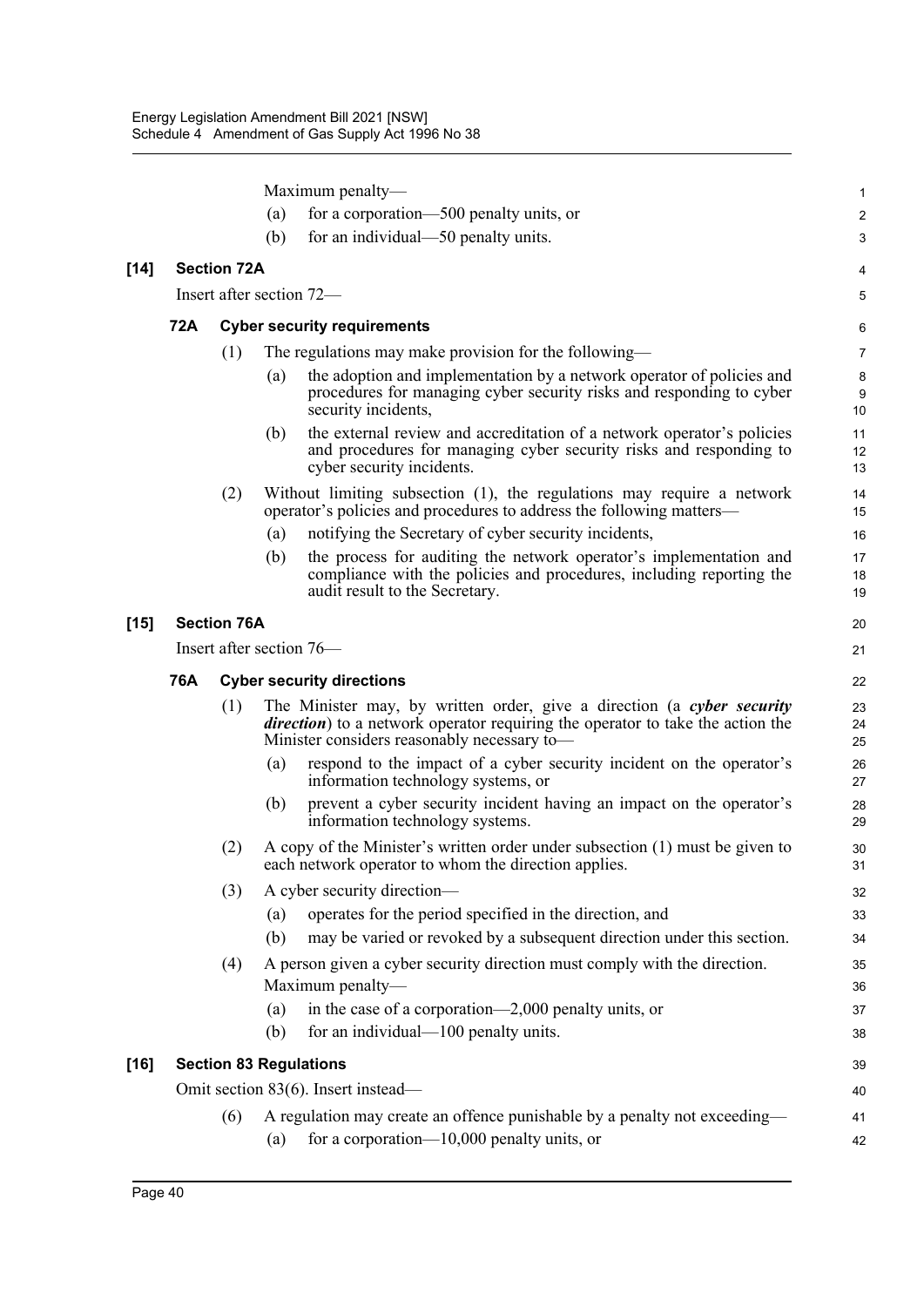Maximum penalty— (a) for a corporation—500 penalty units, or (b) for an individual—50 penalty units. **[14] Section 72A** Insert after section 72— **72A Cyber security requirements** (1) The regulations may make provision for the following— (a) the adoption and implementation by a network operator of policies and procedures for managing cyber security risks and responding to cyber security incidents, (b) the external review and accreditation of a network operator's policies and procedures for managing cyber security risks and responding to cyber security incidents. (2) Without limiting subsection (1), the regulations may require a network operator's policies and procedures to address the following matters— (a) notifying the Secretary of cyber security incidents, (b) the process for auditing the network operator's implementation and compliance with the policies and procedures, including reporting the audit result to the Secretary. **[15] Section 76A** Insert after section 76— **76A Cyber security directions** (1) The Minister may, by written order, give a direction (a *cyber security direction*) to a network operator requiring the operator to take the action the Minister considers reasonably necessary to— (a) respond to the impact of a cyber security incident on the operator's information technology systems, or (b) prevent a cyber security incident having an impact on the operator's information technology systems. (2) A copy of the Minister's written order under subsection (1) must be given to each network operator to whom the direction applies. (3) A cyber security direction— (a) operates for the period specified in the direction, and (b) may be varied or revoked by a subsequent direction under this section. (4) A person given a cyber security direction must comply with the direction. Maximum penalty— (a) in the case of a corporation—2,000 penalty units, or (b) for an individual—100 penalty units. **[16] Section 83 Regulations** Omit section 83(6). Insert instead— (6) A regulation may create an offence punishable by a penalty not exceeding— (a) for a corporation— $10,000$  penalty units, or 1  $\overline{2}$ 3 4 5 6 7 8 9 10 11 12 13  $14$ 15 16 17 18 19 20 21  $22$ 23  $24$ 25 26 27 28 29 30 31 32 33 34 35 36 37 38 39 40 41 42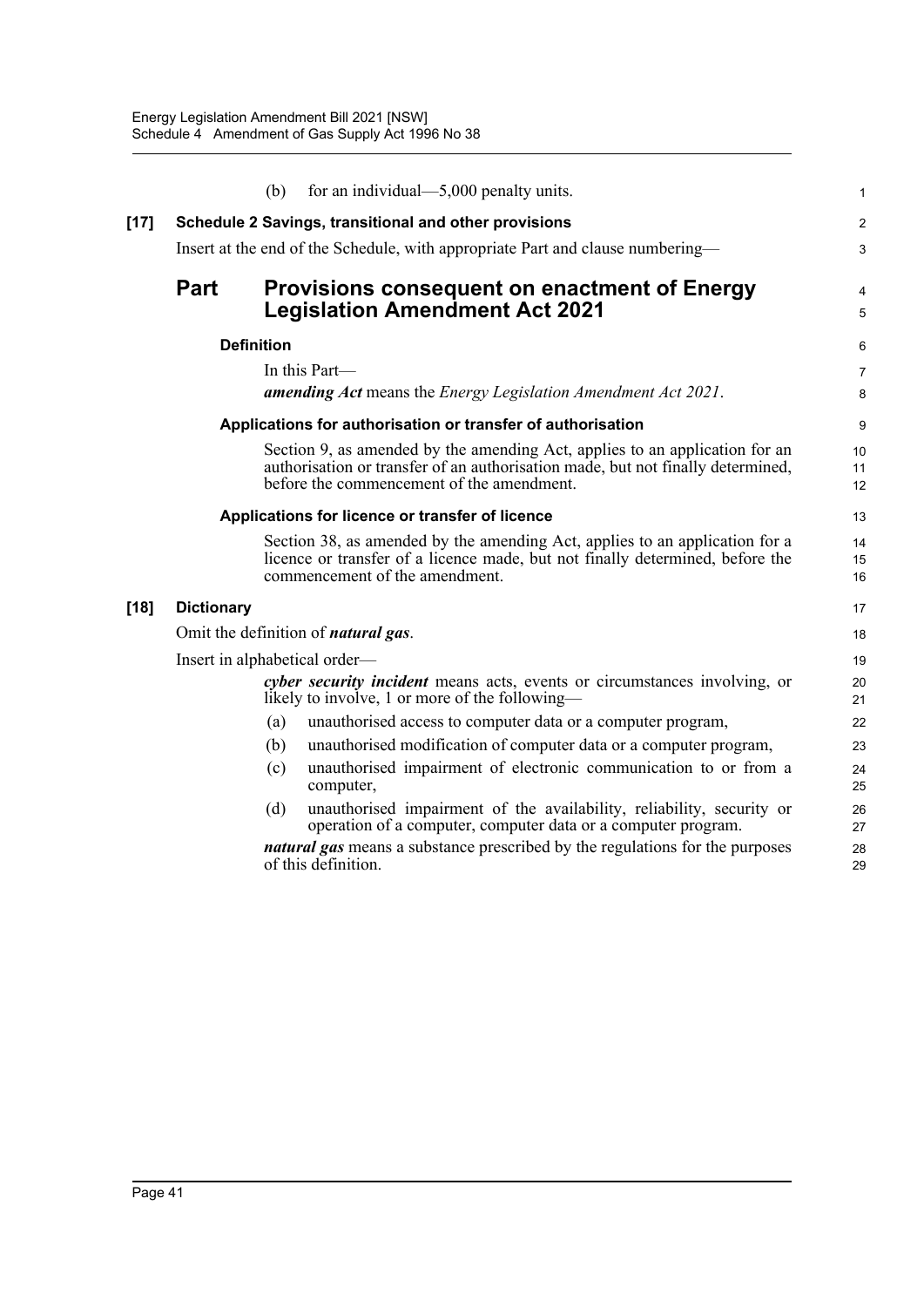|        |                                                                                | (b)               | for an individual— $5,000$ penalty units.                                                                                                                                                                   | $\mathbf{1}$        |  |  |  |
|--------|--------------------------------------------------------------------------------|-------------------|-------------------------------------------------------------------------------------------------------------------------------------------------------------------------------------------------------------|---------------------|--|--|--|
| $[17]$ | Schedule 2 Savings, transitional and other provisions                          |                   |                                                                                                                                                                                                             |                     |  |  |  |
|        | Insert at the end of the Schedule, with appropriate Part and clause numbering— |                   |                                                                                                                                                                                                             |                     |  |  |  |
|        | <b>Part</b>                                                                    |                   | <b>Provisions consequent on enactment of Energy</b><br><b>Legislation Amendment Act 2021</b>                                                                                                                | 4<br>5              |  |  |  |
|        |                                                                                | <b>Definition</b> |                                                                                                                                                                                                             | 6                   |  |  |  |
|        |                                                                                |                   | In this Part—<br><b>amending Act</b> means the <i>Energy Legislation Amendment Act 2021</i> .                                                                                                               | $\overline{7}$<br>8 |  |  |  |
|        |                                                                                |                   | Applications for authorisation or transfer of authorisation                                                                                                                                                 | 9                   |  |  |  |
|        |                                                                                |                   | Section 9, as amended by the amending Act, applies to an application for an<br>authorisation or transfer of an authorisation made, but not finally determined,<br>before the commencement of the amendment. | 10<br>11<br>12      |  |  |  |
|        | Applications for licence or transfer of licence                                |                   |                                                                                                                                                                                                             |                     |  |  |  |
|        |                                                                                |                   | Section 38, as amended by the amending Act, applies to an application for a<br>licence or transfer of a licence made, but not finally determined, before the<br>commencement of the amendment.              | 14<br>15<br>16      |  |  |  |
| $[18]$ | <b>Dictionary</b>                                                              |                   |                                                                                                                                                                                                             | 17                  |  |  |  |
|        |                                                                                |                   | Omit the definition of <i>natural gas</i> .                                                                                                                                                                 | 18                  |  |  |  |
|        | Insert in alphabetical order—                                                  |                   |                                                                                                                                                                                                             |                     |  |  |  |
|        |                                                                                |                   | <i>cyber security incident</i> means acts, events or circumstances involving, or<br>likely to involve, 1 or more of the following—                                                                          | 20<br>21            |  |  |  |
|        |                                                                                | (a)               | unauthorised access to computer data or a computer program,                                                                                                                                                 | 22                  |  |  |  |
|        |                                                                                | (b)               | unauthorised modification of computer data or a computer program,                                                                                                                                           | 23                  |  |  |  |
|        |                                                                                | (c)               | unauthorised impairment of electronic communication to or from a<br>computer,                                                                                                                               | 24<br>25            |  |  |  |
|        |                                                                                | (d)               | unauthorised impairment of the availability, reliability, security or<br>operation of a computer, computer data or a computer program.                                                                      | 26<br>27            |  |  |  |
|        |                                                                                |                   | <i>natural gas</i> means a substance prescribed by the regulations for the purposes<br>of this definition.                                                                                                  | 28<br>29            |  |  |  |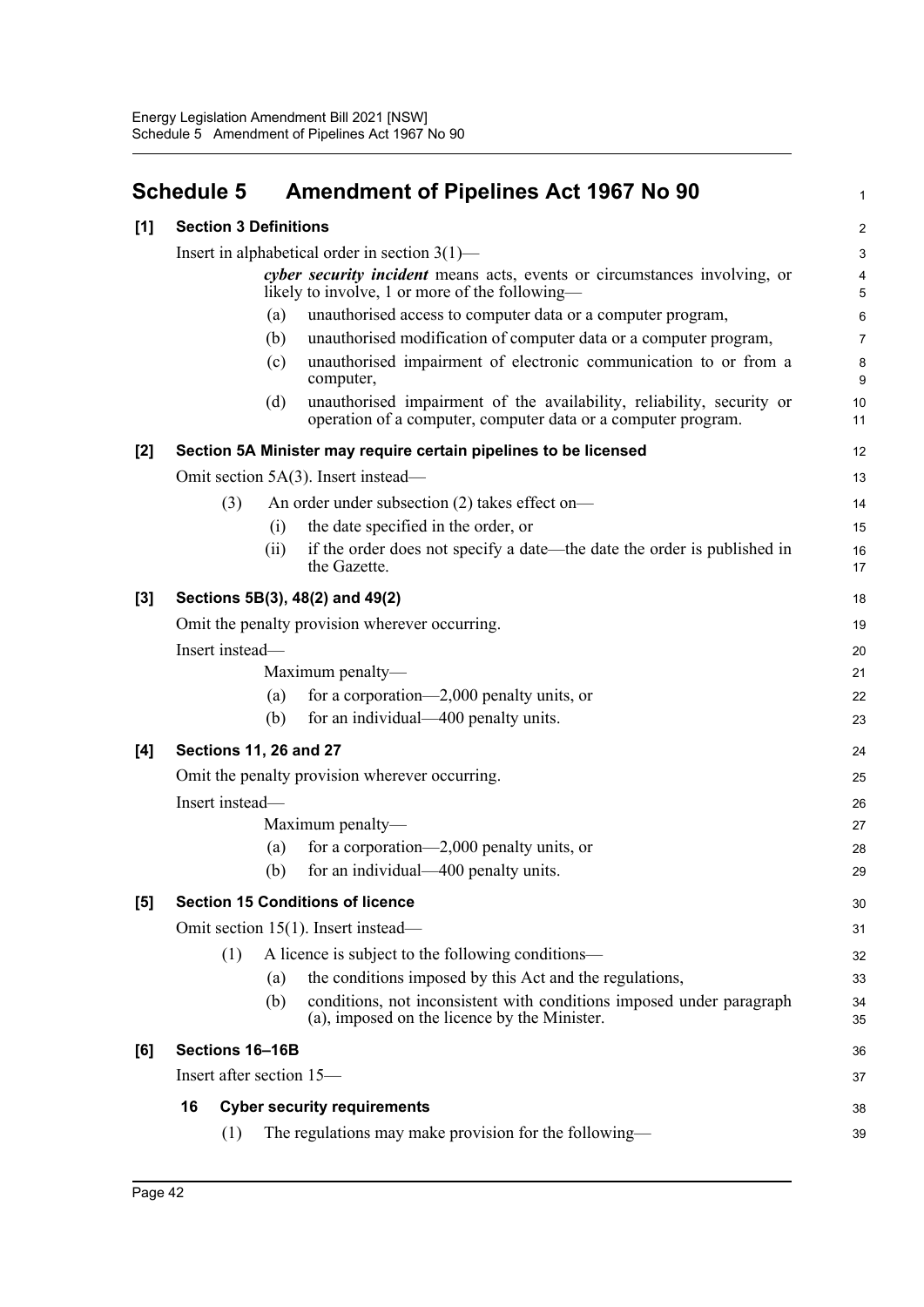## <span id="page-47-0"></span>**Schedule 5 Amendment of Pipelines Act 1967 No 90**

|     | <b>Schedule 5</b>                                                                                                           | <b>Amendment of Pipelines Act 1967 No 90</b>                                                                                                  | 1              |  |  |  |  |
|-----|-----------------------------------------------------------------------------------------------------------------------------|-----------------------------------------------------------------------------------------------------------------------------------------------|----------------|--|--|--|--|
| [1] | <b>Section 3 Definitions</b>                                                                                                |                                                                                                                                               | $\overline{2}$ |  |  |  |  |
|     | Insert in alphabetical order in section $3(1)$ —                                                                            |                                                                                                                                               |                |  |  |  |  |
|     | cyber security incident means acts, events or circumstances involving, or<br>likely to involve, 1 or more of the following— |                                                                                                                                               |                |  |  |  |  |
|     |                                                                                                                             | (a)<br>unauthorised access to computer data or a computer program,                                                                            | $\,6\,$        |  |  |  |  |
|     |                                                                                                                             | unauthorised modification of computer data or a computer program,<br>(b)                                                                      | $\overline{7}$ |  |  |  |  |
|     |                                                                                                                             | unauthorised impairment of electronic communication to or from a<br>(c)<br>computer,                                                          | $\bf 8$<br>9   |  |  |  |  |
|     |                                                                                                                             | unauthorised impairment of the availability, reliability, security or<br>(d)<br>operation of a computer, computer data or a computer program. | 10<br>11       |  |  |  |  |
| [2] |                                                                                                                             | Section 5A Minister may require certain pipelines to be licensed                                                                              | 12             |  |  |  |  |
|     |                                                                                                                             | Omit section 5A(3). Insert instead—                                                                                                           | 13             |  |  |  |  |
|     | (3)                                                                                                                         | An order under subsection (2) takes effect on-                                                                                                | 14             |  |  |  |  |
|     |                                                                                                                             | the date specified in the order, or<br>(i)                                                                                                    | 15             |  |  |  |  |
|     |                                                                                                                             | if the order does not specify a date—the date the order is published in<br>(i)<br>the Gazette.                                                | 16<br>17       |  |  |  |  |
| [3] | Sections 5B(3), 48(2) and 49(2)                                                                                             |                                                                                                                                               |                |  |  |  |  |
|     | Omit the penalty provision wherever occurring.                                                                              |                                                                                                                                               |                |  |  |  |  |
|     | Insert instead-                                                                                                             |                                                                                                                                               |                |  |  |  |  |
|     |                                                                                                                             | Maximum penalty-                                                                                                                              | 21             |  |  |  |  |
|     |                                                                                                                             | for a corporation—2,000 penalty units, or<br>(a)                                                                                              | 22             |  |  |  |  |
|     |                                                                                                                             | for an individual—400 penalty units.<br>(b)                                                                                                   | 23             |  |  |  |  |
| [4] |                                                                                                                             | <b>Sections 11, 26 and 27</b>                                                                                                                 | 24             |  |  |  |  |
|     | Omit the penalty provision wherever occurring.                                                                              |                                                                                                                                               |                |  |  |  |  |
|     | Insert instead-                                                                                                             |                                                                                                                                               |                |  |  |  |  |
|     |                                                                                                                             | Maximum penalty-                                                                                                                              | 27             |  |  |  |  |
|     |                                                                                                                             | for a corporation—2,000 penalty units, or<br>(a)                                                                                              | 28             |  |  |  |  |
|     |                                                                                                                             | for an individual—400 penalty units.<br>(b)                                                                                                   | 29             |  |  |  |  |
| [5] | <b>Section 15 Conditions of licence</b>                                                                                     |                                                                                                                                               |                |  |  |  |  |
|     | Omit section 15(1). Insert instead—                                                                                         |                                                                                                                                               |                |  |  |  |  |
|     | (1)                                                                                                                         | A licence is subject to the following conditions—                                                                                             | 32             |  |  |  |  |
|     |                                                                                                                             | the conditions imposed by this Act and the regulations,<br>(a)                                                                                | 33             |  |  |  |  |
|     |                                                                                                                             | conditions, not inconsistent with conditions imposed under paragraph<br>(b)<br>(a), imposed on the licence by the Minister.                   | 34<br>35       |  |  |  |  |
| [6] | Sections 16-16B                                                                                                             |                                                                                                                                               |                |  |  |  |  |
|     | Insert after section 15—                                                                                                    |                                                                                                                                               |                |  |  |  |  |
|     | 16<br><b>Cyber security requirements</b>                                                                                    |                                                                                                                                               |                |  |  |  |  |
|     | (1)                                                                                                                         | The regulations may make provision for the following—                                                                                         | 39             |  |  |  |  |
|     |                                                                                                                             |                                                                                                                                               |                |  |  |  |  |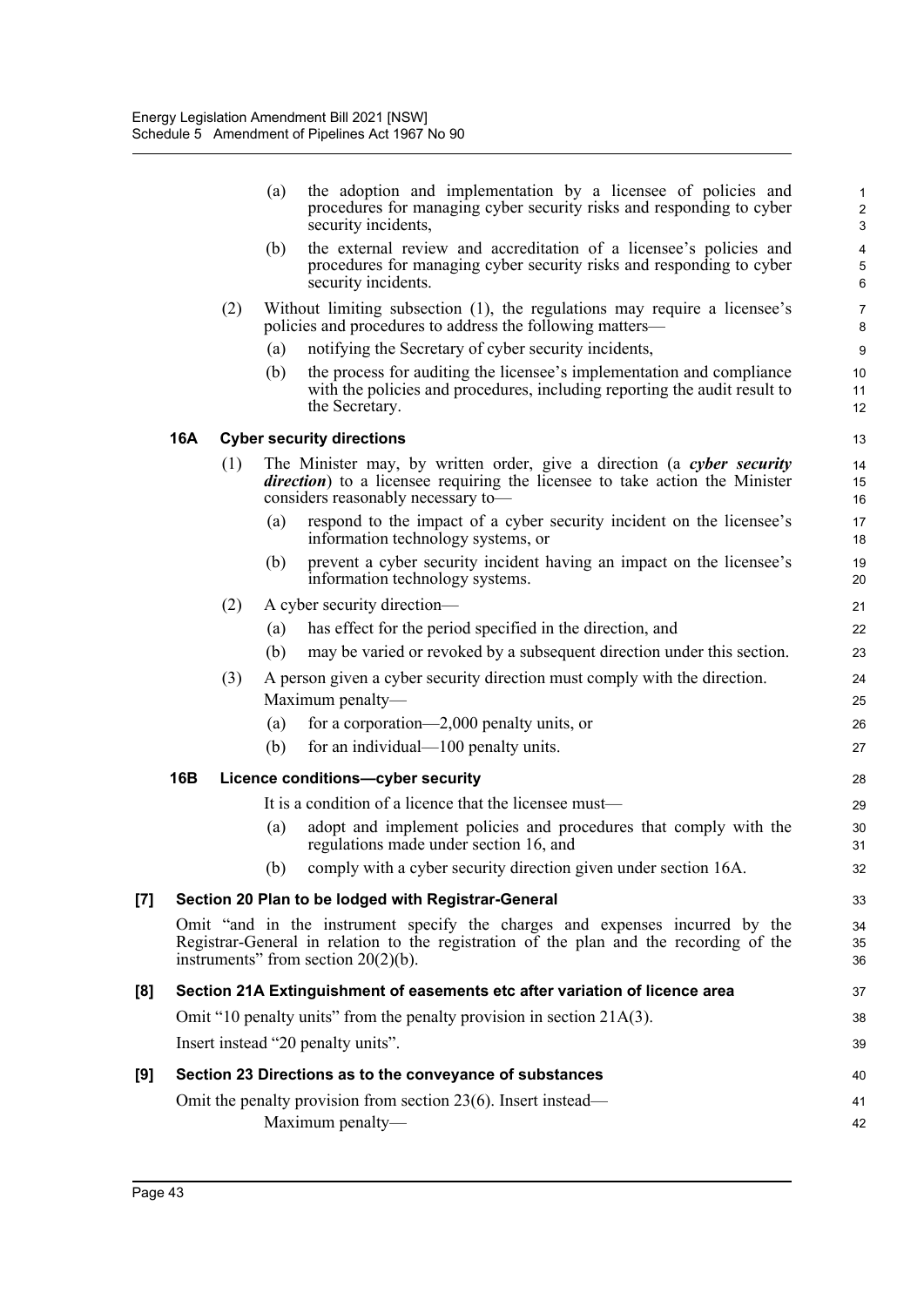|                   |            |     | the adoption and implementation by a licensee of policies and<br>(a)<br>procedures for managing cyber security risks and responding to cyber<br>security incidents,                                              | 1<br>$\overline{\mathbf{c}}$<br>3 |
|-------------------|------------|-----|------------------------------------------------------------------------------------------------------------------------------------------------------------------------------------------------------------------|-----------------------------------|
|                   |            |     | the external review and accreditation of a licensee's policies and<br>(b)<br>procedures for managing cyber security risks and responding to cyber<br>security incidents.                                         | 4<br>5<br>6                       |
|                   |            | (2) | Without limiting subsection (1), the regulations may require a licensee's<br>policies and procedures to address the following matters—                                                                           | 7<br>8                            |
|                   |            |     | notifying the Secretary of cyber security incidents,<br>(a)                                                                                                                                                      | 9                                 |
|                   |            |     | (b)<br>the process for auditing the licensee's implementation and compliance<br>with the policies and procedures, including reporting the audit result to<br>the Secretary.                                      | 10<br>11<br>12                    |
|                   | 16A        |     | <b>Cyber security directions</b>                                                                                                                                                                                 | 13                                |
|                   |            | (1) | The Minister may, by written order, give a direction (a cyber security<br><i>direction</i> ) to a licensee requiring the licensee to take action the Minister<br>considers reasonably necessary to-              | 14<br>15<br>16                    |
|                   |            |     | respond to the impact of a cyber security incident on the licensee's<br>(a)<br>information technology systems, or                                                                                                | 17<br>18                          |
|                   |            |     | prevent a cyber security incident having an impact on the licensee's<br>(b)<br>information technology systems.                                                                                                   | 19<br>20                          |
|                   |            | (2) | A cyber security direction—                                                                                                                                                                                      | 21                                |
|                   |            |     | has effect for the period specified in the direction, and<br>(a)                                                                                                                                                 | 22                                |
|                   |            |     | (b)<br>may be varied or revoked by a subsequent direction under this section.                                                                                                                                    | 23                                |
|                   |            | (3) | A person given a cyber security direction must comply with the direction.<br>Maximum penalty-                                                                                                                    | 24<br>25                          |
|                   |            |     | for a corporation—2,000 penalty units, or<br>(a)                                                                                                                                                                 | 26                                |
|                   |            |     | for an individual—100 penalty units.<br>(b)                                                                                                                                                                      | 27                                |
|                   | <b>16B</b> |     | Licence conditions-cyber security                                                                                                                                                                                | 28                                |
|                   |            |     | It is a condition of a licence that the licensee must—                                                                                                                                                           | 29                                |
|                   |            |     | adopt and implement policies and procedures that comply with the<br>(a)<br>regulations made under section 16, and                                                                                                | 30<br>31                          |
|                   |            |     | comply with a cyber security direction given under section 16A.<br>(b)                                                                                                                                           | 32                                |
| $\left[ 7\right]$ |            |     | Section 20 Plan to be lodged with Registrar-General                                                                                                                                                              | 33                                |
|                   |            |     | Omit "and in the instrument specify the charges and expenses incurred by the<br>Registrar-General in relation to the registration of the plan and the recording of the<br>instruments" from section $20(2)(b)$ . | 34<br>35<br>36                    |
| [8]               |            |     | Section 21A Extinguishment of easements etc after variation of licence area                                                                                                                                      | 37                                |
|                   |            |     | Omit "10 penalty units" from the penalty provision in section $21A(3)$ .                                                                                                                                         | 38                                |
|                   |            |     | Insert instead "20 penalty units".                                                                                                                                                                               | 39                                |
| [9]               |            |     | Section 23 Directions as to the conveyance of substances                                                                                                                                                         | 40                                |
|                   |            |     | Omit the penalty provision from section $23(6)$ . Insert instead—                                                                                                                                                | 41                                |
|                   |            |     | Maximum penalty-                                                                                                                                                                                                 | 42                                |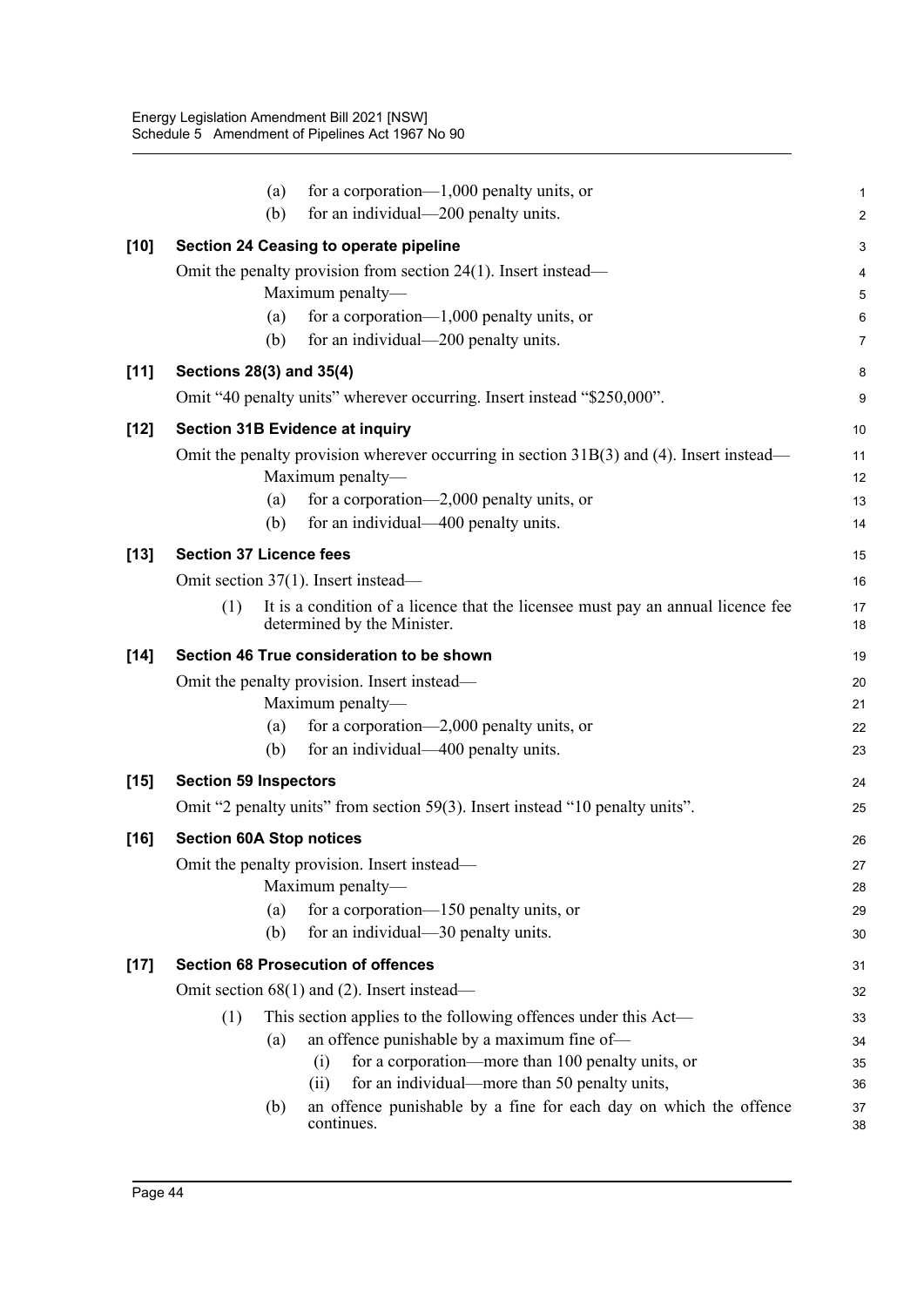|        | for a corporation— $1,000$ penalty units, or<br>(a)                                                                        | 1                       |  |  |  |  |
|--------|----------------------------------------------------------------------------------------------------------------------------|-------------------------|--|--|--|--|
|        | for an individual—200 penalty units.<br>(b)                                                                                | $\overline{\mathbf{c}}$ |  |  |  |  |
| $[10]$ | Section 24 Ceasing to operate pipeline                                                                                     | 3                       |  |  |  |  |
|        | Omit the penalty provision from section $24(1)$ . Insert instead—                                                          | 4                       |  |  |  |  |
|        | Maximum penalty-                                                                                                           | 5                       |  |  |  |  |
|        | for a corporation— $1,000$ penalty units, or<br>(a)                                                                        | 6                       |  |  |  |  |
|        | for an individual-200 penalty units.<br>(b)                                                                                | 7                       |  |  |  |  |
| [11]   | Sections 28(3) and 35(4)                                                                                                   | 8                       |  |  |  |  |
|        | Omit "40 penalty units" wherever occurring. Insert instead "\$250,000".                                                    | 9                       |  |  |  |  |
| $[12]$ | <b>Section 31B Evidence at inquiry</b>                                                                                     | 10                      |  |  |  |  |
|        | Omit the penalty provision wherever occurring in section $31B(3)$ and (4). Insert instead—                                 | 11                      |  |  |  |  |
|        | Maximum penalty-                                                                                                           | 12                      |  |  |  |  |
|        | for a corporation—2,000 penalty units, or<br>(a)                                                                           | 13                      |  |  |  |  |
|        | for an individual—400 penalty units.<br>(b)                                                                                | 14                      |  |  |  |  |
| $[13]$ | <b>Section 37 Licence fees</b>                                                                                             | 15                      |  |  |  |  |
|        | Omit section 37(1). Insert instead—                                                                                        | 16                      |  |  |  |  |
|        | It is a condition of a licence that the licensee must pay an annual licence fee<br>(1)<br>determined by the Minister.      | 17<br>18                |  |  |  |  |
| $[14]$ | Section 46 True consideration to be shown                                                                                  | 19                      |  |  |  |  |
|        | Omit the penalty provision. Insert instead—                                                                                |                         |  |  |  |  |
|        | Maximum penalty-                                                                                                           | 21                      |  |  |  |  |
|        | for a corporation—2,000 penalty units, or<br>(a)                                                                           | 22                      |  |  |  |  |
|        | (b)<br>for an individual—400 penalty units.                                                                                | 23                      |  |  |  |  |
| $[15]$ | <b>Section 59 Inspectors</b>                                                                                               |                         |  |  |  |  |
|        | Omit "2 penalty units" from section 59(3). Insert instead "10 penalty units".                                              | 25                      |  |  |  |  |
| $[16]$ | <b>Section 60A Stop notices</b>                                                                                            | 26                      |  |  |  |  |
|        | Omit the penalty provision. Insert instead—                                                                                | 27                      |  |  |  |  |
|        | Maximum penalty-                                                                                                           |                         |  |  |  |  |
|        | for a corporation-150 penalty units, or<br>(a)                                                                             | 29                      |  |  |  |  |
|        | for an individual—30 penalty units.<br>(b)                                                                                 | 30                      |  |  |  |  |
| $[17]$ | <b>Section 68 Prosecution of offences</b>                                                                                  | 31                      |  |  |  |  |
|        | Omit section $68(1)$ and (2). Insert instead—                                                                              | 32                      |  |  |  |  |
|        | This section applies to the following offences under this Act-<br>(1)                                                      | 33                      |  |  |  |  |
|        | an offence punishable by a maximum fine of-<br>(a)                                                                         | 34                      |  |  |  |  |
|        | for a corporation-more than 100 penalty units, or<br>(i)                                                                   | 35                      |  |  |  |  |
|        | for an individual—more than 50 penalty units,<br>(ii)<br>an offence punishable by a fine for each day on which the offence | 36                      |  |  |  |  |
|        | (b)<br>continues.                                                                                                          | 37<br>38                |  |  |  |  |